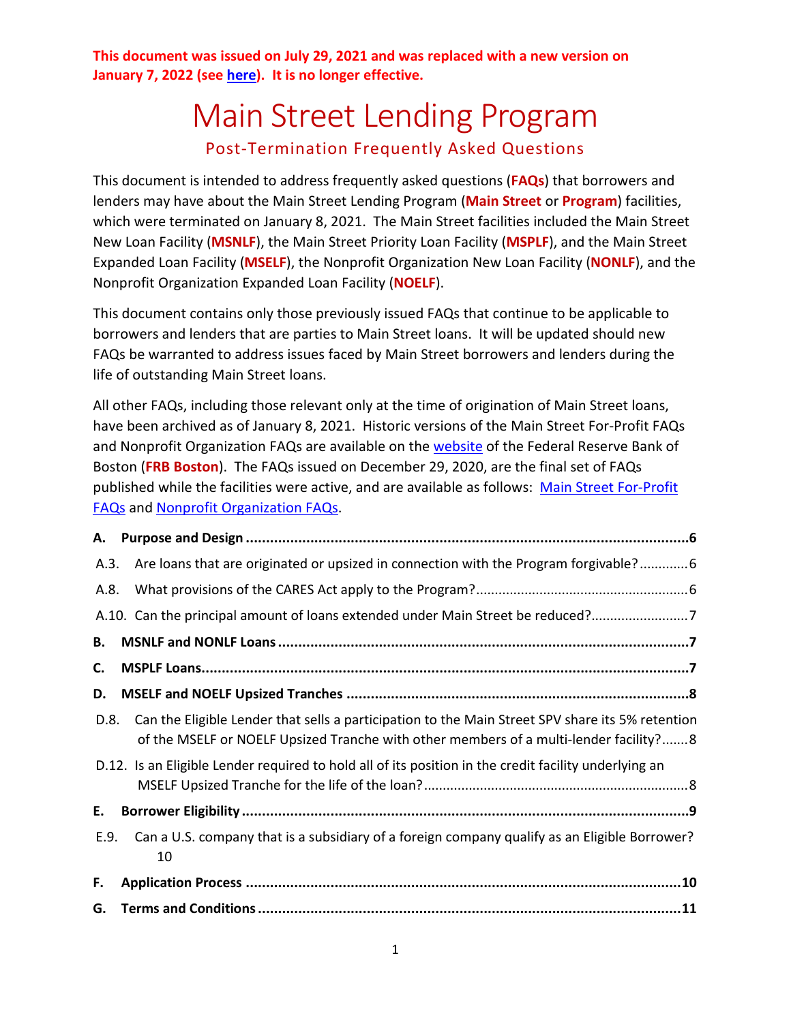# Main Street Lending Program Post-Termination Frequently Asked Questions

This document is intended to address frequently asked questions (**FAQs**) that borrowers and lenders may have about the Main Street Lending Program (**Main Street** or **Program**) facilities, which were terminated on January 8, 2021. The Main Street facilities included the Main Street New Loan Facility (**MSNLF**), the Main Street Priority Loan Facility (**MSPLF**), and the Main Street Expanded Loan Facility (**MSELF**), the Nonprofit Organization New Loan Facility (**NONLF**), and the Nonprofit Organization Expanded Loan Facility (**NOELF**).

This document contains only those previously issued FAQs that continue to be applicable to borrowers and lenders that are parties to Main Street loans. It will be updated should new FAQs be warranted to address issues faced by Main Street borrowers and lenders during the life of outstanding Main Street loans.

All other FAQs, including those relevant only at the time of origination of Main Street loans, have been archived as of January 8, 2021. Historic versions of the Main Street For-Profit FAQs and Nonprofit Organization FAQs are available on the [website](https://www.bostonfed.org/supervision-and-regulation/supervision/special-facilities/main-street-lending-program/information-for-lenders/docs.aspx) of the Federal Reserve Bank of Boston (**FRB Boston**). The FAQs issued on December 29, 2020, are the final set of FAQs published while the facilities were active, and are available as follows: [Main Street For-Profit](https://www.bostonfed.org/-/media/Documents/special-lending-facilities/mslp/legal/frequently-asked-questions-faqs.pdf?la=en)  [FAQs](https://www.bostonfed.org/-/media/Documents/special-lending-facilities/mslp/legal/frequently-asked-questions-faqs.pdf?la=en) and [Nonprofit Organization FAQs.](https://www.bostonfed.org/-/media/Documents/special-lending-facilities/mslp/legal/frequently-asked-questions-faqs-nonprofit.pdf?la=en)

| А.   |                                                                                                                                                                                           |  |
|------|-------------------------------------------------------------------------------------------------------------------------------------------------------------------------------------------|--|
| A.3. | Are loans that are originated or upsized in connection with the Program forgivable?6                                                                                                      |  |
| A.8. |                                                                                                                                                                                           |  |
|      | A.10. Can the principal amount of loans extended under Main Street be reduced?7                                                                                                           |  |
| В.   |                                                                                                                                                                                           |  |
| C.   |                                                                                                                                                                                           |  |
| D.   |                                                                                                                                                                                           |  |
| D.8. | Can the Eligible Lender that sells a participation to the Main Street SPV share its 5% retention<br>of the MSELF or NOELF Upsized Tranche with other members of a multi-lender facility?8 |  |
|      | D.12. Is an Eligible Lender required to hold all of its position in the credit facility underlying an                                                                                     |  |
| Ε.   |                                                                                                                                                                                           |  |
| E.9. | Can a U.S. company that is a subsidiary of a foreign company qualify as an Eligible Borrower?<br>10                                                                                       |  |
| F.   |                                                                                                                                                                                           |  |
| G.   |                                                                                                                                                                                           |  |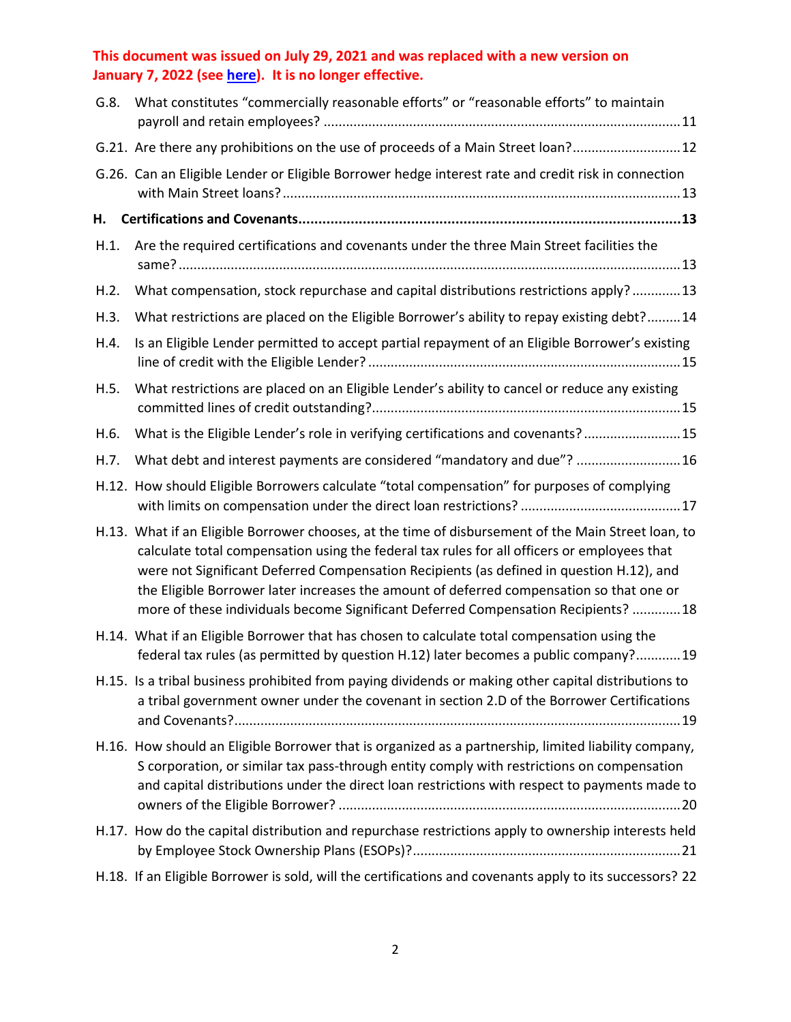| G.8. | What constitutes "commercially reasonable efforts" or "reasonable efforts" to maintain                                                                                                                                                                                                                                                                                                                                                                                          |
|------|---------------------------------------------------------------------------------------------------------------------------------------------------------------------------------------------------------------------------------------------------------------------------------------------------------------------------------------------------------------------------------------------------------------------------------------------------------------------------------|
|      | G.21. Are there any prohibitions on the use of proceeds of a Main Street loan?12                                                                                                                                                                                                                                                                                                                                                                                                |
|      | G.26. Can an Eligible Lender or Eligible Borrower hedge interest rate and credit risk in connection                                                                                                                                                                                                                                                                                                                                                                             |
| Н.   |                                                                                                                                                                                                                                                                                                                                                                                                                                                                                 |
| H.1. | Are the required certifications and covenants under the three Main Street facilities the                                                                                                                                                                                                                                                                                                                                                                                        |
| H.2. | What compensation, stock repurchase and capital distributions restrictions apply? 13                                                                                                                                                                                                                                                                                                                                                                                            |
| H.3. | What restrictions are placed on the Eligible Borrower's ability to repay existing debt?14                                                                                                                                                                                                                                                                                                                                                                                       |
| H.4. | Is an Eligible Lender permitted to accept partial repayment of an Eligible Borrower's existing                                                                                                                                                                                                                                                                                                                                                                                  |
| H.5. | What restrictions are placed on an Eligible Lender's ability to cancel or reduce any existing                                                                                                                                                                                                                                                                                                                                                                                   |
| H.6. | What is the Eligible Lender's role in verifying certifications and covenants?15                                                                                                                                                                                                                                                                                                                                                                                                 |
| H.7. | What debt and interest payments are considered "mandatory and due"?  16                                                                                                                                                                                                                                                                                                                                                                                                         |
|      | H.12. How should Eligible Borrowers calculate "total compensation" for purposes of complying                                                                                                                                                                                                                                                                                                                                                                                    |
|      | H.13. What if an Eligible Borrower chooses, at the time of disbursement of the Main Street loan, to<br>calculate total compensation using the federal tax rules for all officers or employees that<br>were not Significant Deferred Compensation Recipients (as defined in question H.12), and<br>the Eligible Borrower later increases the amount of deferred compensation so that one or<br>more of these individuals become Significant Deferred Compensation Recipients? 18 |
|      | H.14. What if an Eligible Borrower that has chosen to calculate total compensation using the<br>federal tax rules (as permitted by question H.12) later becomes a public company?19                                                                                                                                                                                                                                                                                             |
|      | H.15. Is a tribal business prohibited from paying dividends or making other capital distributions to<br>a tribal government owner under the covenant in section 2.D of the Borrower Certifications                                                                                                                                                                                                                                                                              |
|      | H.16. How should an Eligible Borrower that is organized as a partnership, limited liability company,<br>S corporation, or similar tax pass-through entity comply with restrictions on compensation<br>and capital distributions under the direct loan restrictions with respect to payments made to                                                                                                                                                                             |
|      | H.17. How do the capital distribution and repurchase restrictions apply to ownership interests held                                                                                                                                                                                                                                                                                                                                                                             |
|      | H.18. If an Eligible Borrower is sold, will the certifications and covenants apply to its successors? 22                                                                                                                                                                                                                                                                                                                                                                        |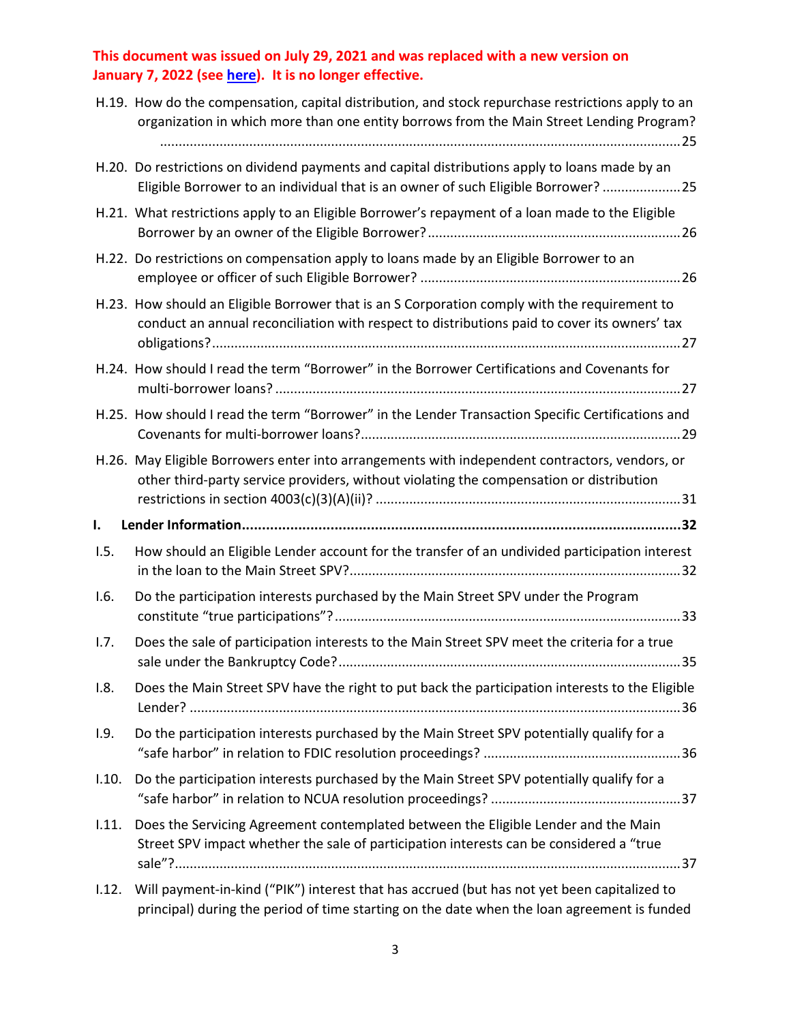|       | H.19. How do the compensation, capital distribution, and stock repurchase restrictions apply to an<br>organization in which more than one entity borrows from the Main Street Lending Program? |
|-------|------------------------------------------------------------------------------------------------------------------------------------------------------------------------------------------------|
|       | H.20. Do restrictions on dividend payments and capital distributions apply to loans made by an<br>Eligible Borrower to an individual that is an owner of such Eligible Borrower? 25            |
|       | H.21. What restrictions apply to an Eligible Borrower's repayment of a loan made to the Eligible                                                                                               |
|       | H.22. Do restrictions on compensation apply to loans made by an Eligible Borrower to an                                                                                                        |
|       | H.23. How should an Eligible Borrower that is an S Corporation comply with the requirement to<br>conduct an annual reconciliation with respect to distributions paid to cover its owners' tax  |
|       | H.24. How should I read the term "Borrower" in the Borrower Certifications and Covenants for                                                                                                   |
|       | H.25. How should I read the term "Borrower" in the Lender Transaction Specific Certifications and                                                                                              |
|       | H.26. May Eligible Borrowers enter into arrangements with independent contractors, vendors, or<br>other third-party service providers, without violating the compensation or distribution      |
| I.    |                                                                                                                                                                                                |
| 1.5.  | How should an Eligible Lender account for the transfer of an undivided participation interest                                                                                                  |
| 1.6.  | Do the participation interests purchased by the Main Street SPV under the Program                                                                                                              |
| 1.7.  | Does the sale of participation interests to the Main Street SPV meet the criteria for a true                                                                                                   |
| 1.8.  | Does the Main Street SPV have the right to put back the participation interests to the Eligible                                                                                                |
| 1.9.  | Do the participation interests purchased by the Main Street SPV potentially qualify for a                                                                                                      |
| 1.10. | Do the participation interests purchased by the Main Street SPV potentially qualify for a                                                                                                      |
| 1.11. | Does the Servicing Agreement contemplated between the Eligible Lender and the Main<br>Street SPV impact whether the sale of participation interests can be considered a "true                  |
| 1.12. | Will payment-in-kind ("PIK") interest that has accrued (but has not yet been capitalized to                                                                                                    |

[principal\) during the period of time starting on the date when the loan agreement is funded](#page-37-0)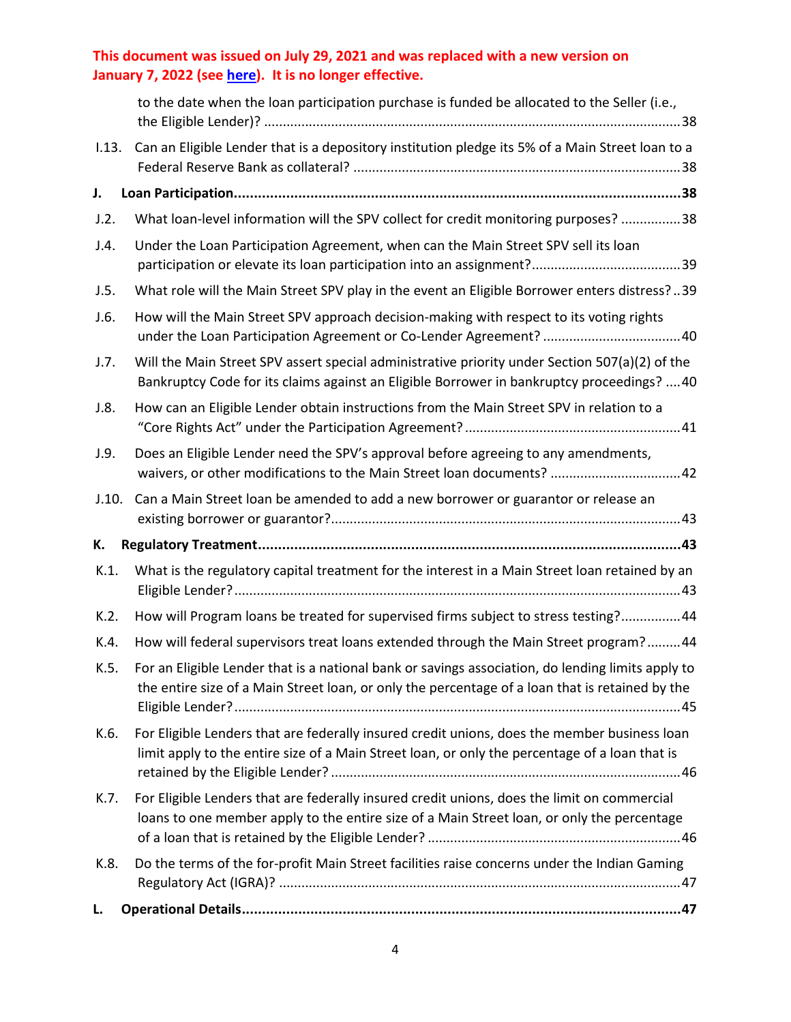|         | to the date when the loan participation purchase is funded be allocated to the Seller (i.e.,                                                                                                         |
|---------|------------------------------------------------------------------------------------------------------------------------------------------------------------------------------------------------------|
| 1.13.   | Can an Eligible Lender that is a depository institution pledge its 5% of a Main Street loan to a                                                                                                     |
| J.      |                                                                                                                                                                                                      |
| J.2.    | What loan-level information will the SPV collect for credit monitoring purposes? 38                                                                                                                  |
| J.4.    | Under the Loan Participation Agreement, when can the Main Street SPV sell its loan                                                                                                                   |
| J.5.    | What role will the Main Street SPV play in the event an Eligible Borrower enters distress?39                                                                                                         |
| J.6.    | How will the Main Street SPV approach decision-making with respect to its voting rights<br>under the Loan Participation Agreement or Co-Lender Agreement? 40                                         |
| J.7.    | Will the Main Street SPV assert special administrative priority under Section 507(a)(2) of the<br>Bankruptcy Code for its claims against an Eligible Borrower in bankruptcy proceedings?  40         |
| J.8.    | How can an Eligible Lender obtain instructions from the Main Street SPV in relation to a                                                                                                             |
| J.9.    | Does an Eligible Lender need the SPV's approval before agreeing to any amendments,<br>waivers, or other modifications to the Main Street loan documents?  42                                         |
| J.10.   | Can a Main Street loan be amended to add a new borrower or guarantor or release an                                                                                                                   |
| К.      |                                                                                                                                                                                                      |
| $K.1$ . | What is the regulatory capital treatment for the interest in a Main Street loan retained by an                                                                                                       |
| K.2.    | How will Program loans be treated for supervised firms subject to stress testing?44                                                                                                                  |
| K.4.    | How will federal supervisors treat loans extended through the Main Street program?44                                                                                                                 |
| K.5.    | For an Eligible Lender that is a national bank or savings association, do lending limits apply to<br>the entire size of a Main Street loan, or only the percentage of a loan that is retained by the |
| K.6.    | For Eligible Lenders that are federally insured credit unions, does the member business loan<br>limit apply to the entire size of a Main Street loan, or only the percentage of a loan that is       |
| K.7.    | For Eligible Lenders that are federally insured credit unions, does the limit on commercial<br>loans to one member apply to the entire size of a Main Street loan, or only the percentage            |
| K.8.    | Do the terms of the for-profit Main Street facilities raise concerns under the Indian Gaming                                                                                                         |
| L.      |                                                                                                                                                                                                      |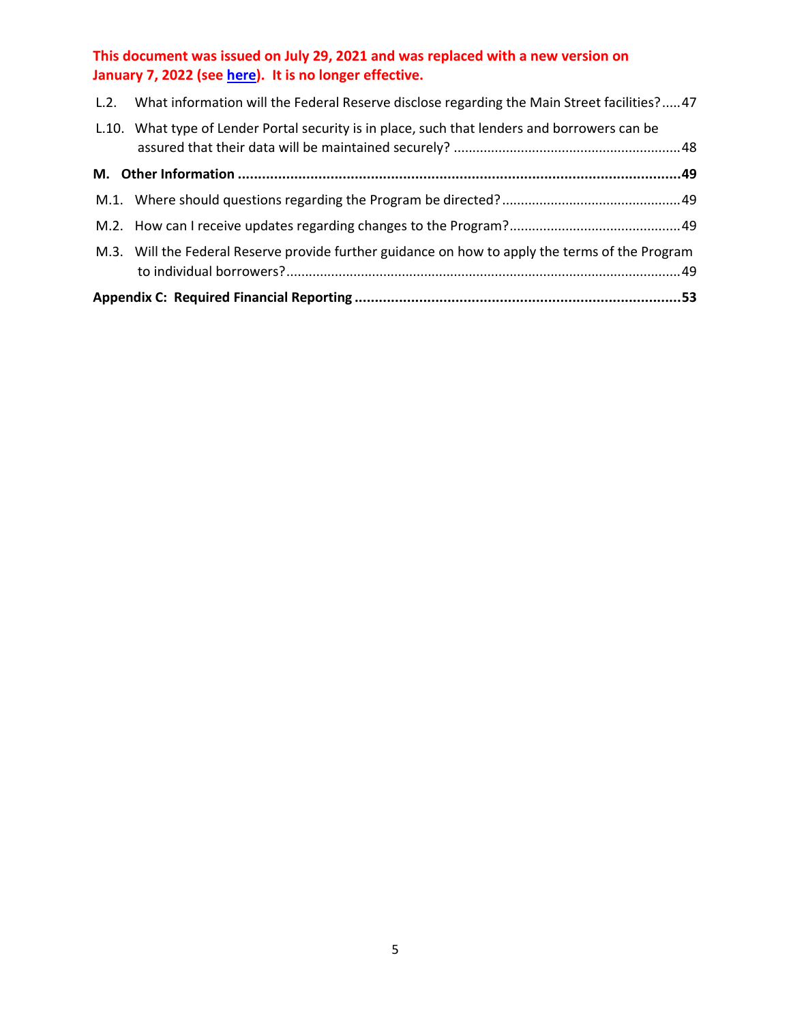|  | L.2. What information will the Federal Reserve disclose regarding the Main Street facilities?47 |  |  |  |
|--|-------------------------------------------------------------------------------------------------|--|--|--|
|  | L.10. What type of Lender Portal security is in place, such that lenders and borrowers can be   |  |  |  |
|  |                                                                                                 |  |  |  |
|  |                                                                                                 |  |  |  |
|  |                                                                                                 |  |  |  |
|  | M.3. Will the Federal Reserve provide further guidance on how to apply the terms of the Program |  |  |  |
|  |                                                                                                 |  |  |  |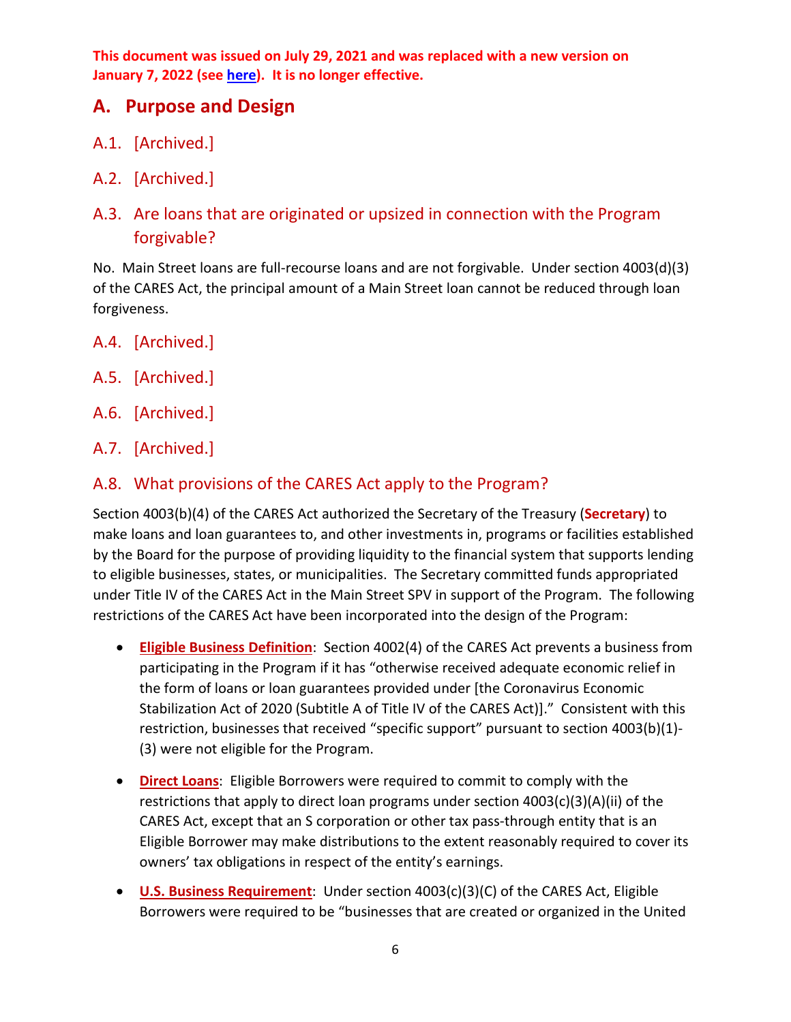### <span id="page-5-0"></span>**A. Purpose and Design**

- A.1. [Archived.]
- A.2. [Archived.]
- <span id="page-5-1"></span>A.3. Are loans that are originated or upsized in connection with the Program forgivable?

No. Main Street loans are full-recourse loans and are not forgivable. Under section 4003(d)(3) of the CARES Act, the principal amount of a Main Street loan cannot be reduced through loan forgiveness.

- A.4. [Archived.]
- A.5. [Archived.]
- A.6. [Archived.]
- A.7. [Archived.]

### <span id="page-5-2"></span>A.8. What provisions of the CARES Act apply to the Program?

Section 4003(b)(4) of the CARES Act authorized the Secretary of the Treasury (**Secretary**) to make loans and loan guarantees to, and other investments in, programs or facilities established by the Board for the purpose of providing liquidity to the financial system that supports lending to eligible businesses, states, or municipalities. The Secretary committed funds appropriated under Title IV of the CARES Act in the Main Street SPV in support of the Program. The following restrictions of the CARES Act have been incorporated into the design of the Program:

- **Eligible Business Definition**: Section 4002(4) of the CARES Act prevents a business from participating in the Program if it has "otherwise received adequate economic relief in the form of loans or loan guarantees provided under [the Coronavirus Economic Stabilization Act of 2020 (Subtitle A of Title IV of the CARES Act)]." Consistent with this restriction, businesses that received "specific support" pursuant to section 4003(b)(1)- (3) were not eligible for the Program.
- **Direct Loans**: Eligible Borrowers were required to commit to comply with the restrictions that apply to direct loan programs under section 4003(c)(3)(A)(ii) of the CARES Act, except that an S corporation or other tax pass-through entity that is an Eligible Borrower may make distributions to the extent reasonably required to cover its owners' tax obligations in respect of the entity's earnings.
- **U.S. Business Requirement**: Under section 4003(c)(3)(C) of the CARES Act, Eligible Borrowers were required to be "businesses that are created or organized in the United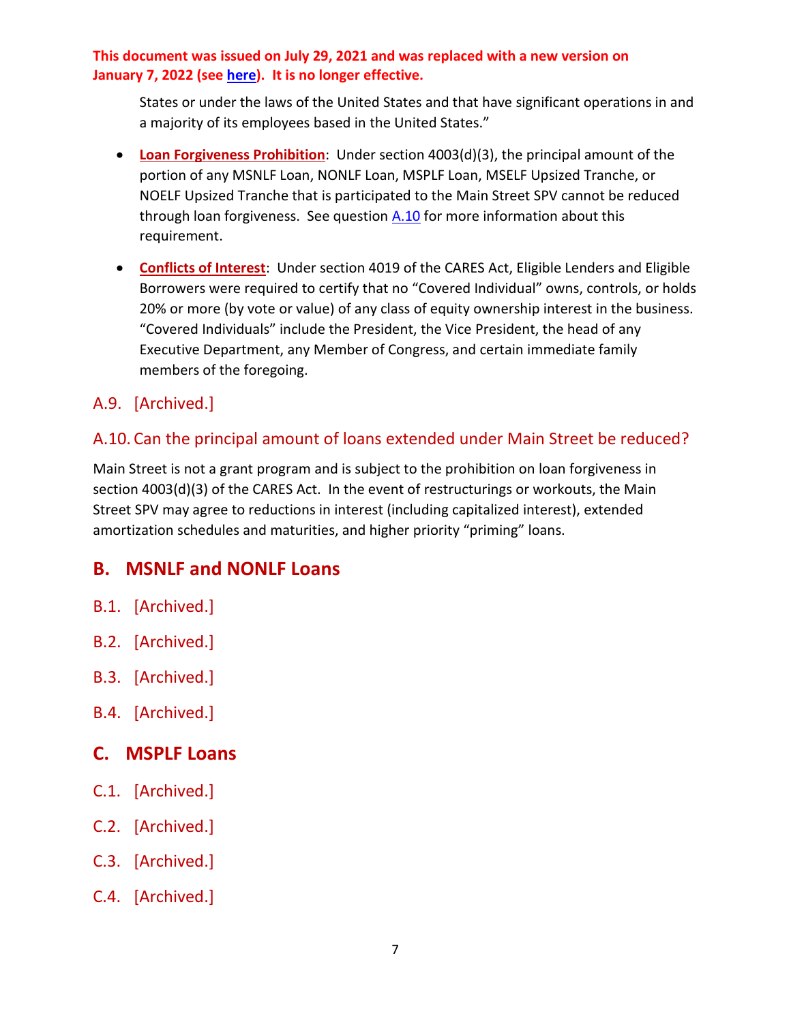States or under the laws of the United States and that have significant operations in and a majority of its employees based in the United States."

- **Loan Forgiveness Prohibition**: Under section 4003(d)(3), the principal amount of the portion of any MSNLF Loan, NONLF Loan, MSPLF Loan, MSELF Upsized Tranche, or NOELF Upsized Tranche that is participated to the Main Street SPV cannot be reduced through loan forgiveness. See question  $A.10$  for more information about this requirement.
- **Conflicts of Interest**: Under section 4019 of the CARES Act, Eligible Lenders and Eligible Borrowers were required to certify that no "Covered Individual" owns, controls, or holds 20% or more (by vote or value) of any class of equity ownership interest in the business. "Covered Individuals" include the President, the Vice President, the head of any Executive Department, any Member of Congress, and certain immediate family members of the foregoing.

### A.9. [Archived.]

### <span id="page-6-0"></span>A.10. Can the principal amount of loans extended under Main Street be reduced?

Main Street is not a grant program and is subject to the prohibition on loan forgiveness in section 4003(d)(3) of the CARES Act. In the event of restructurings or workouts, the Main Street SPV may agree to reductions in interest (including capitalized interest), extended amortization schedules and maturities, and higher priority "priming" loans.

# <span id="page-6-1"></span>**B. MSNLF and NONLF Loans**

- B.1. [Archived.]
- B.2. [Archived.]
- B.3. [Archived.]
- B.4. [Archived.]

# <span id="page-6-2"></span>**C. MSPLF Loans**

- C.1. [Archived.]
- C.2. [Archived.]
- C.3. [Archived.]
- C.4. [Archived.]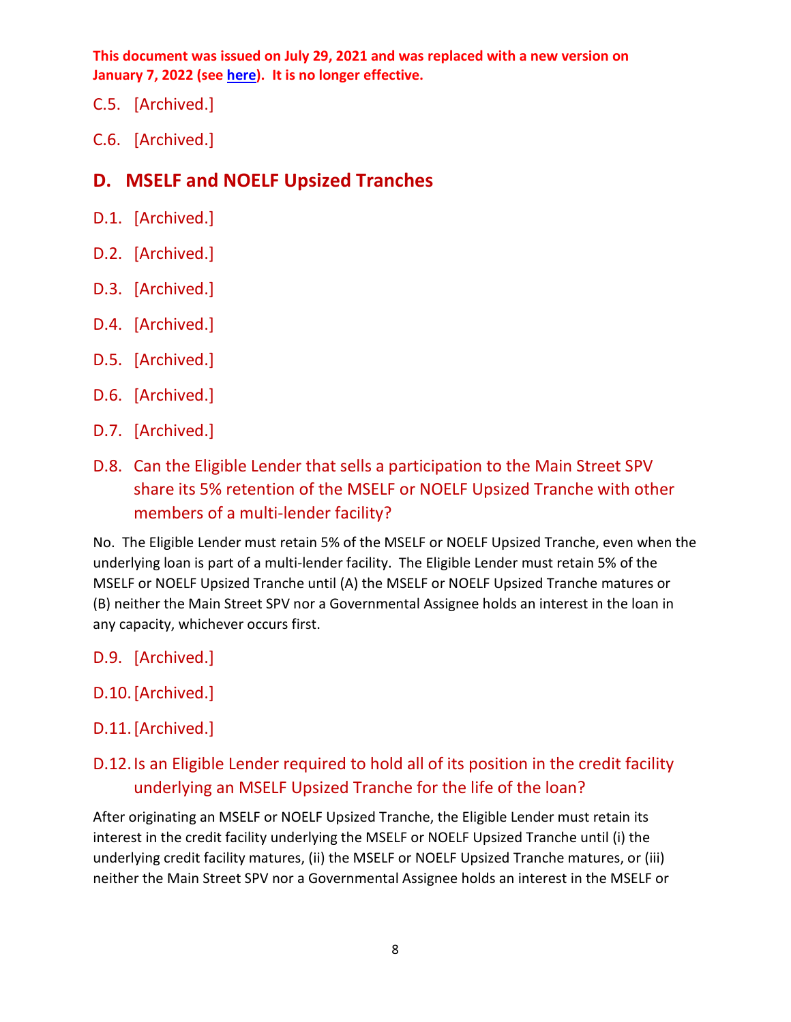- C.5. [Archived.]
- C.6. [Archived.]

# <span id="page-7-0"></span>**D. MSELF and NOELF Upsized Tranches**

- D.1. [Archived.]
- D.2. [Archived.]
- D.3. [Archived.]
- D.4. [Archived.]
- D.5. [Archived.]
- D.6. [Archived.]
- D.7. [Archived.]
- <span id="page-7-1"></span>D.8. Can the Eligible Lender that sells a participation to the Main Street SPV share its 5% retention of the MSELF or NOELF Upsized Tranche with other members of a multi-lender facility?

No. The Eligible Lender must retain 5% of the MSELF or NOELF Upsized Tranche, even when the underlying loan is part of a multi-lender facility. The Eligible Lender must retain 5% of the MSELF or NOELF Upsized Tranche until (A) the MSELF or NOELF Upsized Tranche matures or (B) neither the Main Street SPV nor a Governmental Assignee holds an interest in the loan in any capacity, whichever occurs first.

- D.9. [Archived.]
- D.10.[Archived.]
- D.11.[Archived.]

# <span id="page-7-2"></span>D.12.Is an Eligible Lender required to hold all of its position in the credit facility underlying an MSELF Upsized Tranche for the life of the loan?

After originating an MSELF or NOELF Upsized Tranche, the Eligible Lender must retain its interest in the credit facility underlying the MSELF or NOELF Upsized Tranche until (i) the underlying credit facility matures, (ii) the MSELF or NOELF Upsized Tranche matures, or (iii) neither the Main Street SPV nor a Governmental Assignee holds an interest in the MSELF or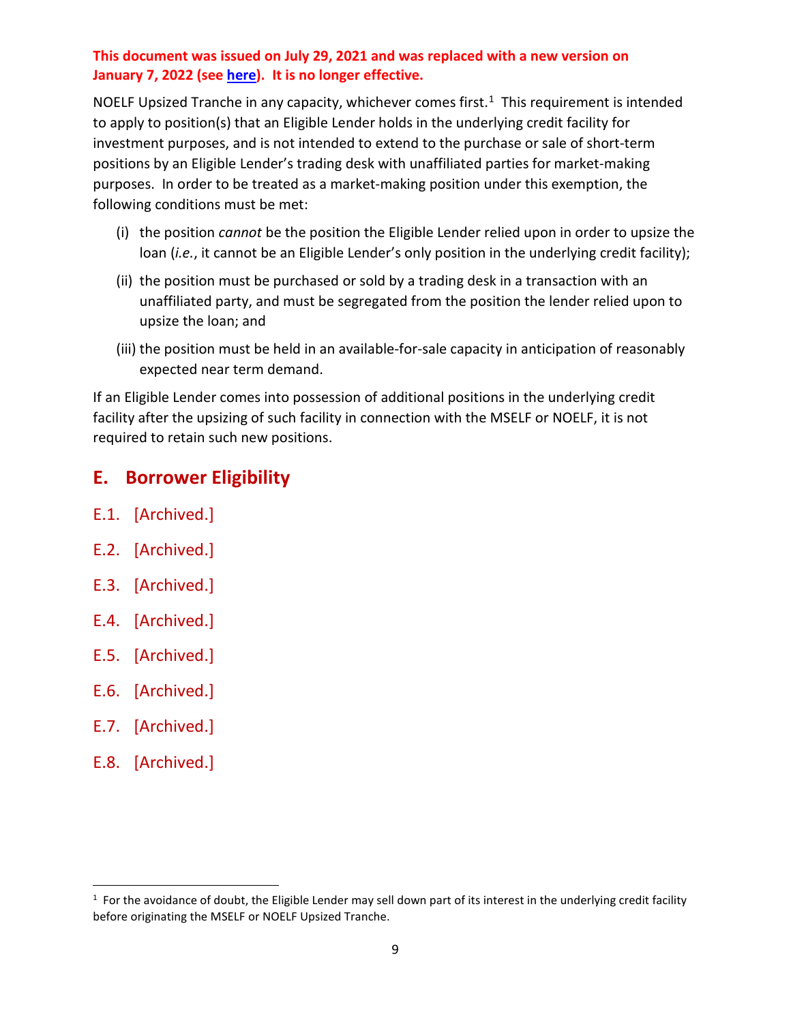NOELF Upsized Tranche in any capacity, whichever comes first.<sup>1</sup> This requirement is intended to apply to position(s) that an Eligible Lender holds in the underlying credit facility for investment purposes, and is not intended to extend to the purchase or sale of short-term positions by an Eligible Lender's trading desk with unaffiliated parties for market-making purposes. In order to be treated as a market-making position under this exemption, the following conditions must be met:

- (i) the position *cannot* be the position the Eligible Lender relied upon in order to upsize the loan (*i.e.*, it cannot be an Eligible Lender's only position in the underlying credit facility);
- (ii) the position must be purchased or sold by a trading desk in a transaction with an unaffiliated party, and must be segregated from the position the lender relied upon to upsize the loan; and
- (iii) the position must be held in an available-for-sale capacity in anticipation of reasonably expected near term demand.

If an Eligible Lender comes into possession of additional positions in the underlying credit facility after the upsizing of such facility in connection with the MSELF or NOELF, it is not required to retain such new positions.

# <span id="page-8-0"></span>**E. Borrower Eligibility**

- E.1. [Archived.]
- E.2. [Archived.]
- E.3. [Archived.]
- E.4. [Archived.]
- E.5. [Archived.]
- E.6. [Archived.]
- E.7. [Archived.]
- E.8. [Archived.]

<span id="page-8-1"></span> $1$  For the avoidance of doubt, the Eligible Lender may sell down part of its interest in the underlying credit facility before originating the MSELF or NOELF Upsized Tranche.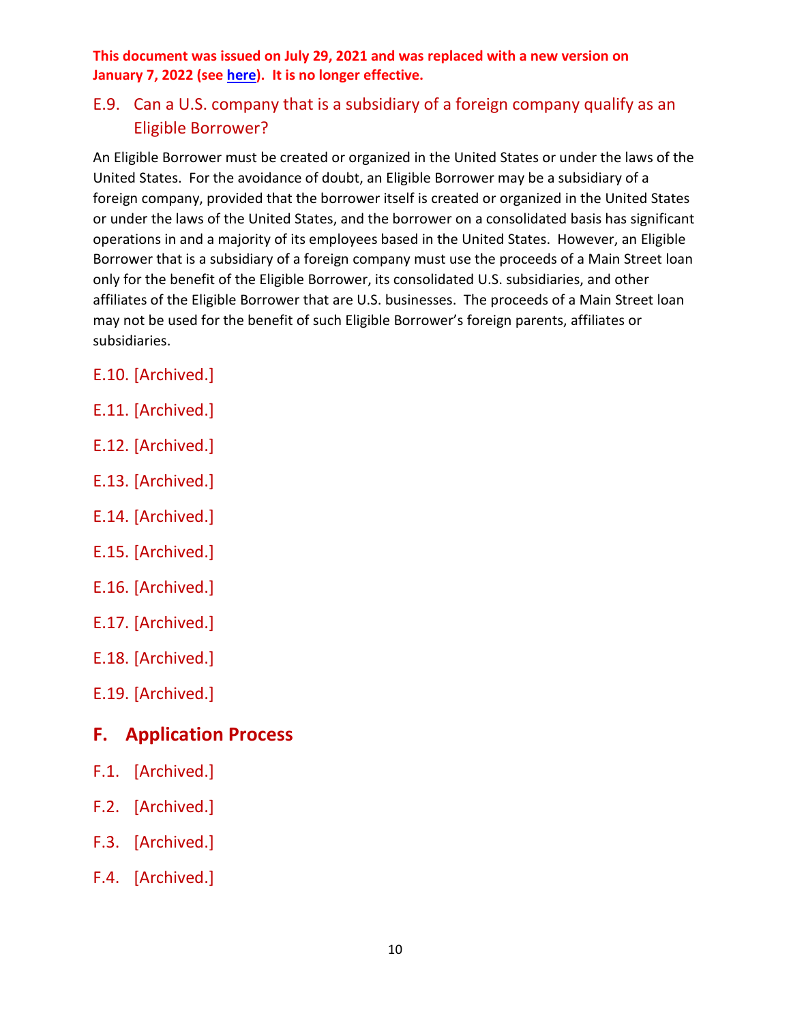<span id="page-9-0"></span>E.9. Can a U.S. company that is a subsidiary of a foreign company qualify as an Eligible Borrower?

An Eligible Borrower must be created or organized in the United States or under the laws of the United States. For the avoidance of doubt, an Eligible Borrower may be a subsidiary of a foreign company, provided that the borrower itself is created or organized in the United States or under the laws of the United States, and the borrower on a consolidated basis has significant operations in and a majority of its employees based in the United States. However, an Eligible Borrower that is a subsidiary of a foreign company must use the proceeds of a Main Street loan only for the benefit of the Eligible Borrower, its consolidated U.S. subsidiaries, and other affiliates of the Eligible Borrower that are U.S. businesses. The proceeds of a Main Street loan may not be used for the benefit of such Eligible Borrower's foreign parents, affiliates or subsidiaries.

- E.10. [Archived.]
- E.11. [Archived.]
- E.12. [Archived.]
- E.13. [Archived.]
- E.14. [Archived.]
- E.15. [Archived.]
- E.16. [Archived.]
- E.17. [Archived.]
- E.18. [Archived.]
- E.19. [Archived.]

### <span id="page-9-1"></span>**F. Application Process**

- F.1. [Archived.]
- F.2. [Archived.]
- F.3. [Archived.]
- F.4. [Archived.]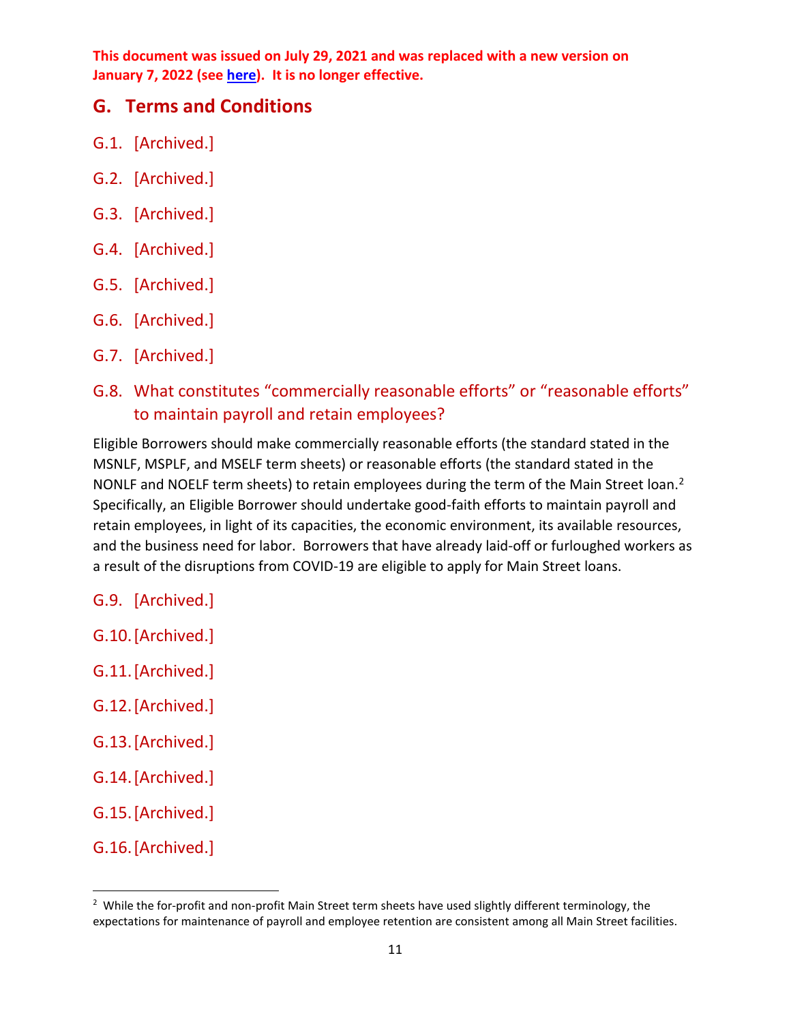### <span id="page-10-0"></span>**G. Terms and Conditions**

- G.1. [Archived.]
- G.2. [Archived.]
- G.3. [Archived.]
- G.4. [Archived.]
- G.5. [Archived.]
- G.6. [Archived.]
- G.7. [Archived.]
- <span id="page-10-1"></span>G.8. What constitutes "commercially reasonable efforts" or "reasonable efforts" to maintain payroll and retain employees?

Eligible Borrowers should make commercially reasonable efforts (the standard stated in the MSNLF, MSPLF, and MSELF term sheets) or reasonable efforts (the standard stated in the NONLF and NOELF term sheets) to retain employees during the term of the Main Street loan.<sup>2</sup> Specifically, an Eligible Borrower should undertake good-faith efforts to maintain payroll and retain employees, in light of its capacities, the economic environment, its available resources, and the business need for labor. Borrowers that have already laid-off or furloughed workers as a result of the disruptions from COVID-19 are eligible to apply for Main Street loans.

- G.9. [Archived.]
- G.10.[Archived.]
- G.11.[Archived.]
- G.12.[Archived.]
- G.13.[Archived.]
- G.14.[Archived.]
- G.15.[Archived.]
- G.16.[Archived.]

<span id="page-10-2"></span><sup>&</sup>lt;sup>2</sup> While the for-profit and non-profit Main Street term sheets have used slightly different terminology, the expectations for maintenance of payroll and employee retention are consistent among all Main Street facilities.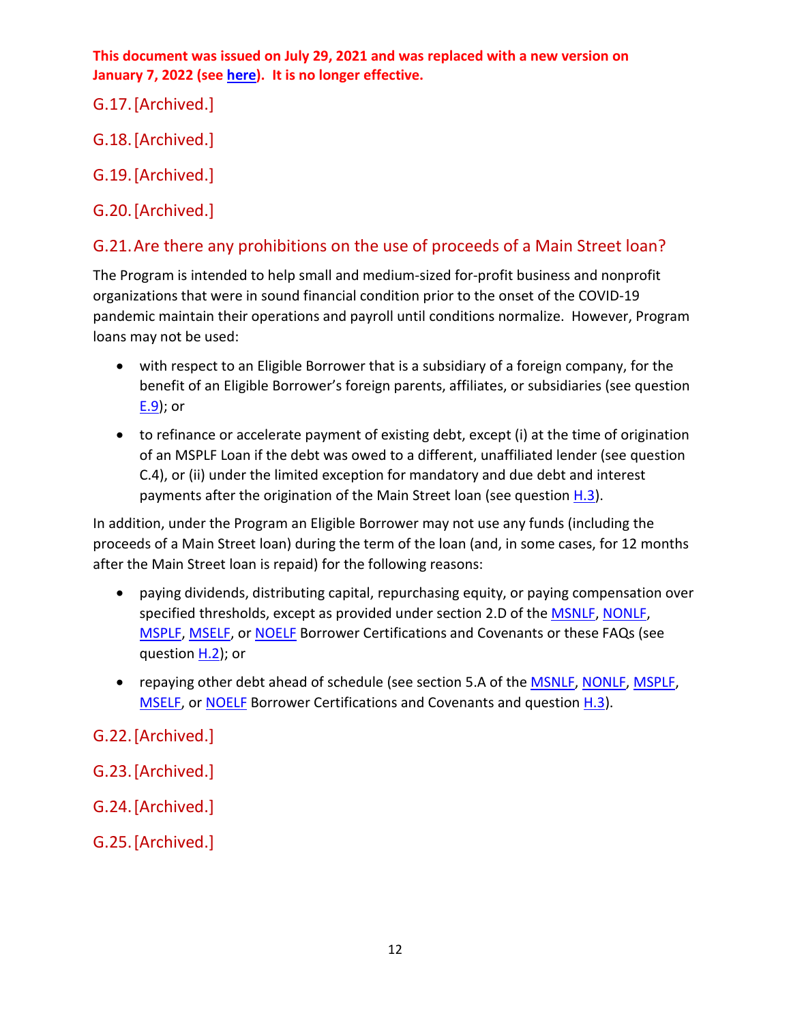- G.17.[Archived.]
- G.18.[Archived.]
- G.19.[Archived.]
- G.20.[Archived.]

### <span id="page-11-0"></span>G.21.Are there any prohibitions on the use of proceeds of a Main Street loan?

The Program is intended to help small and medium-sized for-profit business and nonprofit organizations that were in sound financial condition prior to the onset of the COVID-19 pandemic maintain their operations and payroll until conditions normalize. However, Program loans may not be used:

- with respect to an Eligible Borrower that is a subsidiary of a foreign company, for the benefit of an Eligible Borrower's foreign parents, affiliates, or subsidiaries (see question [E.9\)](#page-9-0); or
- to refinance or accelerate payment of existing debt, except (i) at the time of origination of an MSPLF Loan if the debt was owed to a different, unaffiliated lender (see question C.4), or (ii) under the limited exception for mandatory and due debt and interest payments after the origination of the Main Street loan (see question  $H.3$ ).

In addition, under the Program an Eligible Borrower may not use any funds (including the proceeds of a Main Street loan) during the term of the loan (and, in some cases, for 12 months after the Main Street loan is repaid) for the following reasons:

- paying dividends, distributing capital, repurchasing equity, or paying compensation over specified thresholds, except as provided under section 2.D of the **MSNLF**, [NONLF,](https://www.bostonfed.org/-/media/Documents/special-lending-facilities/mslp/legal/nonlf-borrower-certifications-and-covenants.pdf?la=en) [MSPLF,](https://www.bostonfed.org/-/media/Documents/special-lending-facilities/mslp/legal/msplf-borrower-certifications-and-covenants.pdf?la=en) [MSELF,](https://www.bostonfed.org/-/media/Documents/special-lending-facilities/mslp/legal/mself-borrower-certifications-and-covenants.pdf?la=en) or [NOELF](https://www.bostonfed.org/-/media/Documents/special-lending-facilities/mslp/legal/noelf-borrower-certifications-and-covenants.pdf?la=en) Borrower Certifications and Covenants or these FAQs (see question [H.2\)](#page-12-3); or
- repaying other debt ahead of schedule (see section 5.A of the **MSNLF, [NONLF,](https://www.bostonfed.org/-/media/Documents/special-lending-facilities/mslp/legal/nonlf-borrower-certifications-and-covenants.pdf?la=en) [MSPLF,](https://www.bostonfed.org/-/media/Documents/special-lending-facilities/mslp/legal/msplf-borrower-certifications-and-covenants.pdf?la=en)** [MSELF,](https://www.bostonfed.org/-/media/Documents/special-lending-facilities/mslp/legal/mself-borrower-certifications-and-covenants.pdf?la=en) or [NOELF](https://www.bostonfed.org/-/media/Documents/special-lending-facilities/mslp/legal/noelf-borrower-certifications-and-covenants.pdf?la=en) Borrower Certifications and Covenants and question [H.3\)](#page-13-0).
- G.22.[Archived.]
- G.23.[Archived.]
- G.24.[Archived.]
- G.25.[Archived.]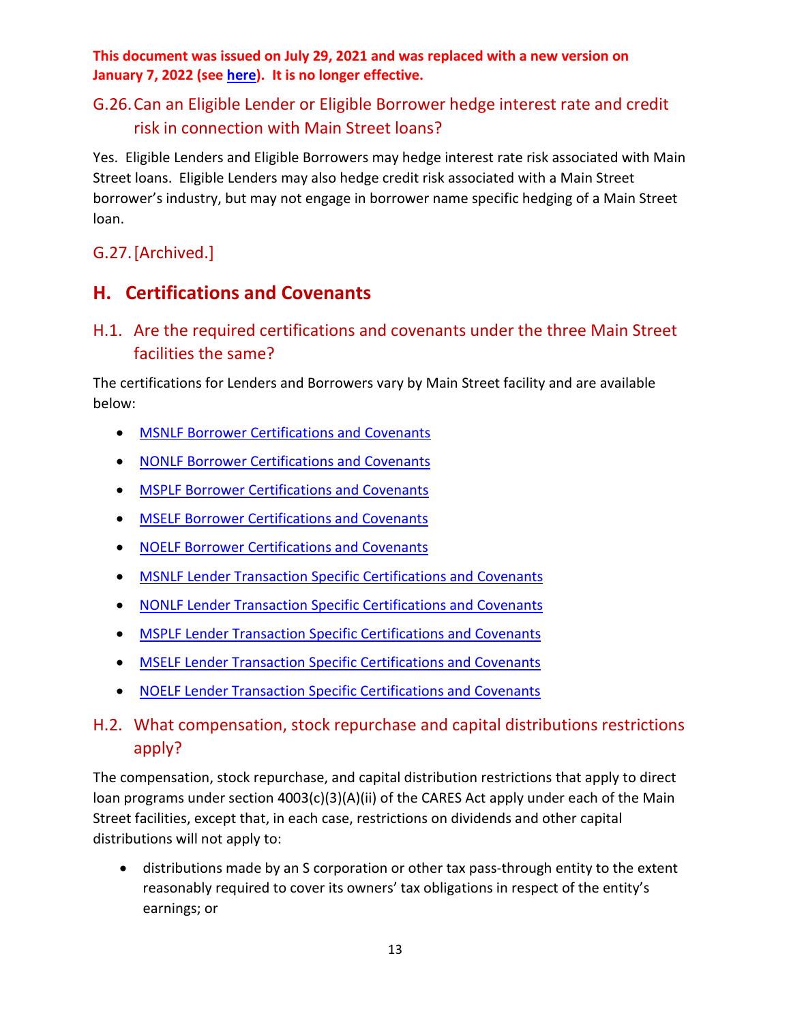### <span id="page-12-0"></span>G.26.Can an Eligible Lender or Eligible Borrower hedge interest rate and credit risk in connection with Main Street loans?

Yes. Eligible Lenders and Eligible Borrowers may hedge interest rate risk associated with Main Street loans. Eligible Lenders may also hedge credit risk associated with a Main Street borrower's industry, but may not engage in borrower name specific hedging of a Main Street loan.

# G.27.[Archived.]

# <span id="page-12-1"></span>**H. Certifications and Covenants**

# <span id="page-12-2"></span>H.1. Are the required certifications and covenants under the three Main Street facilities the same?

The certifications for Lenders and Borrowers vary by Main Street facility and are available below:

- [MSNLF Borrower Certifications and Covenants](https://www.bostonfed.org/-/media/Documents/special-lending-facilities/mslp/legal/msnlf-borrower-certifications-and-covenants.pdf)
- [NONLF Borrower Certifications and Covenants](https://www.bostonfed.org/-/media/Documents/special-lending-facilities/mslp/legal/nonlf-borrower-certifications-and-covenants.pdf?la=en)
- [MSPLF Borrower Certifications and Covenants](https://www.bostonfed.org/-/media/Documents/special-lending-facilities/mslp/legal/msplf-borrower-certifications-and-covenants.pdf)
- [MSELF Borrower Certifications and Covenants](https://www.bostonfed.org/-/media/Documents/special-lending-facilities/mslp/legal/mself-borrower-certifications-and-covenants.pdf)
- [NOELF Borrower Certifications and Covenants](https://www.bostonfed.org/-/media/Documents/special-lending-facilities/mslp/legal/noelf-borrower-certifications-and-covenants.pdf?la=en)
- [MSNLF Lender Transaction Specific Certifications and Covenants](https://www.bostonfed.org/-/media/Documents/special-lending-facilities/mslp/legal/msnlf-lender-transaction-specific-certifications-and-covenants.pdf)
- [NONLF Lender Transaction Specific Certifications and Covenants](https://www.bostonfed.org/-/media/Documents/special-lending-facilities/mslp/legal/nonlf-lender-transaction-specific-certifications-and-covenants.pdf?la=en)
- [MSPLF Lender Transaction Specific Certifications and Covenants](https://www.bostonfed.org/-/media/Documents/special-lending-facilities/mslp/legal/msplf-lender-transaction-specific-certifications-and-covenants.pdf)
- [MSELF Lender Transaction Specific Certifications and Covenants](https://www.bostonfed.org/-/media/Documents/special-lending-facilities/mslp/legal/mself-lender-transaction-specific-certifications-and-covenants.pdf)
- [NOELF Lender Transaction Specific Certifications and Covenants](https://www.bostonfed.org/-/media/Documents/special-lending-facilities/mslp/legal/noelf-lender-transaction-specific-certifications-and-covenants.pdf?la=en)

### <span id="page-12-3"></span>H.2. What compensation, stock repurchase and capital distributions restrictions apply?

The compensation, stock repurchase, and capital distribution restrictions that apply to direct loan programs under section 4003(c)(3)(A)(ii) of the CARES Act apply under each of the Main Street facilities, except that, in each case, restrictions on dividends and other capital distributions will not apply to:

• distributions made by an S corporation or other tax pass-through entity to the extent reasonably required to cover its owners' tax obligations in respect of the entity's earnings; or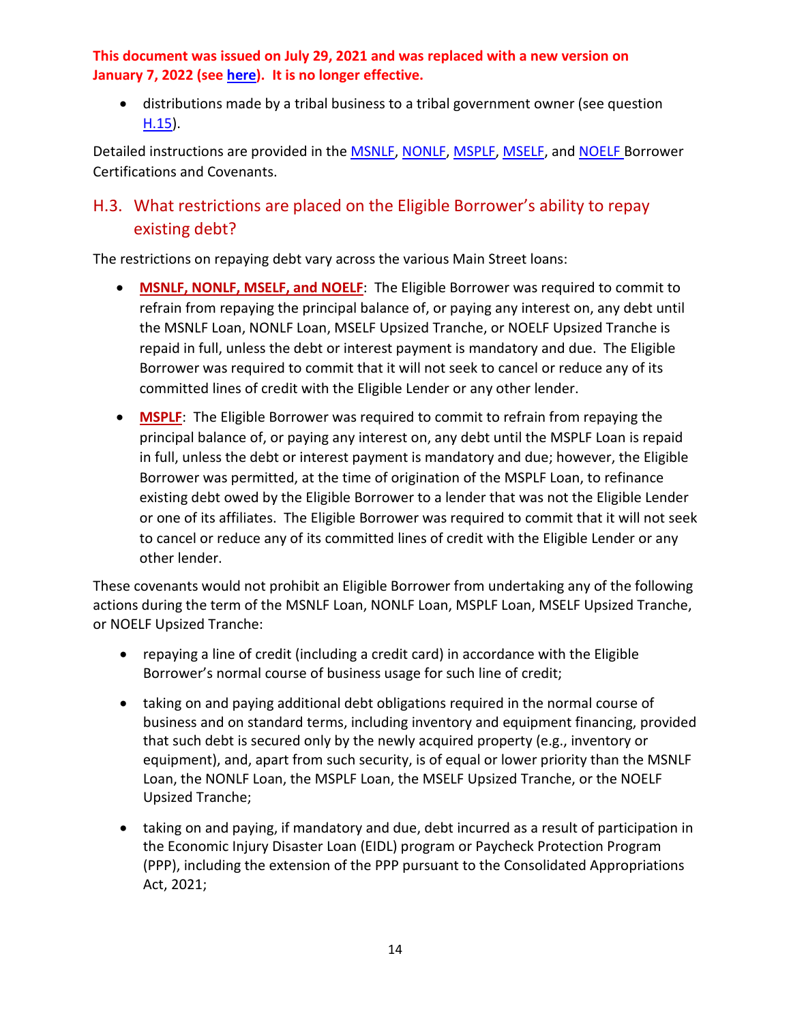• distributions made by a tribal business to a tribal government owner (see question  $H.15$ ).

Detailed instructions are provided in the **MSNLF, [NONLF,](https://www.bostonfed.org/-/media/Documents/special-lending-facilities/mslp/legal/nonlf-borrower-certifications-and-covenants.pdf?la=en) [MSPLF,](https://www.bostonfed.org/-/media/Documents/special-lending-facilities/mslp/legal/msplf-borrower-certifications-and-covenants.pdf) MSELF**, and **NOELF** Borrower Certifications and Covenants.

### <span id="page-13-0"></span>H.3. What restrictions are placed on the Eligible Borrower's ability to repay existing debt?

The restrictions on repaying debt vary across the various Main Street loans:

- **MSNLF, NONLF, MSELF, and NOELF**: The Eligible Borrower was required to commit to refrain from repaying the principal balance of, or paying any interest on, any debt until the MSNLF Loan, NONLF Loan, MSELF Upsized Tranche, or NOELF Upsized Tranche is repaid in full, unless the debt or interest payment is mandatory and due. The Eligible Borrower was required to commit that it will not seek to cancel or reduce any of its committed lines of credit with the Eligible Lender or any other lender.
- **MSPLF**: The Eligible Borrower was required to commit to refrain from repaying the principal balance of, or paying any interest on, any debt until the MSPLF Loan is repaid in full, unless the debt or interest payment is mandatory and due; however, the Eligible Borrower was permitted, at the time of origination of the MSPLF Loan, to refinance existing debt owed by the Eligible Borrower to a lender that was not the Eligible Lender or one of its affiliates. The Eligible Borrower was required to commit that it will not seek to cancel or reduce any of its committed lines of credit with the Eligible Lender or any other lender.

These covenants would not prohibit an Eligible Borrower from undertaking any of the following actions during the term of the MSNLF Loan, NONLF Loan, MSPLF Loan, MSELF Upsized Tranche, or NOELF Upsized Tranche:

- repaying a line of credit (including a credit card) in accordance with the Eligible Borrower's normal course of business usage for such line of credit;
- taking on and paying additional debt obligations required in the normal course of business and on standard terms, including inventory and equipment financing, provided that such debt is secured only by the newly acquired property (e.g., inventory or equipment), and, apart from such security, is of equal or lower priority than the MSNLF Loan, the NONLF Loan, the MSPLF Loan, the MSELF Upsized Tranche, or the NOELF Upsized Tranche;
- taking on and paying, if mandatory and due, debt incurred as a result of participation in the Economic Injury Disaster Loan (EIDL) program or Paycheck Protection Program (PPP), including the extension of the PPP pursuant to the Consolidated Appropriations Act, 2021;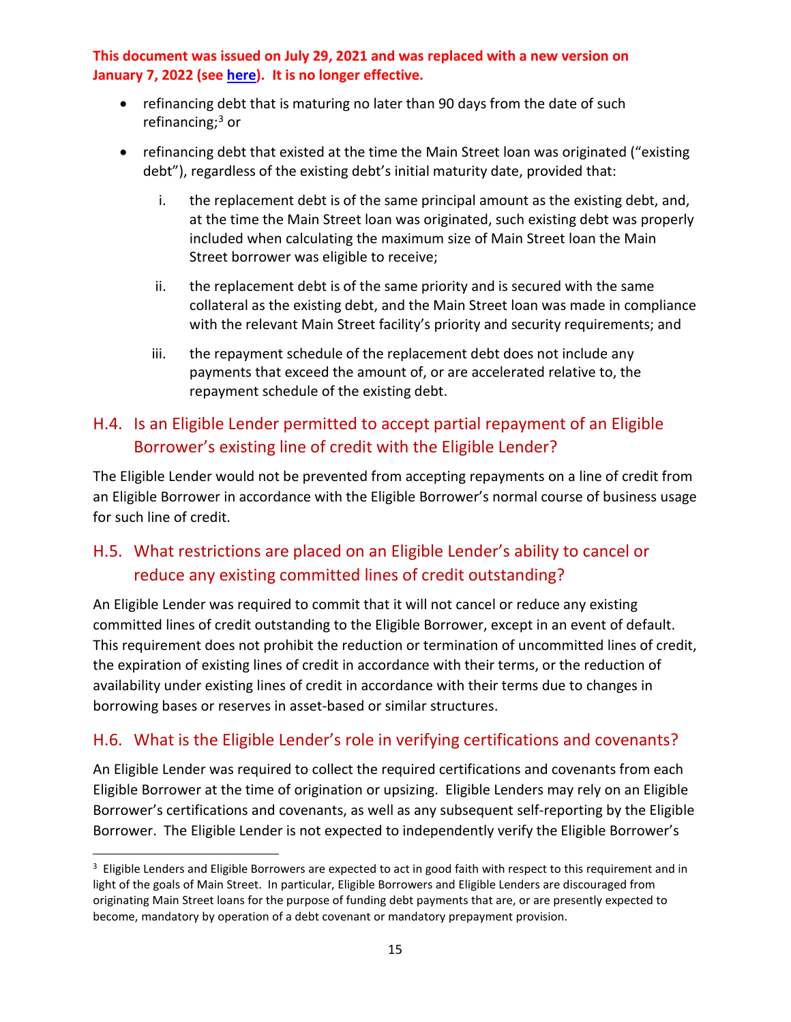- refinancing debt that is maturing no later than 90 days from the date of such refinancing;<sup>[3](#page-14-3)</sup> or
- refinancing debt that existed at the time the Main Street loan was originated ("existing debt"), regardless of the existing debt's initial maturity date, provided that:
	- i. the replacement debt is of the same principal amount as the existing debt, and, at the time the Main Street loan was originated, such existing debt was properly included when calculating the maximum size of Main Street loan the Main Street borrower was eligible to receive;
	- ii. the replacement debt is of the same priority and is secured with the same collateral as the existing debt, and the Main Street loan was made in compliance with the relevant Main Street facility's priority and security requirements; and
	- iii. the repayment schedule of the replacement debt does not include any payments that exceed the amount of, or are accelerated relative to, the repayment schedule of the existing debt.

### <span id="page-14-0"></span>H.4. Is an Eligible Lender permitted to accept partial repayment of an Eligible Borrower's existing line of credit with the Eligible Lender?

The Eligible Lender would not be prevented from accepting repayments on a line of credit from an Eligible Borrower in accordance with the Eligible Borrower's normal course of business usage for such line of credit.

# <span id="page-14-1"></span>H.5. What restrictions are placed on an Eligible Lender's ability to cancel or reduce any existing committed lines of credit outstanding?

An Eligible Lender was required to commit that it will not cancel or reduce any existing committed lines of credit outstanding to the Eligible Borrower, except in an event of default. This requirement does not prohibit the reduction or termination of uncommitted lines of credit, the expiration of existing lines of credit in accordance with their terms, or the reduction of availability under existing lines of credit in accordance with their terms due to changes in borrowing bases or reserves in asset-based or similar structures.

# <span id="page-14-2"></span>H.6. What is the Eligible Lender's role in verifying certifications and covenants?

An Eligible Lender was required to collect the required certifications and covenants from each Eligible Borrower at the time of origination or upsizing. Eligible Lenders may rely on an Eligible Borrower's certifications and covenants, as well as any subsequent self-reporting by the Eligible Borrower. The Eligible Lender is not expected to independently verify the Eligible Borrower's

<span id="page-14-3"></span><sup>&</sup>lt;sup>3</sup> Eligible Lenders and Eligible Borrowers are expected to act in good faith with respect to this requirement and in light of the goals of Main Street. In particular, Eligible Borrowers and Eligible Lenders are discouraged from originating Main Street loans for the purpose of funding debt payments that are, or are presently expected to become, mandatory by operation of a debt covenant or mandatory prepayment provision.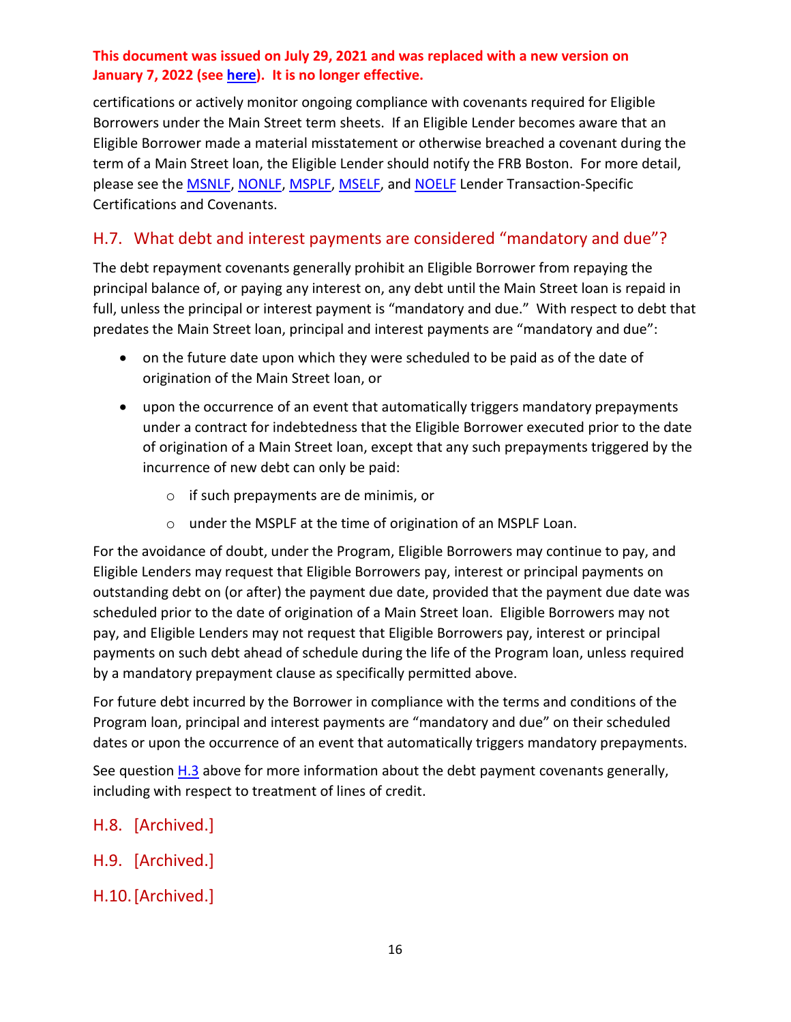certifications or actively monitor ongoing compliance with covenants required for Eligible Borrowers under the Main Street term sheets. If an Eligible Lender becomes aware that an Eligible Borrower made a material misstatement or otherwise breached a covenant during the term of a Main Street loan, the Eligible Lender should notify the FRB Boston. For more detail, please see the **MSNLF, [NONLF,](https://www.bostonfed.org/-/media/Documents/special-lending-facilities/mslp/legal/nonlf-lender-transaction-specific-certifications-and-covenants.pdf?la=en) [MSPLF,](https://www.bostonfed.org/-/media/Documents/special-lending-facilities/mslp/legal/msplf-lender-transaction-specific-certifications-and-covenants.pdf?la=en) MSELF**, and **NOELF** Lender Transaction-Specific Certifications and Covenants.

### <span id="page-15-0"></span>H.7. What debt and interest payments are considered "mandatory and due"?

The debt repayment covenants generally prohibit an Eligible Borrower from repaying the principal balance of, or paying any interest on, any debt until the Main Street loan is repaid in full, unless the principal or interest payment is "mandatory and due." With respect to debt that predates the Main Street loan, principal and interest payments are "mandatory and due":

- on the future date upon which they were scheduled to be paid as of the date of origination of the Main Street loan, or
- upon the occurrence of an event that automatically triggers mandatory prepayments under a contract for indebtedness that the Eligible Borrower executed prior to the date of origination of a Main Street loan, except that any such prepayments triggered by the incurrence of new debt can only be paid:
	- o if such prepayments are de minimis, or
	- o under the MSPLF at the time of origination of an MSPLF Loan.

For the avoidance of doubt, under the Program, Eligible Borrowers may continue to pay, and Eligible Lenders may request that Eligible Borrowers pay, interest or principal payments on outstanding debt on (or after) the payment due date, provided that the payment due date was scheduled prior to the date of origination of a Main Street loan. Eligible Borrowers may not pay, and Eligible Lenders may not request that Eligible Borrowers pay, interest or principal payments on such debt ahead of schedule during the life of the Program loan, unless required by a mandatory prepayment clause as specifically permitted above.

For future debt incurred by the Borrower in compliance with the terms and conditions of the Program loan, principal and interest payments are "mandatory and due" on their scheduled dates or upon the occurrence of an event that automatically triggers mandatory prepayments.

See question [H.3](#page-13-0) above for more information about the debt payment covenants generally, including with respect to treatment of lines of credit.

### H.8. [Archived.]

- H.9. [Archived.]
- H.10.[Archived.]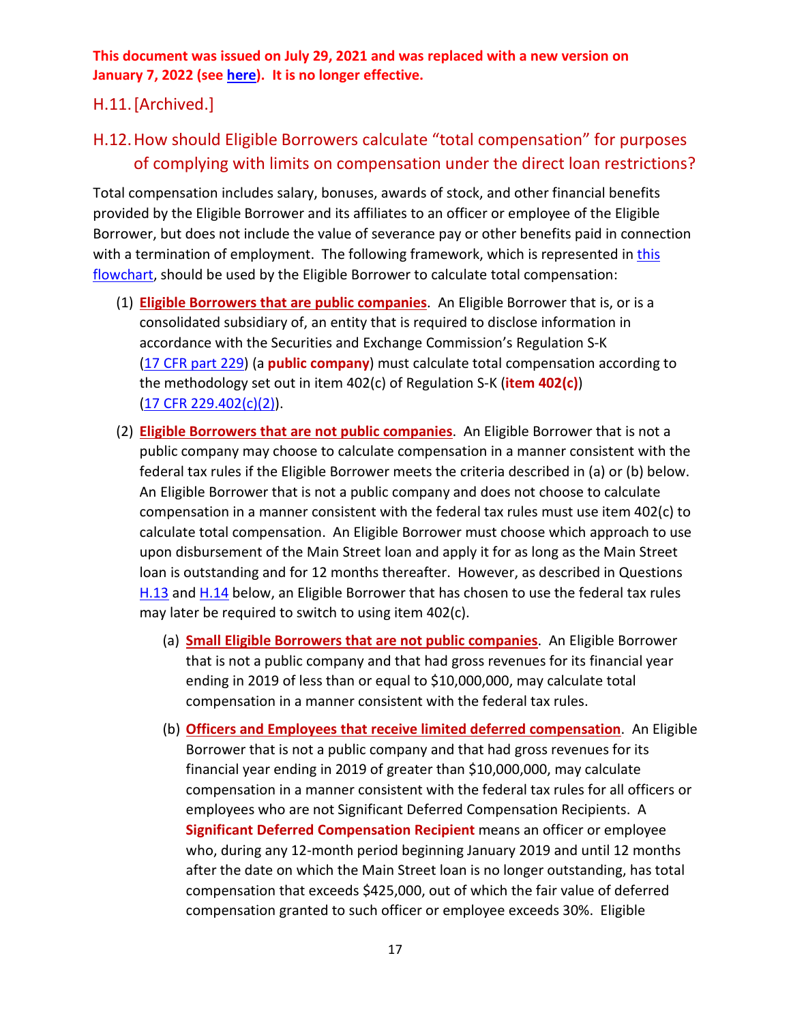### H.11.[Archived.]

### <span id="page-16-0"></span>H.12.How should Eligible Borrowers calculate "total compensation" for purposes of complying with limits on compensation under the direct loan restrictions?

Total compensation includes salary, bonuses, awards of stock, and other financial benefits provided by the Eligible Borrower and its affiliates to an officer or employee of the Eligible Borrower, but does not include the value of severance pay or other benefits paid in connection with a termination of employment. The following framework, which is represented in this [flowchart,](https://www.bostonfed.org/-/media/Documents/special-lending-facilities/mslp/legal/Total-Compensation-FAQ.pdf) should be used by the Eligible Borrower to calculate total compensation:

- (1) **Eligible Borrowers that are public companies**. An Eligible Borrower that is, or is a consolidated subsidiary of, an entity that is required to disclose information in accordance with the Securities and Exchange Commission's Regulation S-K (17 CFR part [229\)](https://www.ecfr.gov/cgi-bin/text-idx?tpl=/ecfrbrowse/Title17/17cfr229_main_02.tpl) (a **public company**) must calculate total compensation according to the methodology set out in item 402(c) of Regulation S-K (**item 402(c)**) (17 CFR [229.402\(c\)\(2\)\)](https://www.ecfr.gov/cgi-bin/text-idx?SID=196c5f2a1f5f9eb8d47839cc87c2e01e&mc=true&node=se17.3.229_1402&rgn=div8).
- (2) **Eligible Borrowers that are not public companies**. An Eligible Borrower that is not a public company may choose to calculate compensation in a manner consistent with the federal tax rules if the Eligible Borrower meets the criteria described in (a) or (b) below. An Eligible Borrower that is not a public company and does not choose to calculate compensation in a manner consistent with the federal tax rules must use item 402(c) to calculate total compensation. An Eligible Borrower must choose which approach to use upon disbursement of the Main Street loan and apply it for as long as the Main Street loan is outstanding and for 12 months thereafter. However, as described in Questions [H.13](#page-17-0) and [H.14](#page-18-0) below, an Eligible Borrower that has chosen to use the federal tax rules may later be required to switch to using item 402(c).
	- (a) **Small Eligible Borrowers that are not public companies**. An Eligible Borrower that is not a public company and that had gross revenues for its financial year ending in 2019 of less than or equal to \$10,000,000, may calculate total compensation in a manner consistent with the federal tax rules.
	- (b) **Officers and Employees that receive limited deferred compensation**. An Eligible Borrower that is not a public company and that had gross revenues for its financial year ending in 2019 of greater than \$10,000,000, may calculate compensation in a manner consistent with the federal tax rules for all officers or employees who are not Significant Deferred Compensation Recipients. A **Significant Deferred Compensation Recipient** means an officer or employee who, during any 12-month period beginning January 2019 and until 12 months after the date on which the Main Street loan is no longer outstanding, has total compensation that exceeds \$425,000, out of which the fair value of deferred compensation granted to such officer or employee exceeds 30%. Eligible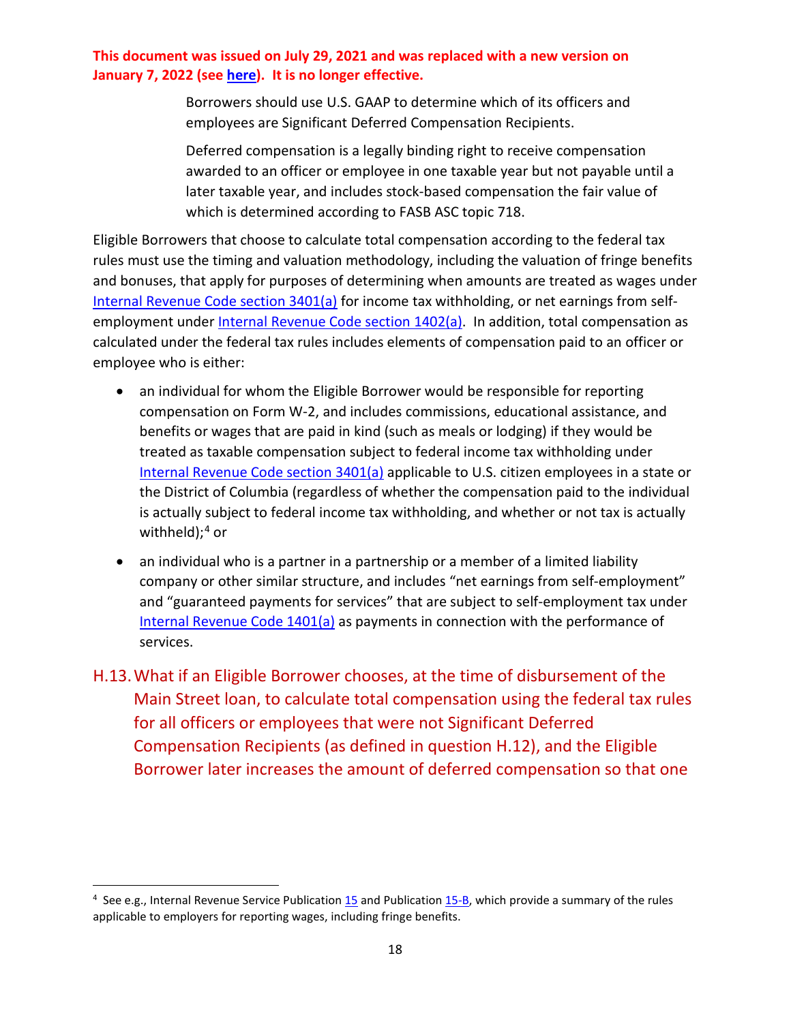Borrowers should use U.S. GAAP to determine which of its officers and employees are Significant Deferred Compensation Recipients.

Deferred compensation is a legally binding right to receive compensation awarded to an officer or employee in one taxable year but not payable until a later taxable year, and includes stock-based compensation the fair value of which is determined according to FASB ASC topic 718.

Eligible Borrowers that choose to calculate total compensation according to the federal tax rules must use the timing and valuation methodology, including the valuation of fringe benefits and bonuses, that apply for purposes of determining when amounts are treated as wages under [Internal Revenue Code section 3401\(a\)](https://uscode.house.gov/view.xhtml?req=(title:26%20section:3401%20edition:prelim)%20OR%20(granuleid:USC-prelim-title26-section3401)&f=treesort&edition=prelim&num=0&jumpTo=true) for income tax withholding, or net earnings from selfemployment unde[r Internal Revenue Code section 1402\(a\).](https://uscode.house.gov/view.xhtml?req=(title:26%20section:1402%20edition:prelim)%20OR%20(granuleid:USC-prelim-title26-section1402)&f=treesort&edition=prelim&num=0&jumpTo=true) In addition, total compensation as calculated under the federal tax rules includes elements of compensation paid to an officer or employee who is either:

- an individual for whom the Eligible Borrower would be responsible for reporting compensation on Form W-2, and includes commissions, educational assistance, and benefits or wages that are paid in kind (such as meals or lodging) if they would be treated as taxable compensation subject to federal income tax withholding under [Internal Revenue Code section 3401\(a\)](https://uscode.house.gov/view.xhtml?req=(title:26%20section:3401%20edition:prelim)%20OR%20(granuleid:USC-prelim-title26-section3401)&f=treesort&edition=prelim&num=0&jumpTo=true) applicable to U.S. citizen employees in a state or the District of Columbia (regardless of whether the compensation paid to the individual is actually subject to federal income tax withholding, and whether or not tax is actually withheld); $4$  or
- an individual who is a partner in a partnership or a member of a limited liability company or other similar structure, and includes "net earnings from self-employment" and "guaranteed payments for services" that are subject to self-employment tax under [Internal Revenue Code 1401\(a\)](https://uscode.house.gov/view.xhtml?req=(title:26%20section:1401%20edition:prelim)%20OR%20(granuleid:USC-prelim-title26-section1401)&f=treesort&edition=prelim&num=0&jumpTo=true) as payments in connection with the performance of services.
- <span id="page-17-0"></span>H.13.What if an Eligible Borrower chooses, at the time of disbursement of the Main Street loan, to calculate total compensation using the federal tax rules for all officers or employees that were not Significant Deferred Compensation Recipients (as defined in question H.12), and the Eligible Borrower later increases the amount of deferred compensation so that one

<span id="page-17-1"></span><sup>&</sup>lt;sup>4</sup> See e.g., Internal Revenue Service Publication [15](https://www.irs.gov/pub/irs-pdf/p15.pdf) and Publication [15-B,](https://www.irs.gov/publications/p15b) which provide a summary of the rules applicable to employers for reporting wages, including fringe benefits.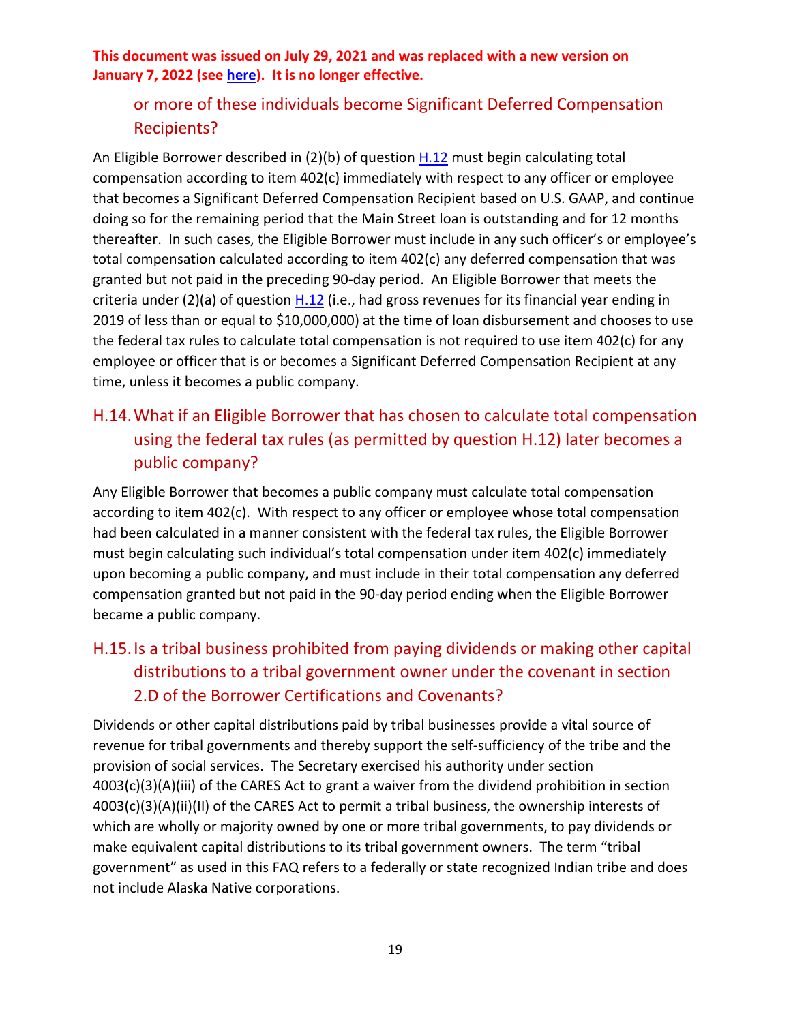# or more of these individuals become Significant Deferred Compensation Recipients?

An Eligible Borrower described in (2)(b) of question [H.12](#page-16-0) must begin calculating total compensation according to item 402(c) immediately with respect to any officer or employee that becomes a Significant Deferred Compensation Recipient based on U.S. GAAP, and continue doing so for the remaining period that the Main Street loan is outstanding and for 12 months thereafter. In such cases, the Eligible Borrower must include in any such officer's or employee's total compensation calculated according to item 402(c) any deferred compensation that was granted but not paid in the preceding 90-day period. An Eligible Borrower that meets the criteria under (2)(a) of question [H.12](#page-16-0) (i.e., had gross revenues for its financial year ending in 2019 of less than or equal to \$10,000,000) at the time of loan disbursement and chooses to use the federal tax rules to calculate total compensation is not required to use item 402(c) for any employee or officer that is or becomes a Significant Deferred Compensation Recipient at any time, unless it becomes a public company.

# <span id="page-18-0"></span>H.14.What if an Eligible Borrower that has chosen to calculate total compensation using the federal tax rules (as permitted by question H.12) later becomes a public company?

Any Eligible Borrower that becomes a public company must calculate total compensation according to item 402(c). With respect to any officer or employee whose total compensation had been calculated in a manner consistent with the federal tax rules, the Eligible Borrower must begin calculating such individual's total compensation under item 402(c) immediately upon becoming a public company, and must include in their total compensation any deferred compensation granted but not paid in the 90-day period ending when the Eligible Borrower became a public company.

# <span id="page-18-1"></span>H.15.Is a tribal business prohibited from paying dividends or making other capital distributions to a tribal government owner under the covenant in section 2.D of the Borrower Certifications and Covenants?

Dividends or other capital distributions paid by tribal businesses provide a vital source of revenue for tribal governments and thereby support the self-sufficiency of the tribe and the provision of social services. The Secretary exercised his authority under section 4003(c)(3)(A)(iii) of the CARES Act to grant a waiver from the dividend prohibition in section 4003(c)(3)(A)(ii)(II) of the CARES Act to permit a tribal business, the ownership interests of which are wholly or majority owned by one or more tribal governments, to pay dividends or make equivalent capital distributions to its tribal government owners. The term "tribal government" as used in this FAQ refers to a federally or state recognized Indian tribe and does not include Alaska Native corporations.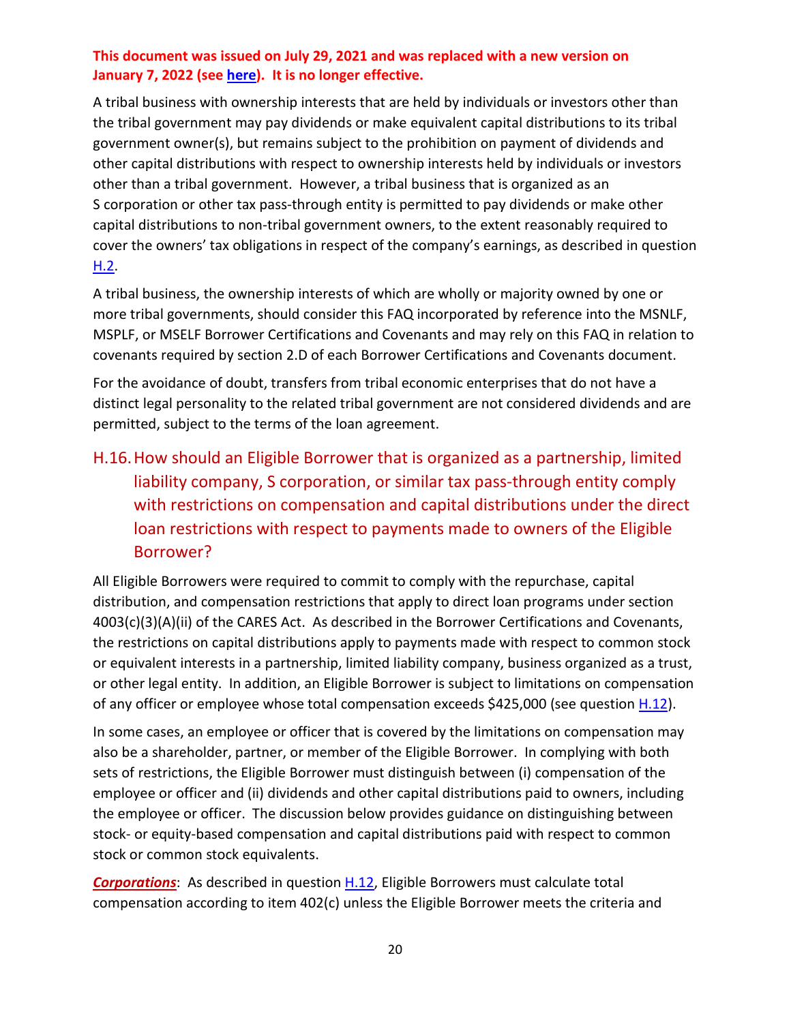A tribal business with ownership interests that are held by individuals or investors other than the tribal government may pay dividends or make equivalent capital distributions to its tribal government owner(s), but remains subject to the prohibition on payment of dividends and other capital distributions with respect to ownership interests held by individuals or investors other than a tribal government. However, a tribal business that is organized as an S corporation or other tax pass-through entity is permitted to pay dividends or make other capital distributions to non-tribal government owners, to the extent reasonably required to cover the owners' tax obligations in respect of the company's earnings, as described in question [H.2.](#page-12-3)

A tribal business, the ownership interests of which are wholly or majority owned by one or more tribal governments, should consider this FAQ incorporated by reference into the MSNLF, MSPLF, or MSELF Borrower Certifications and Covenants and may rely on this FAQ in relation to covenants required by section 2.D of each Borrower Certifications and Covenants document.

For the avoidance of doubt, transfers from tribal economic enterprises that do not have a distinct legal personality to the related tribal government are not considered dividends and are permitted, subject to the terms of the loan agreement.

# <span id="page-19-0"></span>H.16.How should an Eligible Borrower that is organized as a partnership, limited liability company, S corporation, or similar tax pass-through entity comply with restrictions on compensation and capital distributions under the direct loan restrictions with respect to payments made to owners of the Eligible Borrower?

All Eligible Borrowers were required to commit to comply with the repurchase, capital distribution, and compensation restrictions that apply to direct loan programs under section 4003(c)(3)(A)(ii) of the CARES Act. As described in the Borrower Certifications and Covenants, the restrictions on capital distributions apply to payments made with respect to common stock or equivalent interests in a partnership, limited liability company, business organized as a trust, or other legal entity. In addition, an Eligible Borrower is subject to limitations on compensation of any officer or employee whose total compensation exceeds \$425,000 (see question [H.12\)](#page-16-0).

In some cases, an employee or officer that is covered by the limitations on compensation may also be a shareholder, partner, or member of the Eligible Borrower. In complying with both sets of restrictions, the Eligible Borrower must distinguish between (i) compensation of the employee or officer and (ii) dividends and other capital distributions paid to owners, including the employee or officer. The discussion below provides guidance on distinguishing between stock- or equity-based compensation and capital distributions paid with respect to common stock or common stock equivalents.

**Corporations**: As described in question **H.12**, Eligible Borrowers must calculate total compensation according to item 402(c) unless the Eligible Borrower meets the criteria and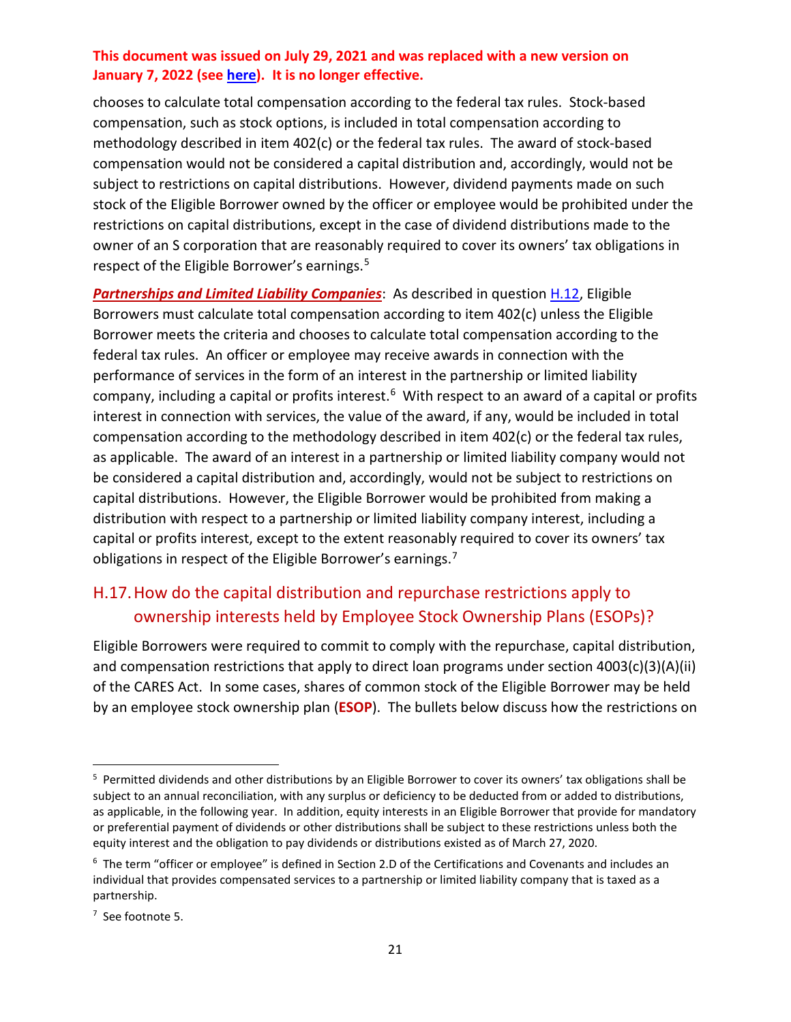chooses to calculate total compensation according to the federal tax rules. Stock-based compensation, such as stock options, is included in total compensation according to methodology described in item 402(c) or the federal tax rules. The award of stock-based compensation would not be considered a capital distribution and, accordingly, would not be subject to restrictions on capital distributions. However, dividend payments made on such stock of the Eligible Borrower owned by the officer or employee would be prohibited under the restrictions on capital distributions, except in the case of dividend distributions made to the owner of an S corporation that are reasonably required to cover its owners' tax obligations in respect of the Eligible Borrower's earnings.<sup>[5](#page-20-2)</sup>

<span id="page-20-1"></span>*Partnerships and Limited Liability Companies*: As described in question [H.12,](#page-16-0) Eligible Borrowers must calculate total compensation according to item 402(c) unless the Eligible Borrower meets the criteria and chooses to calculate total compensation according to the federal tax rules. An officer or employee may receive awards in connection with the performance of services in the form of an interest in the partnership or limited liability company, including a capital or profits interest.<sup>[6](#page-20-3)</sup> With respect to an award of a capital or profits interest in connection with services, the value of the award, if any, would be included in total compensation according to the methodology described in item 402(c) or the federal tax rules, as applicable. The award of an interest in a partnership or limited liability company would not be considered a capital distribution and, accordingly, would not be subject to restrictions on capital distributions. However, the Eligible Borrower would be prohibited from making a distribution with respect to a partnership or limited liability company interest, including a capital or profits interest, except to the extent reasonably required to cover its owners' tax obligations in respect of the Eligible Borrower's earnings.<sup>[7](#page-20-4)</sup>

# <span id="page-20-0"></span>H.17.How do the capital distribution and repurchase restrictions apply to ownership interests held by Employee Stock Ownership Plans (ESOPs)?

Eligible Borrowers were required to commit to comply with the repurchase, capital distribution, and compensation restrictions that apply to direct loan programs under section 4003(c)(3)(A)(ii) of the CARES Act. In some cases, shares of common stock of the Eligible Borrower may be held by an employee stock ownership plan (**ESOP**). The bullets below discuss how the restrictions on

<span id="page-20-2"></span><sup>&</sup>lt;sup>5</sup> Permitted dividends and other distributions by an Eligible Borrower to cover its owners' tax obligations shall be subject to an annual reconciliation, with any surplus or deficiency to be deducted from or added to distributions, as applicable, in the following year. In addition, equity interests in an Eligible Borrower that provide for mandatory or preferential payment of dividends or other distributions shall be subject to these restrictions unless both the equity interest and the obligation to pay dividends or distributions existed as of March 27, 2020.

<span id="page-20-3"></span><sup>6</sup> The term "officer or employee" is defined in Section 2.D of the Certifications and Covenants and includes an individual that provides compensated services to a partnership or limited liability company that is taxed as a partnership.

<span id="page-20-4"></span><sup>7</sup> See footnot[e 5.](#page-20-1)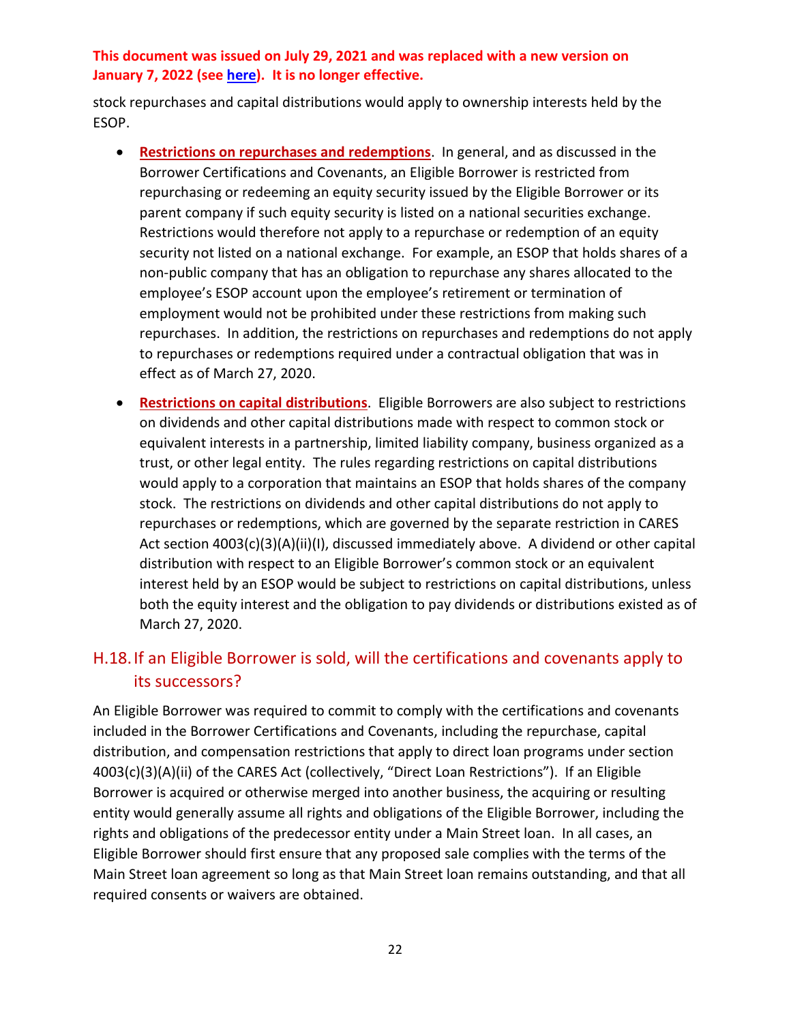stock repurchases and capital distributions would apply to ownership interests held by the ESOP.

- **Restrictions on repurchases and redemptions**. In general, and as discussed in the Borrower Certifications and Covenants, an Eligible Borrower is restricted from repurchasing or redeeming an equity security issued by the Eligible Borrower or its parent company if such equity security is listed on a national securities exchange. Restrictions would therefore not apply to a repurchase or redemption of an equity security not listed on a national exchange. For example, an ESOP that holds shares of a non-public company that has an obligation to repurchase any shares allocated to the employee's ESOP account upon the employee's retirement or termination of employment would not be prohibited under these restrictions from making such repurchases. In addition, the restrictions on repurchases and redemptions do not apply to repurchases or redemptions required under a contractual obligation that was in effect as of March 27, 2020.
- **Restrictions on capital distributions**. Eligible Borrowers are also subject to restrictions on dividends and other capital distributions made with respect to common stock or equivalent interests in a partnership, limited liability company, business organized as a trust, or other legal entity. The rules regarding restrictions on capital distributions would apply to a corporation that maintains an ESOP that holds shares of the company stock. The restrictions on dividends and other capital distributions do not apply to repurchases or redemptions, which are governed by the separate restriction in CARES Act section 4003(c)(3)(A)(ii)(I), discussed immediately above. A dividend or other capital distribution with respect to an Eligible Borrower's common stock or an equivalent interest held by an ESOP would be subject to restrictions on capital distributions, unless both the equity interest and the obligation to pay dividends or distributions existed as of March 27, 2020.

### <span id="page-21-0"></span>H.18.If an Eligible Borrower is sold, will the certifications and covenants apply to its successors?

An Eligible Borrower was required to commit to comply with the certifications and covenants included in the Borrower Certifications and Covenants, including the repurchase, capital distribution, and compensation restrictions that apply to direct loan programs under section 4003(c)(3)(A)(ii) of the CARES Act (collectively, "Direct Loan Restrictions"). If an Eligible Borrower is acquired or otherwise merged into another business, the acquiring or resulting entity would generally assume all rights and obligations of the Eligible Borrower, including the rights and obligations of the predecessor entity under a Main Street loan. In all cases, an Eligible Borrower should first ensure that any proposed sale complies with the terms of the Main Street loan agreement so long as that Main Street loan remains outstanding, and that all required consents or waivers are obtained.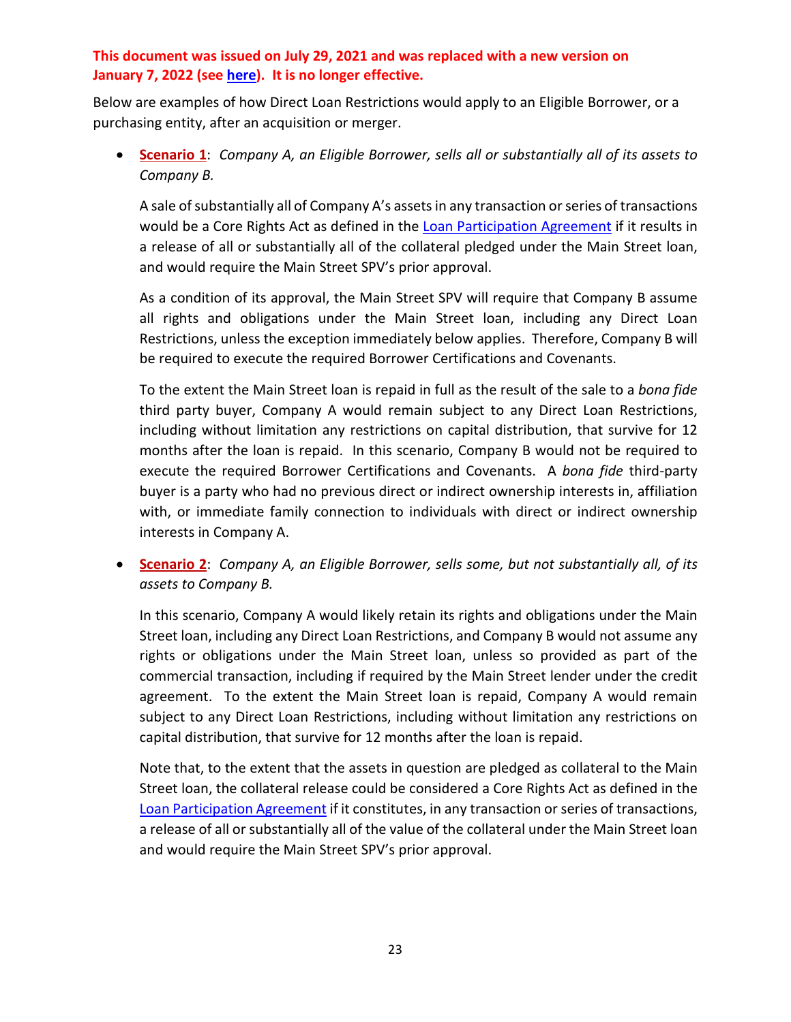Below are examples of how Direct Loan Restrictions would apply to an Eligible Borrower, or a purchasing entity, after an acquisition or merger.

• **Scenario 1**: *Company A, an Eligible Borrower, sells all or substantially all of its assets to Company B.*

A sale of substantially all of Company A's assets in any transaction or series of transactions would be a Core Rights Act as defined in the [Loan Participation Agreement](https://www.bostonfed.org/-/media/Documents/special-lending-facilities/mslp/legal/loan-participation-agreement-standard-terms-and-conditions-historic-July312020.pdf?la=en) if it results in a release of all or substantially all of the collateral pledged under the Main Street loan, and would require the Main Street SPV's prior approval.

As a condition of its approval, the Main Street SPV will require that Company B assume all rights and obligations under the Main Street loan, including any Direct Loan Restrictions, unless the exception immediately below applies. Therefore, Company B will be required to execute the required Borrower Certifications and Covenants.

To the extent the Main Street loan is repaid in full as the result of the sale to a *bona fide* third party buyer, Company A would remain subject to any Direct Loan Restrictions, including without limitation any restrictions on capital distribution, that survive for 12 months after the loan is repaid. In this scenario, Company B would not be required to execute the required Borrower Certifications and Covenants. A *bona fide* third-party buyer is a party who had no previous direct or indirect ownership interests in, affiliation with, or immediate family connection to individuals with direct or indirect ownership interests in Company A.

• **Scenario 2**: *Company A, an Eligible Borrower, sells some, but not substantially all, of its assets to Company B.*

In this scenario, Company A would likely retain its rights and obligations under the Main Street loan, including any Direct Loan Restrictions, and Company B would not assume any rights or obligations under the Main Street loan, unless so provided as part of the commercial transaction, including if required by the Main Street lender under the credit agreement. To the extent the Main Street loan is repaid, Company A would remain subject to any Direct Loan Restrictions, including without limitation any restrictions on capital distribution, that survive for 12 months after the loan is repaid.

Note that, to the extent that the assets in question are pledged as collateral to the Main Street loan, the collateral release could be considered a Core Rights Act as defined in the [Loan Participation Agreement](https://www.bostonfed.org/-/media/Documents/special-lending-facilities/mslp/legal/loan-participation-agreement-standard-terms-and-conditions-historic-July312020.pdf?la=en) if it constitutes, in any transaction or series of transactions, a release of all or substantially all of the value of the collateral under the Main Street loan and would require the Main Street SPV's prior approval.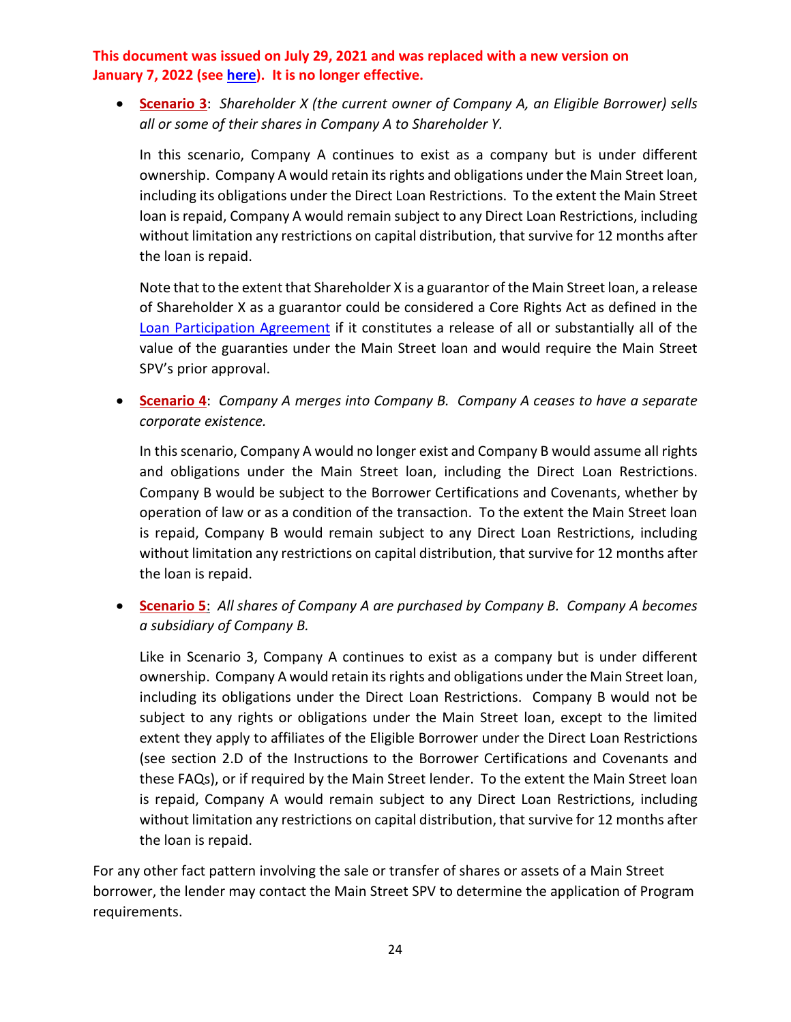• **Scenario 3**: *Shareholder X (the current owner of Company A, an Eligible Borrower) sells all or some of their shares in Company A to Shareholder Y.*

In this scenario, Company A continues to exist as a company but is under different ownership. Company A would retain its rights and obligations under the Main Street loan, including its obligations under the Direct Loan Restrictions. To the extent the Main Street loan is repaid, Company A would remain subject to any Direct Loan Restrictions, including without limitation any restrictions on capital distribution, that survive for 12 months after the loan is repaid.

Note that to the extent that Shareholder X is a guarantor of the Main Street loan, a release of Shareholder X as a guarantor could be considered a Core Rights Act as defined in the [Loan Participation Agreement](https://www.bostonfed.org/-/media/Documents/special-lending-facilities/mslp/legal/loan-participation-agreement-standard-terms-and-conditions-historic-July312020.pdf?la=en) if it constitutes a release of all or substantially all of the value of the guaranties under the Main Street loan and would require the Main Street SPV's prior approval.

• **Scenario 4**: *Company A merges into Company B. Company A ceases to have a separate corporate existence.*

In this scenario, Company A would no longer exist and Company B would assume all rights and obligations under the Main Street loan, including the Direct Loan Restrictions. Company B would be subject to the Borrower Certifications and Covenants, whether by operation of law or as a condition of the transaction. To the extent the Main Street loan is repaid, Company B would remain subject to any Direct Loan Restrictions, including without limitation any restrictions on capital distribution, that survive for 12 months after the loan is repaid.

• **Scenario 5**: *All shares of Company A are purchased by Company B. Company A becomes a subsidiary of Company B.*

Like in Scenario 3, Company A continues to exist as a company but is under different ownership. Company A would retain its rights and obligations under the Main Street loan, including its obligations under the Direct Loan Restrictions. Company B would not be subject to any rights or obligations under the Main Street loan, except to the limited extent they apply to affiliates of the Eligible Borrower under the Direct Loan Restrictions (see section 2.D of the Instructions to the Borrower Certifications and Covenants and these FAQs), or if required by the Main Street lender. To the extent the Main Street loan is repaid, Company A would remain subject to any Direct Loan Restrictions, including without limitation any restrictions on capital distribution, that survive for 12 months after the loan is repaid.

For any other fact pattern involving the sale or transfer of shares or assets of a Main Street borrower, the lender may contact the Main Street SPV to determine the application of Program requirements.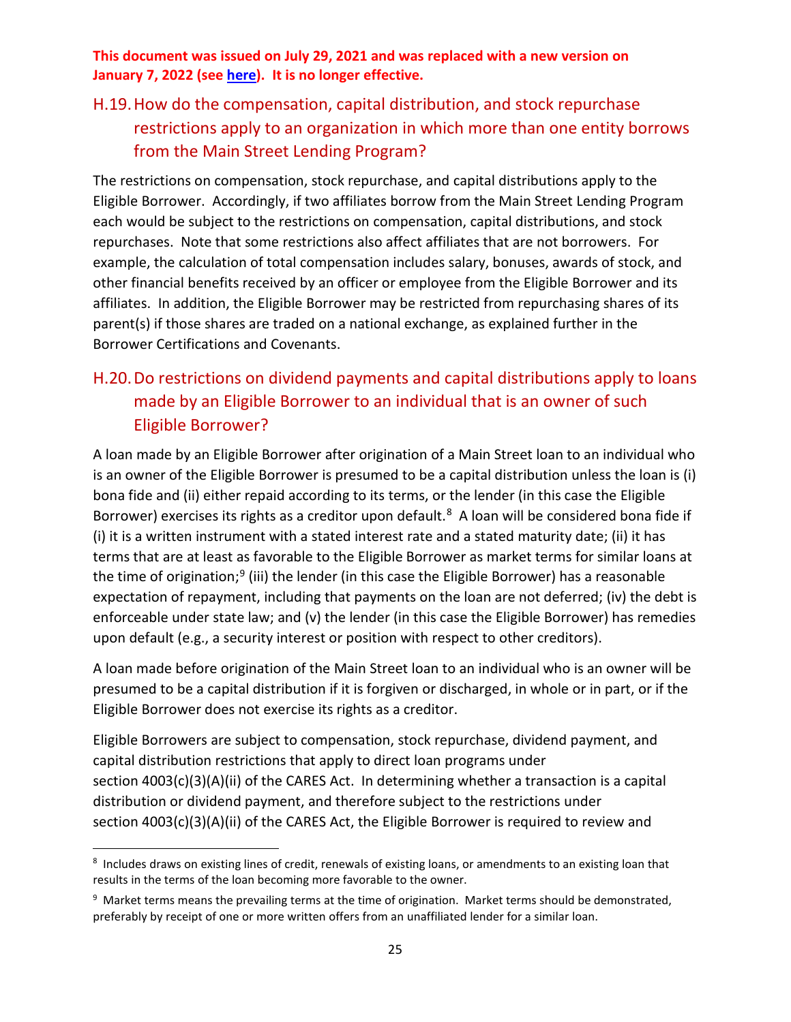# <span id="page-24-0"></span>H.19.How do the compensation, capital distribution, and stock repurchase restrictions apply to an organization in which more than one entity borrows from the Main Street Lending Program?

The restrictions on compensation, stock repurchase, and capital distributions apply to the Eligible Borrower. Accordingly, if two affiliates borrow from the Main Street Lending Program each would be subject to the restrictions on compensation, capital distributions, and stock repurchases. Note that some restrictions also affect affiliates that are not borrowers. For example, the calculation of total compensation includes salary, bonuses, awards of stock, and other financial benefits received by an officer or employee from the Eligible Borrower and its affiliates. In addition, the Eligible Borrower may be restricted from repurchasing shares of its parent(s) if those shares are traded on a national exchange, as explained further in the Borrower Certifications and Covenants.

# <span id="page-24-1"></span>H.20.Do restrictions on dividend payments and capital distributions apply to loans made by an Eligible Borrower to an individual that is an owner of such Eligible Borrower?

A loan made by an Eligible Borrower after origination of a Main Street loan to an individual who is an owner of the Eligible Borrower is presumed to be a capital distribution unless the loan is (i) bona fide and (ii) either repaid according to its terms, or the lender (in this case the Eligible Borrower) exercises its rights as a creditor upon default.<sup>8</sup> A loan will be considered bona fide if (i) it is a written instrument with a stated interest rate and a stated maturity date; (ii) it has terms that are at least as favorable to the Eligible Borrower as market terms for similar loans at the time of origination;<sup>[9](#page-24-3)</sup> (iii) the lender (in this case the Eligible Borrower) has a reasonable expectation of repayment, including that payments on the loan are not deferred; (iv) the debt is enforceable under state law; and (v) the lender (in this case the Eligible Borrower) has remedies upon default (e.g., a security interest or position with respect to other creditors).

A loan made before origination of the Main Street loan to an individual who is an owner will be presumed to be a capital distribution if it is forgiven or discharged, in whole or in part, or if the Eligible Borrower does not exercise its rights as a creditor.

Eligible Borrowers are subject to compensation, stock repurchase, dividend payment, and capital distribution restrictions that apply to direct loan programs under section 4003(c)(3)(A)(ii) of the CARES Act. In determining whether a transaction is a capital distribution or dividend payment, and therefore subject to the restrictions under section 4003(c)(3)(A)(ii) of the CARES Act, the Eligible Borrower is required to review and

<span id="page-24-2"></span><sup>&</sup>lt;sup>8</sup> Includes draws on existing lines of credit, renewals of existing loans, or amendments to an existing loan that results in the terms of the loan becoming more favorable to the owner.

<span id="page-24-3"></span> $9$  Market terms means the prevailing terms at the time of origination. Market terms should be demonstrated, preferably by receipt of one or more written offers from an unaffiliated lender for a similar loan.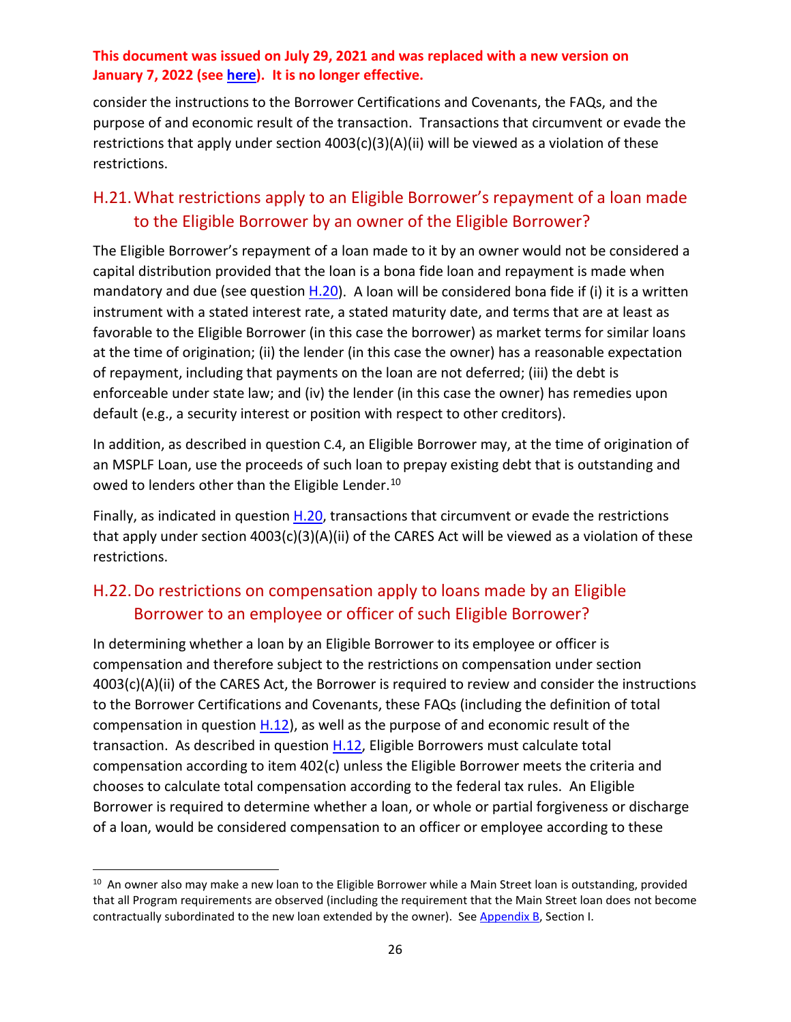consider the instructions to the Borrower Certifications and Covenants, the FAQs, and the purpose of and economic result of the transaction. Transactions that circumvent or evade the restrictions that apply under section 4003(c)(3)(A)(ii) will be viewed as a violation of these restrictions.

### <span id="page-25-0"></span>H.21.What restrictions apply to an Eligible Borrower's repayment of a loan made to the Eligible Borrower by an owner of the Eligible Borrower?

The Eligible Borrower's repayment of a loan made to it by an owner would not be considered a capital distribution provided that the loan is a bona fide loan and repayment is made when mandatory and due (see question [H.20\)](#page-24-1). A loan will be considered bona fide if (i) it is a written instrument with a stated interest rate, a stated maturity date, and terms that are at least as favorable to the Eligible Borrower (in this case the borrower) as market terms for similar loans at the time of origination; (ii) the lender (in this case the owner) has a reasonable expectation of repayment, including that payments on the loan are not deferred; (iii) the debt is enforceable under state law; and (iv) the lender (in this case the owner) has remedies upon default (e.g., a security interest or position with respect to other creditors).

In addition, as described in question C.4, an Eligible Borrower may, at the time of origination of an MSPLF Loan, use the proceeds of such loan to prepay existing debt that is outstanding and owed to lenders other than the Eligible Lender.<sup>[10](#page-25-2)</sup>

Finally, as indicated in question [H.20,](#page-24-1) transactions that circumvent or evade the restrictions that apply under section 4003(c)(3)(A)(ii) of the CARES Act will be viewed as a violation of these restrictions.

# <span id="page-25-1"></span>H.22.Do restrictions on compensation apply to loans made by an Eligible Borrower to an employee or officer of such Eligible Borrower?

In determining whether a loan by an Eligible Borrower to its employee or officer is compensation and therefore subject to the restrictions on compensation under section 4003(c)(A)(ii) of the CARES Act, the Borrower is required to review and consider the instructions to the Borrower Certifications and Covenants, these FAQs (including the definition of total compensation in question [H.12\)](#page-16-0), as well as the purpose of and economic result of the transaction. As described in question [H.12,](#page-16-0) Eligible Borrowers must calculate total compensation according to item 402(c) unless the Eligible Borrower meets the criteria and chooses to calculate total compensation according to the federal tax rules. An Eligible Borrower is required to determine whether a loan, or whole or partial forgiveness or discharge of a loan, would be considered compensation to an officer or employee according to these

<span id="page-25-2"></span> $10$  An owner also may make a new loan to the Eligible Borrower while a Main Street loan is outstanding, provided that all Program requirements are observed (including the requirement that the Main Street loan does not become contractually subordinated to the new loan extended by the owner). See [Appendix B,](#page-51-0) Section I.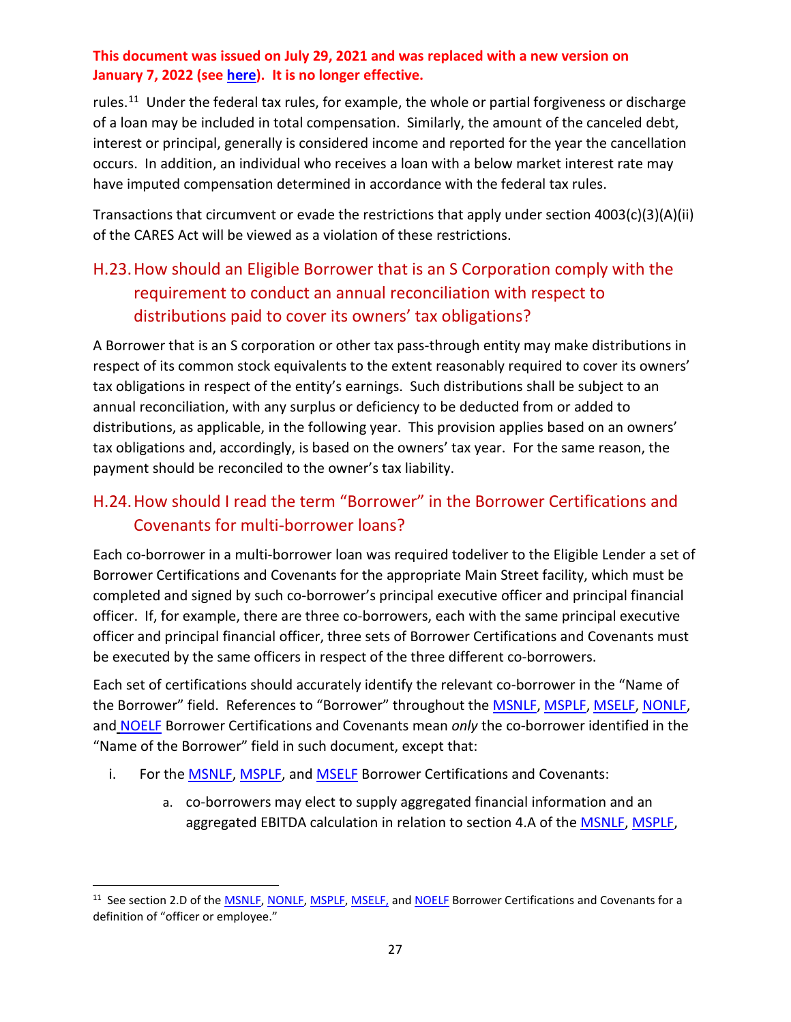rules[.11](#page-26-2) Under the federal tax rules, for example, the whole or partial forgiveness or discharge of a loan may be included in total compensation. Similarly, the amount of the canceled debt, interest or principal, generally is considered income and reported for the year the cancellation occurs. In addition, an individual who receives a loan with a below market interest rate may have imputed compensation determined in accordance with the federal tax rules.

Transactions that circumvent or evade the restrictions that apply under section 4003(c)(3)(A)(ii) of the CARES Act will be viewed as a violation of these restrictions.

# <span id="page-26-0"></span>H.23.How should an Eligible Borrower that is an S Corporation comply with the requirement to conduct an annual reconciliation with respect to distributions paid to cover its owners' tax obligations?

A Borrower that is an S corporation or other tax pass-through entity may make distributions in respect of its common stock equivalents to the extent reasonably required to cover its owners' tax obligations in respect of the entity's earnings. Such distributions shall be subject to an annual reconciliation, with any surplus or deficiency to be deducted from or added to distributions, as applicable, in the following year. This provision applies based on an owners' tax obligations and, accordingly, is based on the owners' tax year. For the same reason, the payment should be reconciled to the owner's tax liability.

# <span id="page-26-1"></span>H.24.How should I read the term "Borrower" in the Borrower Certifications and Covenants for multi-borrower loans?

Each co-borrower in a multi-borrower loan was required todeliver to the Eligible Lender a set of Borrower Certifications and Covenants for the appropriate Main Street facility, which must be completed and signed by such co-borrower's principal executive officer and principal financial officer. If, for example, there are three co-borrowers, each with the same principal executive officer and principal financial officer, three sets of Borrower Certifications and Covenants must be executed by the same officers in respect of the three different co-borrowers.

Each set of certifications should accurately identify the relevant co-borrower in the "Name of the Borrower" field. References to "Borrower" throughout the **MSNLF, [MSPLF,](https://www.bostonfed.org/-/media/Documents/special-lending-facilities/mslp/legal/msplf-borrower-certifications-and-covenants.pdf?la=en) [MSELF,](https://www.bostonfed.org/-/media/Documents/special-lending-facilities/mslp/legal/mself-borrower-certifications-and-covenants.pdf?la=en) [NONLF,](https://www.bostonfed.org/-/media/Documents/special-lending-facilities/mslp/legal/nonlf-borrower-certifications-and-covenants.pdf?la=en)** and [NOELF](https://www.bostonfed.org/-/media/Documents/special-lending-facilities/mslp/legal/noelf-borrower-certifications-and-covenants.pdf?la=en) Borrower Certifications and Covenants mean *only* the co-borrower identified in the "Name of the Borrower" field in such document, except that:

- i. For th[e MSNLF,](https://www.bostonfed.org/-/media/Documents/special-lending-facilities/mslp/legal/msnlf-borrower-certifications-and-covenants.pdf?la=en) [MSPLF,](https://www.bostonfed.org/-/media/Documents/special-lending-facilities/mslp/legal/msplf-borrower-certifications-and-covenants.pdf?la=en) and [MSELF](https://www.bostonfed.org/-/media/Documents/special-lending-facilities/mslp/legal/mself-borrower-certifications-and-covenants.pdf?la=en) Borrower Certifications and Covenants:
	- a. co-borrowers may elect to supply aggregated financial information and an aggregated EBITDA calculation in relation to section 4.A of the **MSNLF, MSPLF**,

<span id="page-26-2"></span><sup>&</sup>lt;sup>11</sup> See section 2.D of the **MSNLF, [NONLF,](https://www.bostonfed.org/-/media/Documents/special-lending-facilities/mslp/legal/nonlf-borrower-certifications-and-covenants.pdf?la=en) [MSPLF,](https://www.bostonfed.org/-/media/Documents/special-lending-facilities/mslp/legal/msplf-borrower-certifications-and-covenants.pdf?la=en) MSELF**, and [NOELF](https://www.bostonfed.org/-/media/Documents/special-lending-facilities/mslp/legal/noelf-borrower-certifications-and-covenants.pdf?la=en) Borrower Certifications and Covenants for a definition of "officer or employee."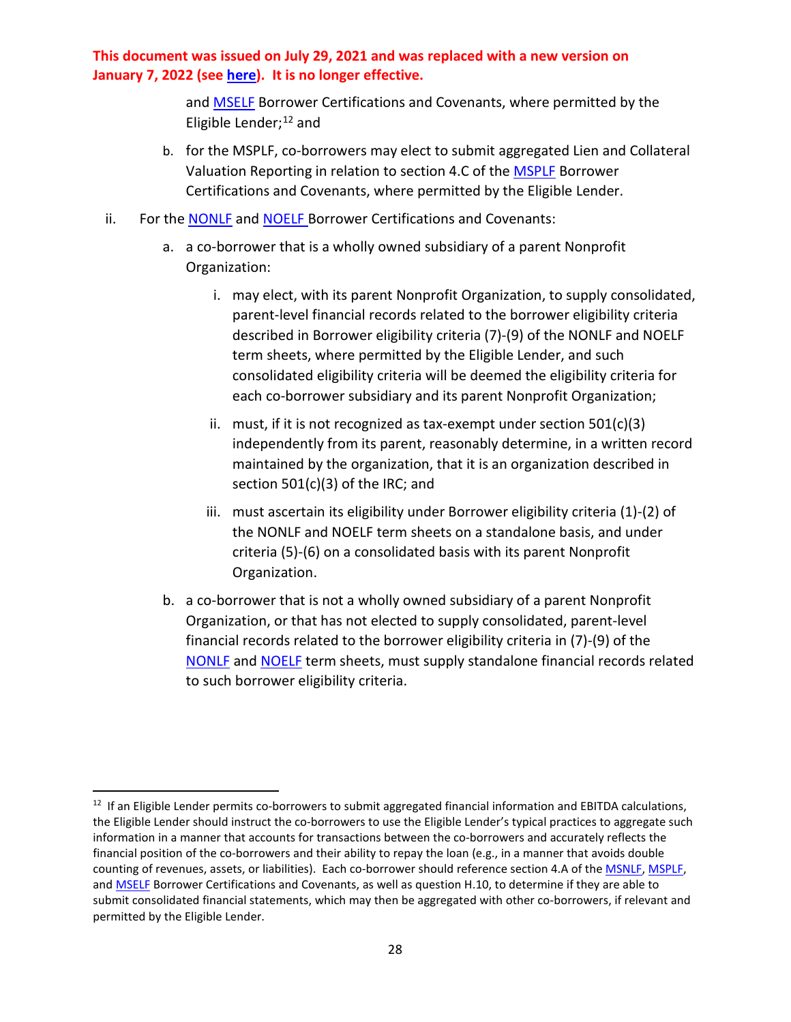and [MSELF](https://www.bostonfed.org/-/media/Documents/special-lending-facilities/mslp/legal/mself-borrower-certifications-and-covenants.pdf?la=en) Borrower Certifications and Covenants, where permitted by the Eligible Lender; $^{12}$  $^{12}$  $^{12}$  and

- b. for the MSPLF, co-borrowers may elect to submit aggregated Lien and Collateral Valuation Reporting in relation to section 4.C of the [MSPLF](https://www.bostonfed.org/-/media/Documents/special-lending-facilities/mslp/legal/msplf-borrower-certifications-and-covenants.pdf?la=en) Borrower Certifications and Covenants, where permitted by the Eligible Lender.
- ii. For th[e NONLF](https://www.bostonfed.org/-/media/Documents/special-lending-facilities/mslp/legal/nonlf-borrower-certifications-and-covenants.pdf?la=en) and [NOELF](https://www.bostonfed.org/-/media/Documents/special-lending-facilities/mslp/legal/noelf-borrower-certifications-and-covenants.pdf?la=en) Borrower Certifications and Covenants:
	- a. a co-borrower that is a wholly owned subsidiary of a parent Nonprofit Organization:
		- i. may elect, with its parent Nonprofit Organization, to supply consolidated, parent-level financial records related to the borrower eligibility criteria described in Borrower eligibility criteria (7)-(9) of the [NONLF](https://www.federalreserve.gov/newsevents/pressreleases/files/monetary20201030a4.pdf) an[d NOELF](https://www.federalreserve.gov/newsevents/pressreleases/files/monetary20201030a5.pdf) term sheets, where permitted by the Eligible Lender, and such consolidated eligibility criteria will be deemed the eligibility criteria for each co-borrower subsidiary and its parent Nonprofit Organization;
		- ii. must, if it is not recognized as tax-exempt under section 501(c)(3) independently from its parent, reasonably determine, in a written record maintained by the organization, that it is an organization described in section 501(c)(3) of the IRC; and
		- iii. must ascertain its eligibility under Borrower eligibility criteria (1)-(2) of the [NONLF](https://www.federalreserve.gov/newsevents/pressreleases/files/monetary20201030a4.pdf) and [NOELF](https://www.federalreserve.gov/newsevents/pressreleases/files/monetary20201030a5.pdf) term sheets on a standalone basis, and under criteria (5)-(6) on a consolidated basis with its parent Nonprofit Organization.
	- b. a co-borrower that is not a wholly owned subsidiary of a parent Nonprofit Organization, or that has not elected to supply consolidated, parent-level financial records related to the borrower eligibility criteria in (7)-(9) of the [NONLF](https://www.federalreserve.gov/newsevents/pressreleases/files/monetary20201030a4.pdf) and [NOELF](https://www.federalreserve.gov/newsevents/pressreleases/files/monetary20201030a5.pdf) term sheets, must supply standalone financial records related to such borrower eligibility criteria.

<span id="page-27-0"></span><sup>&</sup>lt;sup>12</sup> If an Eligible Lender permits co-borrowers to submit aggregated financial information and EBITDA calculations, the Eligible Lender should instruct the co-borrowers to use the Eligible Lender's typical practices to aggregate such information in a manner that accounts for transactions between the co-borrowers and accurately reflects the financial position of the co-borrowers and their ability to repay the loan (e.g., in a manner that avoids double counting of revenues, assets, or liabilities). Each co-borrower should reference section 4.A of th[e MSNLF,](https://www.bostonfed.org/-/media/Documents/special-lending-facilities/mslp/legal/msnlf-borrower-certifications-and-covenants.pdf?la=en) [MSPLF,](https://www.bostonfed.org/-/media/Documents/special-lending-facilities/mslp/legal/msplf-borrower-certifications-and-covenants.pdf?la=en) an[d MSELF](https://www.bostonfed.org/-/media/Documents/special-lending-facilities/mslp/legal/mself-borrower-certifications-and-covenants.pdf?la=en) Borrower Certifications and Covenants, as well as question H.10, to determine if they are able to submit consolidated financial statements, which may then be aggregated with other co-borrowers, if relevant and permitted by the Eligible Lender.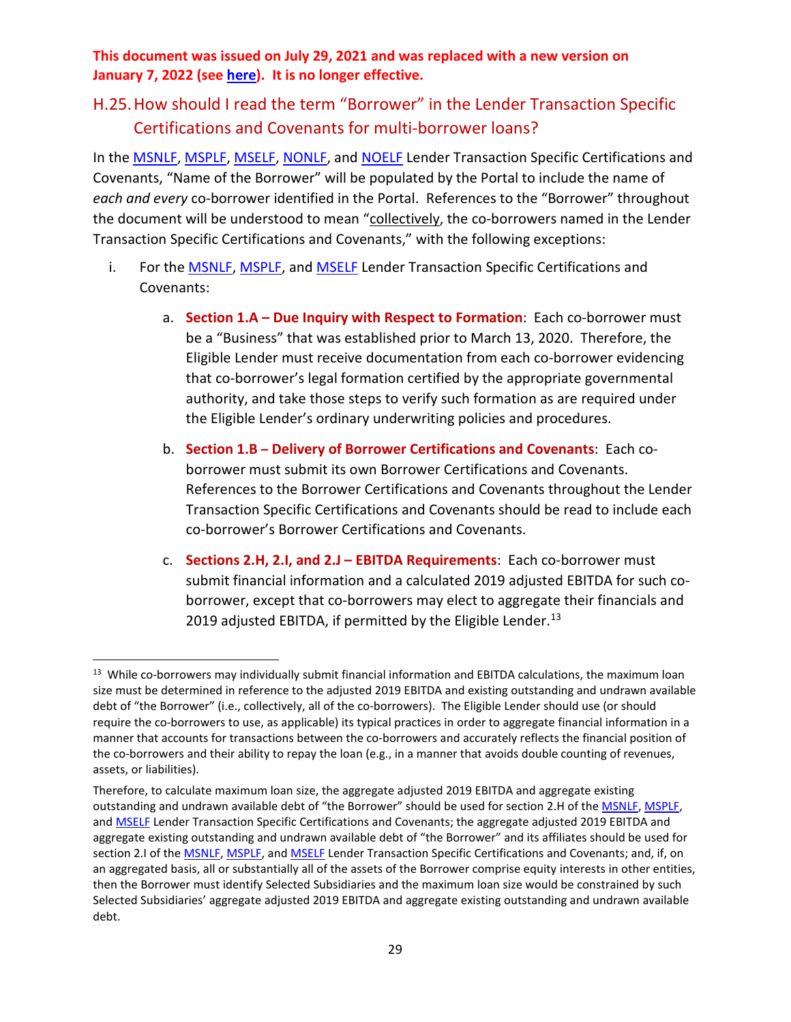### <span id="page-28-0"></span>H.25.How should I read the term "Borrower" in the Lender Transaction Specific Certifications and Covenants for multi-borrower loans?

In the [MSNLF,](https://www.bostonfed.org/-/media/Documents/special-lending-facilities/mslp/legal/msnlf-lender-transaction-specific-certifications-and-covenants.pdf?la=en) [MSPLF,](https://www.bostonfed.org/-/media/Documents/special-lending-facilities/mslp/legal/msplf-borrower-certifications-and-covenants.pdf?la=en) [MSELF,](https://www.bostonfed.org/-/media/Documents/special-lending-facilities/mslp/legal/mself-lender-transaction-specific-certifications-and-covenants.pdf?la=en) [NONLF,](https://www.bostonfed.org/-/media/Documents/special-lending-facilities/mslp/legal/nonlf-lender-transaction-specific-certifications-and-covenants.pdf) an[d NOELF](https://www.bostonfed.org/-/media/Documents/special-lending-facilities/mslp/legal/noelf-lender-transaction-specific-certifications-and-covenants.pdf) Lender Transaction Specific Certifications and Covenants, "Name of the Borrower" will be populated by the Portal to include the name of *each and every* co-borrower identified in the Portal. References to the "Borrower" throughout the document will be understood to mean "collectively, the co-borrowers named in the Lender Transaction Specific Certifications and Covenants," with the following exceptions:

- i. For the **MSNLF, MSPLF**, and **MSELF** Lender Transaction Specific Certifications and Covenants:
	- a. **Section 1.A – Due Inquiry with Respect to Formation**: Each co-borrower must be a "Business" that was established prior to March 13, 2020. Therefore, the Eligible Lender must receive documentation from each co-borrower evidencing that co-borrower's legal formation certified by the appropriate governmental authority, and take those steps to verify such formation as are required under the Eligible Lender's ordinary underwriting policies and procedures.
	- b. **Section 1.B – Delivery of Borrower Certifications and Covenants**: Each coborrower must submit its own Borrower Certifications and Covenants. References to the Borrower Certifications and Covenants throughout the Lender Transaction Specific Certifications and Covenants should be read to include each co-borrower's Borrower Certifications and Covenants.
	- c. **Sections 2.H, 2.I, and 2.J – EBITDA Requirements**: Each co-borrower must submit financial information and a calculated 2019 adjusted EBITDA for such coborrower, except that co-borrowers may elect to aggregate their financials and 2019 adjusted EBITDA, if permitted by the Eligible Lender.<sup>13</sup>

<span id="page-28-1"></span><sup>&</sup>lt;sup>13</sup> While co-borrowers may individually submit financial information and EBITDA calculations, the maximum loan size must be determined in reference to the adjusted 2019 EBITDA and existing outstanding and undrawn available debt of "the Borrower" (i.e., collectively, all of the co-borrowers). The Eligible Lender should use (or should require the co-borrowers to use, as applicable) its typical practices in order to aggregate financial information in a manner that accounts for transactions between the co-borrowers and accurately reflects the financial position of the co-borrowers and their ability to repay the loan (e.g., in a manner that avoids double counting of revenues, assets, or liabilities).

Therefore, to calculate maximum loan size, the aggregate adjusted 2019 EBITDA and aggregate existing outstanding and undrawn available debt of "the Borrower" should be used for section 2.H of the [MSNLF,](https://www.bostonfed.org/-/media/Documents/special-lending-facilities/mslp/legal/msnlf-lender-transaction-specific-certifications-and-covenants.pdf?la=en) [MSPLF,](https://www.bostonfed.org/-/media/Documents/special-lending-facilities/mslp/legal/msplf-borrower-certifications-and-covenants.pdf?la=en) an[d MSELF](https://www.bostonfed.org/-/media/Documents/special-lending-facilities/mslp/legal/mself-lender-transaction-specific-certifications-and-covenants.pdf?la=en) Lender Transaction Specific Certifications and Covenants; the aggregate adjusted 2019 EBITDA and aggregate existing outstanding and undrawn available debt of "the Borrower" and its affiliates should be used for section 2.I of th[e MSNLF,](https://www.bostonfed.org/-/media/Documents/special-lending-facilities/mslp/legal/msnlf-lender-transaction-specific-certifications-and-covenants.pdf?la=en) [MSPLF,](https://www.bostonfed.org/-/media/Documents/special-lending-facilities/mslp/legal/msplf-borrower-certifications-and-covenants.pdf?la=en) and [MSELF](https://www.bostonfed.org/-/media/Documents/special-lending-facilities/mslp/legal/mself-lender-transaction-specific-certifications-and-covenants.pdf?la=en) Lender Transaction Specific Certifications and Covenants; and, if, on an aggregated basis, all or substantially all of the assets of the Borrower comprise equity interests in other entities, then the Borrower must identify Selected Subsidiaries and the maximum loan size would be constrained by such Selected Subsidiaries' aggregate adjusted 2019 EBITDA and aggregate existing outstanding and undrawn available debt.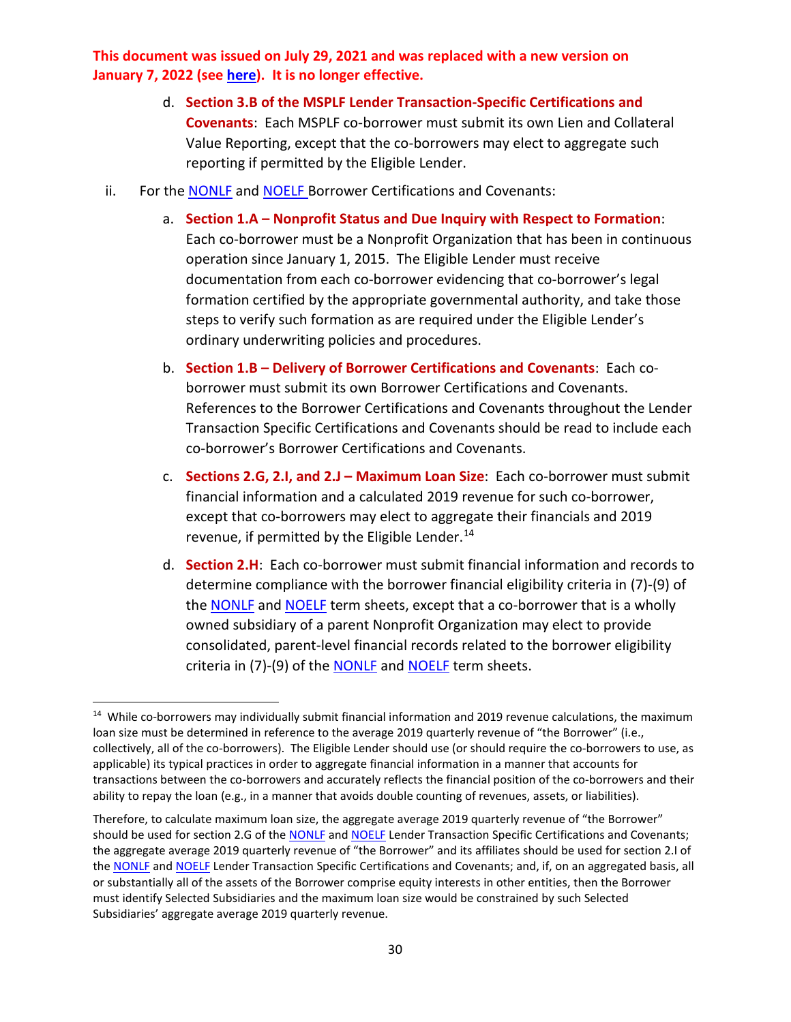- d. **Section 3.B of the MSPLF Lender Transaction-Specific Certifications and Covenants**: Each MSPLF co-borrower must submit its own Lien and Collateral Value Reporting, except that the co-borrowers may elect to aggregate such reporting if permitted by the Eligible Lender.
- ii. For the **NONLF** and **NOELF** Borrower Certifications and Covenants:
	- a. **Section 1.A – Nonprofit Status and Due Inquiry with Respect to Formation**: Each co-borrower must be a Nonprofit Organization that has been in continuous operation since January 1, 2015. The Eligible Lender must receive documentation from each co-borrower evidencing that co-borrower's legal formation certified by the appropriate governmental authority, and take those steps to verify such formation as are required under the Eligible Lender's ordinary underwriting policies and procedures.
	- b. **Section 1.B – Delivery of Borrower Certifications and Covenants**: Each coborrower must submit its own Borrower Certifications and Covenants. References to the Borrower Certifications and Covenants throughout the Lender Transaction Specific Certifications and Covenants should be read to include each co-borrower's Borrower Certifications and Covenants.
	- c. **Sections 2.G, 2.I, and 2.J – Maximum Loan Size**: Each co-borrower must submit financial information and a calculated 2019 revenue for such co-borrower, except that co-borrowers may elect to aggregate their financials and 2019 revenue, if permitted by the Eligible Lender.<sup>[14](#page-29-0)</sup>
	- d. **Section 2.H**: Each co-borrower must submit financial information and records to determine compliance with the borrower financial eligibility criteria in (7)-(9) of the [NONLF](https://www.federalreserve.gov/newsevents/pressreleases/files/monetary20201030a4.pdf) and [NOELF](https://www.federalreserve.gov/newsevents/pressreleases/files/monetary20201030a5.pdf) term sheets, except that a co-borrower that is a wholly owned subsidiary of a parent Nonprofit Organization may elect to provide consolidated, parent-level financial records related to the borrower eligibility criteria in (7)-(9) of the [NONLF](https://www.federalreserve.gov/newsevents/pressreleases/files/monetary20201030a4.pdf) and [NOELF](https://www.federalreserve.gov/newsevents/pressreleases/files/monetary20201030a5.pdf) term sheets.

<span id="page-29-0"></span><sup>&</sup>lt;sup>14</sup> While co-borrowers may individually submit financial information and 2019 revenue calculations, the maximum loan size must be determined in reference to the average 2019 quarterly revenue of "the Borrower" (i.e., collectively, all of the co-borrowers). The Eligible Lender should use (or should require the co-borrowers to use, as applicable) its typical practices in order to aggregate financial information in a manner that accounts for transactions between the co-borrowers and accurately reflects the financial position of the co-borrowers and their ability to repay the loan (e.g., in a manner that avoids double counting of revenues, assets, or liabilities).

Therefore, to calculate maximum loan size, the aggregate average 2019 quarterly revenue of "the Borrower" should be used for section 2.G of the [NONLF](https://www.bostonfed.org/-/media/Documents/special-lending-facilities/mslp/legal/nonlf-lender-transaction-specific-certifications-and-covenants.pdf) and [NOELF](https://www.bostonfed.org/-/media/Documents/special-lending-facilities/mslp/legal/noelf-lender-transaction-specific-certifications-and-covenants.pdf) Lender Transaction Specific Certifications and Covenants; the aggregate average 2019 quarterly revenue of "the Borrower" and its affiliates should be used for section 2.I of the [NONLF](https://www.bostonfed.org/-/media/Documents/special-lending-facilities/mslp/legal/nonlf-lender-transaction-specific-certifications-and-covenants.pdf) and [NOELF](https://www.bostonfed.org/-/media/Documents/special-lending-facilities/mslp/legal/noelf-lender-transaction-specific-certifications-and-covenants.pdf) Lender Transaction Specific Certifications and Covenants; and, if, on an aggregated basis, all or substantially all of the assets of the Borrower comprise equity interests in other entities, then the Borrower must identify Selected Subsidiaries and the maximum loan size would be constrained by such Selected Subsidiaries' aggregate average 2019 quarterly revenue.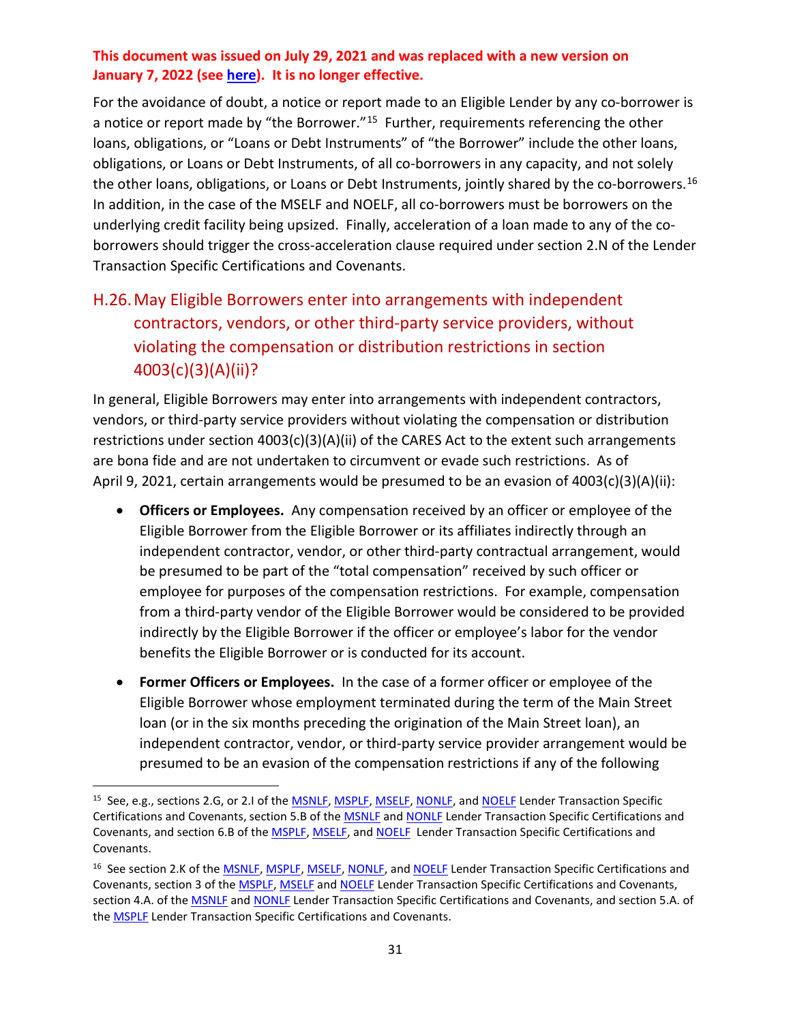For the avoidance of doubt, a notice or report made to an Eligible Lender by any co-borrower is a notice or report made by "the Borrower."<sup>[15](#page-30-1)</sup> Further, requirements referencing the other loans, obligations, or "Loans or Debt Instruments" of "the Borrower" include the other loans, obligations, or Loans or Debt Instruments, of all co-borrowers in any capacity, and not solely the other loans, obligations, or Loans or Debt Instruments, jointly shared by the co-borrowers.<sup>[16](#page-30-2)</sup> In addition, in the case of the MSELF and NOELF, all co-borrowers must be borrowers on the underlying credit facility being upsized. Finally, acceleration of a loan made to any of the coborrowers should trigger the cross-acceleration clause required under section 2.N of the Lender Transaction Specific Certifications and Covenants.

# <span id="page-30-0"></span>H.26.May Eligible Borrowers enter into arrangements with independent contractors, vendors, or other third-party service providers, without violating the compensation or distribution restrictions in section 4003(c)(3)(A)(ii)?

In general, Eligible Borrowers may enter into arrangements with independent contractors, vendors, or third-party service providers without violating the compensation or distribution restrictions under section 4003(c)(3)(A)(ii) of the CARES Act to the extent such arrangements are bona fide and are not undertaken to circumvent or evade such restrictions. As of April 9, 2021, certain arrangements would be presumed to be an evasion of 4003(c)(3)(A)(ii):

- **Officers or Employees.** Any compensation received by an officer or employee of the Eligible Borrower from the Eligible Borrower or its affiliates indirectly through an independent contractor, vendor, or other third-party contractual arrangement, would be presumed to be part of the "total compensation" received by such officer or employee for purposes of the compensation restrictions. For example, compensation from a third-party vendor of the Eligible Borrower would be considered to be provided indirectly by the Eligible Borrower if the officer or employee's labor for the vendor benefits the Eligible Borrower or is conducted for its account.
- **Former Officers or Employees.** In the case of a former officer or employee of the Eligible Borrower whose employment terminated during the term of the Main Street loan (or in the six months preceding the origination of the Main Street loan), an independent contractor, vendor, or third-party service provider arrangement would be presumed to be an evasion of the compensation restrictions if any of the following

<span id="page-30-1"></span><sup>&</sup>lt;sup>15</sup> See, e.g., sections 2.G, or 2.I of the **MSNLF**, [MSPLF,](https://www.bostonfed.org/-/media/Documents/special-lending-facilities/mslp/legal/msplf-borrower-certifications-and-covenants.pdf?la=en) [MSELF,](https://www.bostonfed.org/-/media/Documents/special-lending-facilities/mslp/legal/mself-lender-transaction-specific-certifications-and-covenants.pdf?la=en) [NONLF,](https://www.bostonfed.org/-/media/Documents/special-lending-facilities/mslp/legal/nonlf-lender-transaction-specific-certifications-and-covenants.pdf) and [NOELF](https://www.bostonfed.org/-/media/Documents/special-lending-facilities/mslp/legal/noelf-lender-transaction-specific-certifications-and-covenants.pdf) Lender Transaction Specific Certifications and Covenants, section 5.B of th[e MSNLF](https://www.bostonfed.org/-/media/Documents/special-lending-facilities/mslp/legal/msnlf-lender-transaction-specific-certifications-and-covenants.pdf?la=en) an[d NONLF](https://www.bostonfed.org/-/media/Documents/special-lending-facilities/mslp/legal/nonlf-lender-transaction-specific-certifications-and-covenants.pdf) Lender Transaction Specific Certifications and Covenants, and section 6.B of the [MSPLF,](https://www.bostonfed.org/-/media/Documents/special-lending-facilities/mslp/legal/msplf-borrower-certifications-and-covenants.pdf?la=en) [MSELF,](https://www.bostonfed.org/-/media/Documents/special-lending-facilities/mslp/legal/mself-lender-transaction-specific-certifications-and-covenants.pdf?la=en) and [NOELF](https://www.bostonfed.org/-/media/Documents/special-lending-facilities/mslp/legal/noelf-lender-transaction-specific-certifications-and-covenants.pdf) Lender Transaction Specific Certifications and Covenants.

<span id="page-30-2"></span><sup>&</sup>lt;sup>16</sup> See section 2.K of the [MSNLF,](https://www.bostonfed.org/-/media/Documents/special-lending-facilities/mslp/legal/msnlf-lender-transaction-specific-certifications-and-covenants.pdf?la=en) [MSPLF,](https://www.bostonfed.org/-/media/Documents/special-lending-facilities/mslp/legal/msplf-borrower-certifications-and-covenants.pdf?la=en) [MSELF,](https://www.bostonfed.org/-/media/Documents/special-lending-facilities/mslp/legal/mself-lender-transaction-specific-certifications-and-covenants.pdf?la=en) [NONLF,](https://www.bostonfed.org/-/media/Documents/special-lending-facilities/mslp/legal/nonlf-lender-transaction-specific-certifications-and-covenants.pdf) and [NOELF](https://www.bostonfed.org/-/media/Documents/special-lending-facilities/mslp/legal/noelf-lender-transaction-specific-certifications-and-covenants.pdf) Lender Transaction Specific Certifications and Covenants, section 3 of th[e MSPLF,](https://www.bostonfed.org/-/media/Documents/special-lending-facilities/mslp/legal/msplf-borrower-certifications-and-covenants.pdf?la=en) [MSELF](https://www.bostonfed.org/-/media/Documents/special-lending-facilities/mslp/legal/mself-lender-transaction-specific-certifications-and-covenants.pdf?la=en) and [NOELF](https://www.bostonfed.org/-/media/Documents/special-lending-facilities/mslp/legal/noelf-lender-transaction-specific-certifications-and-covenants.pdf) Lender Transaction Specific Certifications and Covenants, section 4.A. of the **MSNLF** and **NONLF** Lender Transaction Specific Certifications and Covenants, and section 5.A. of the [MSPLF](https://www.bostonfed.org/-/media/Documents/special-lending-facilities/mslp/legal/msplf-borrower-certifications-and-covenants.pdf?la=en) Lender Transaction Specific Certifications and Covenants.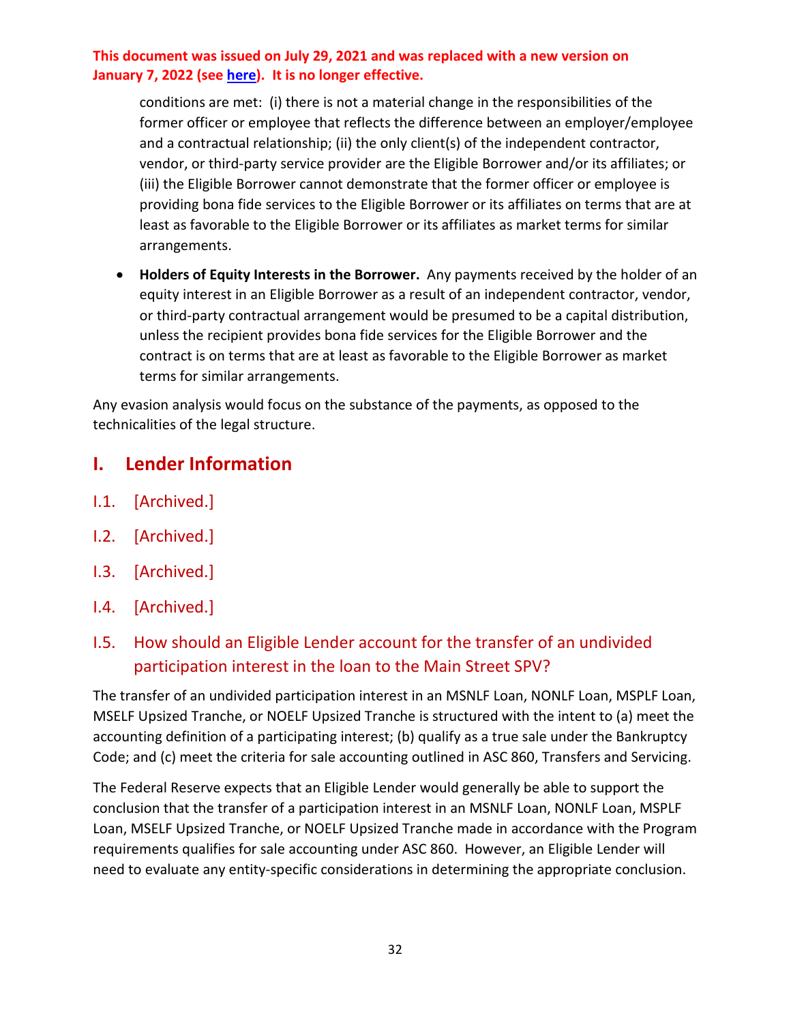conditions are met: (i) there is not a material change in the responsibilities of the former officer or employee that reflects the difference between an employer/employee and a contractual relationship; (ii) the only client(s) of the independent contractor, vendor, or third-party service provider are the Eligible Borrower and/or its affiliates; or (iii) the Eligible Borrower cannot demonstrate that the former officer or employee is providing bona fide services to the Eligible Borrower or its affiliates on terms that are at least as favorable to the Eligible Borrower or its affiliates as market terms for similar arrangements.

• **Holders of Equity Interests in the Borrower.** Any payments received by the holder of an equity interest in an Eligible Borrower as a result of an independent contractor, vendor, or third-party contractual arrangement would be presumed to be a capital distribution, unless the recipient provides bona fide services for the Eligible Borrower and the contract is on terms that are at least as favorable to the Eligible Borrower as market terms for similar arrangements.

Any evasion analysis would focus on the substance of the payments, as opposed to the technicalities of the legal structure.

# <span id="page-31-0"></span>**I. Lender Information**

- I.1. [Archived.]
- I.2. [Archived.]
- I.3. [Archived.]
- I.4. [Archived.]

# <span id="page-31-1"></span>I.5. How should an Eligible Lender account for the transfer of an undivided participation interest in the loan to the Main Street SPV?

The transfer of an undivided participation interest in an MSNLF Loan, NONLF Loan, MSPLF Loan, MSELF Upsized Tranche, or NOELF Upsized Tranche is structured with the intent to (a) meet the accounting definition of a participating interest; (b) qualify as a true sale under the Bankruptcy Code; and (c) meet the criteria for sale accounting outlined in ASC 860, Transfers and Servicing.

The Federal Reserve expects that an Eligible Lender would generally be able to support the conclusion that the transfer of a participation interest in an MSNLF Loan, NONLF Loan, MSPLF Loan, MSELF Upsized Tranche, or NOELF Upsized Tranche made in accordance with the Program requirements qualifies for sale accounting under ASC 860. However, an Eligible Lender will need to evaluate any entity-specific considerations in determining the appropriate conclusion.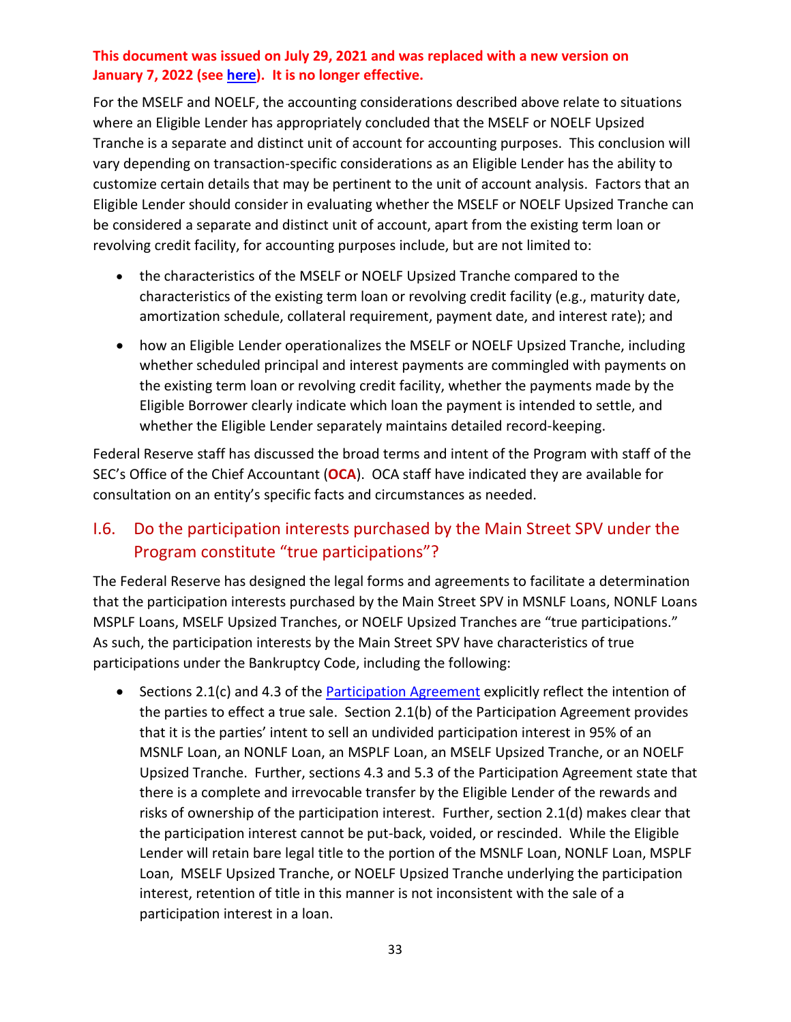For the MSELF and NOELF, the accounting considerations described above relate to situations where an Eligible Lender has appropriately concluded that the MSELF or NOELF Upsized Tranche is a separate and distinct unit of account for accounting purposes. This conclusion will vary depending on transaction-specific considerations as an Eligible Lender has the ability to customize certain details that may be pertinent to the unit of account analysis. Factors that an Eligible Lender should consider in evaluating whether the MSELF or NOELF Upsized Tranche can be considered a separate and distinct unit of account, apart from the existing term loan or revolving credit facility, for accounting purposes include, but are not limited to:

- the characteristics of the MSELF or NOELF Upsized Tranche compared to the characteristics of the existing term loan or revolving credit facility (e.g., maturity date, amortization schedule, collateral requirement, payment date, and interest rate); and
- how an Eligible Lender operationalizes the MSELF or NOELF Upsized Tranche, including whether scheduled principal and interest payments are commingled with payments on the existing term loan or revolving credit facility, whether the payments made by the Eligible Borrower clearly indicate which loan the payment is intended to settle, and whether the Eligible Lender separately maintains detailed record-keeping.

Federal Reserve staff has discussed the broad terms and intent of the Program with staff of the SEC's Office of the Chief Accountant (**OCA**). OCA staff have indicated they are available for consultation on an entity's specific facts and circumstances as needed.

### <span id="page-32-0"></span>I.6. Do the participation interests purchased by the Main Street SPV under the Program constitute "true participations"?

The Federal Reserve has designed the legal forms and agreements to facilitate a determination that the participation interests purchased by the Main Street SPV in MSNLF Loans, NONLF Loans MSPLF Loans, MSELF Upsized Tranches, or NOELF Upsized Tranches are "true participations." As such, the participation interests by the Main Street SPV have characteristics of true participations under the Bankruptcy Code, including the following:

• Sections 2.1(c) and 4.3 of the [Participation Agreement](https://www.bostonfed.org/-/media/Documents/special-lending-facilities/mslp/legal/loan-participation-agreement-standard-terms-and-conditions.pdf?la=en) explicitly reflect the intention of the parties to effect a true sale. Section 2.1(b) of the Participation Agreement provides that it is the parties' intent to sell an undivided participation interest in 95% of an MSNLF Loan, an NONLF Loan, an MSPLF Loan, an MSELF Upsized Tranche, or an NOELF Upsized Tranche. Further, sections 4.3 and 5.3 of the Participation Agreement state that there is a complete and irrevocable transfer by the Eligible Lender of the rewards and risks of ownership of the participation interest. Further, section 2.1(d) makes clear that the participation interest cannot be put-back, voided, or rescinded. While the Eligible Lender will retain bare legal title to the portion of the MSNLF Loan, NONLF Loan, MSPLF Loan, MSELF Upsized Tranche, or NOELF Upsized Tranche underlying the participation interest, retention of title in this manner is not inconsistent with the sale of a participation interest in a loan.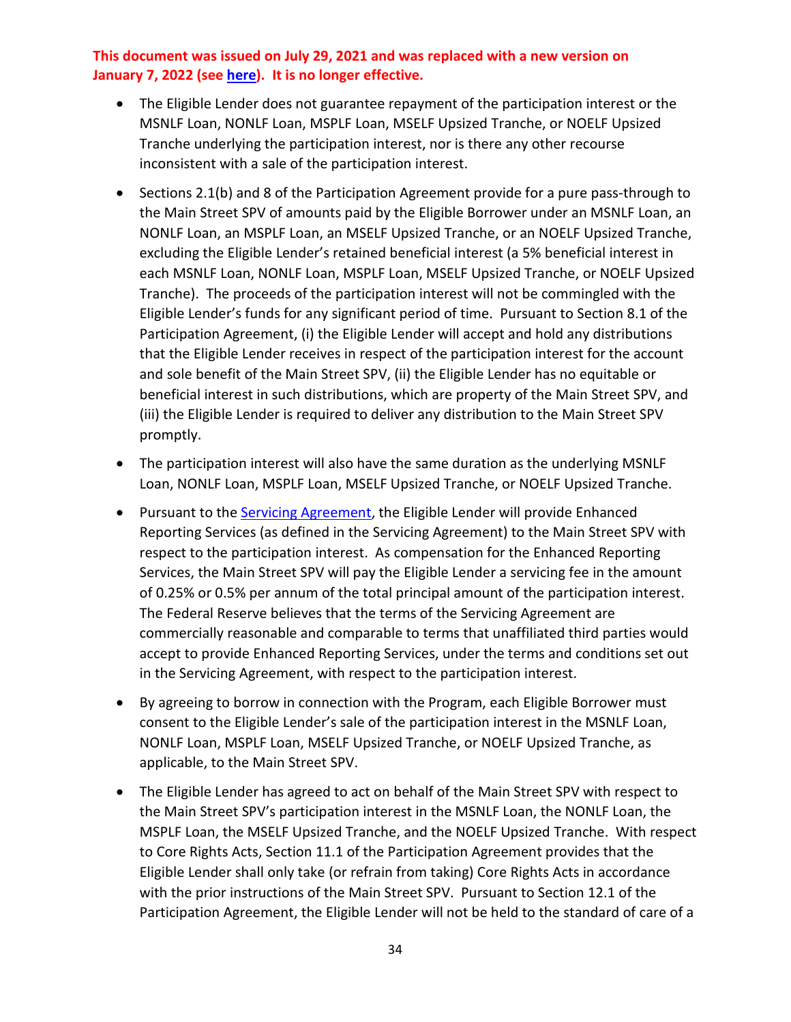- The Eligible Lender does not guarantee repayment of the participation interest or the MSNLF Loan, NONLF Loan, MSPLF Loan, MSELF Upsized Tranche, or NOELF Upsized Tranche underlying the participation interest, nor is there any other recourse inconsistent with a sale of the participation interest.
- Sections 2.1(b) and 8 of the Participation Agreement provide for a pure pass-through to the Main Street SPV of amounts paid by the Eligible Borrower under an MSNLF Loan, an NONLF Loan, an MSPLF Loan, an MSELF Upsized Tranche, or an NOELF Upsized Tranche, excluding the Eligible Lender's retained beneficial interest (a 5% beneficial interest in each MSNLF Loan, NONLF Loan, MSPLF Loan, MSELF Upsized Tranche, or NOELF Upsized Tranche). The proceeds of the participation interest will not be commingled with the Eligible Lender's funds for any significant period of time. Pursuant to Section 8.1 of the Participation Agreement, (i) the Eligible Lender will accept and hold any distributions that the Eligible Lender receives in respect of the participation interest for the account and sole benefit of the Main Street SPV, (ii) the Eligible Lender has no equitable or beneficial interest in such distributions, which are property of the Main Street SPV, and (iii) the Eligible Lender is required to deliver any distribution to the Main Street SPV promptly.
- The participation interest will also have the same duration as the underlying MSNLF Loan, NONLF Loan, MSPLF Loan, MSELF Upsized Tranche, or NOELF Upsized Tranche.
- Pursuant to the [Servicing Agreement,](https://www.bostonfed.org/-/media/Documents/special-lending-facilities/mslp/legal/servicing-agreement.pdf?la=en) the Eligible Lender will provide Enhanced Reporting Services (as defined in the Servicing Agreement) to the Main Street SPV with respect to the participation interest. As compensation for the Enhanced Reporting Services, the Main Street SPV will pay the Eligible Lender a servicing fee in the amount of 0.25% or 0.5% per annum of the total principal amount of the participation interest. The Federal Reserve believes that the terms of the Servicing Agreement are commercially reasonable and comparable to terms that unaffiliated third parties would accept to provide Enhanced Reporting Services, under the terms and conditions set out in the Servicing Agreement, with respect to the participation interest.
- By agreeing to borrow in connection with the Program, each Eligible Borrower must consent to the Eligible Lender's sale of the participation interest in the MSNLF Loan, NONLF Loan, MSPLF Loan, MSELF Upsized Tranche, or NOELF Upsized Tranche, as applicable, to the Main Street SPV.
- The Eligible Lender has agreed to act on behalf of the Main Street SPV with respect to the Main Street SPV's participation interest in the MSNLF Loan, the NONLF Loan, the MSPLF Loan, the MSELF Upsized Tranche, and the NOELF Upsized Tranche. With respect to Core Rights Acts, Section 11.1 of the Participation Agreement provides that the Eligible Lender shall only take (or refrain from taking) Core Rights Acts in accordance with the prior instructions of the Main Street SPV. Pursuant to Section 12.1 of the Participation Agreement, the Eligible Lender will not be held to the standard of care of a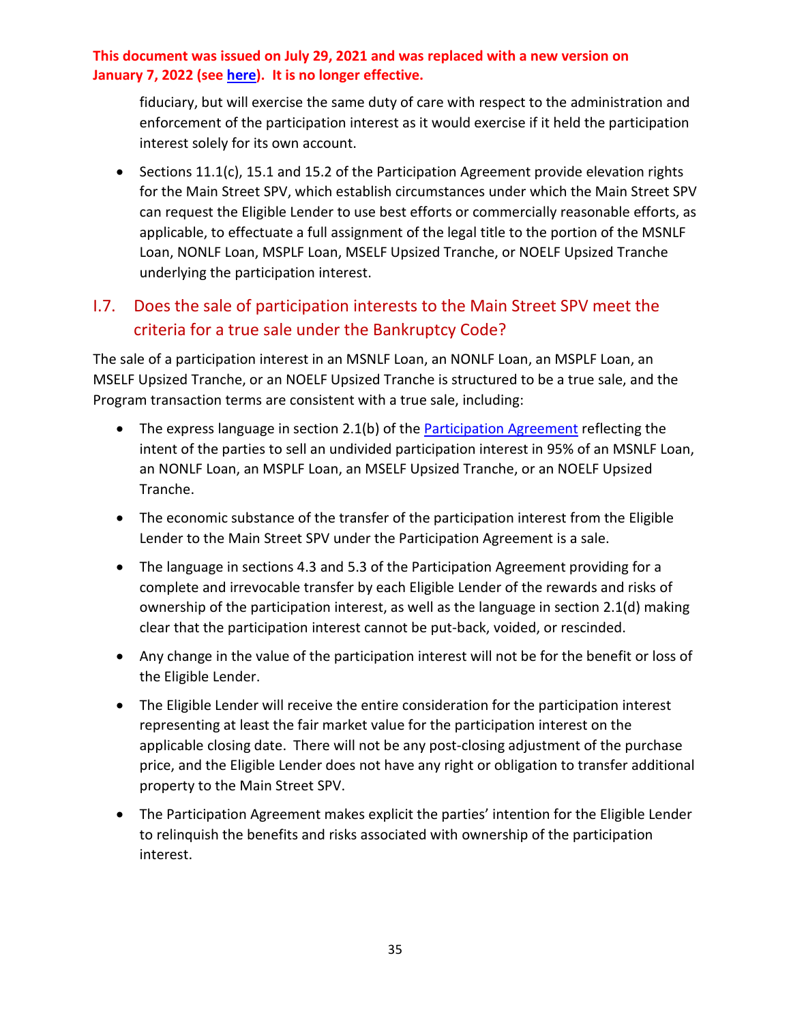fiduciary, but will exercise the same duty of care with respect to the administration and enforcement of the participation interest as it would exercise if it held the participation interest solely for its own account.

• Sections 11.1(c), 15.1 and 15.2 of the Participation Agreement provide elevation rights for the Main Street SPV, which establish circumstances under which the Main Street SPV can request the Eligible Lender to use best efforts or commercially reasonable efforts, as applicable, to effectuate a full assignment of the legal title to the portion of the MSNLF Loan, NONLF Loan, MSPLF Loan, MSELF Upsized Tranche, or NOELF Upsized Tranche underlying the participation interest.

# <span id="page-34-0"></span>I.7. Does the sale of participation interests to the Main Street SPV meet the criteria for a true sale under the Bankruptcy Code?

The sale of a participation interest in an MSNLF Loan, an NONLF Loan, an MSPLF Loan, an MSELF Upsized Tranche, or an NOELF Upsized Tranche is structured to be a true sale, and the Program transaction terms are consistent with a true sale, including:

- The express language in section 2.1(b) of the [Participation Agreement](https://www.bostonfed.org/-/media/Documents/special-lending-facilities/mslp/legal/loan-participation-agreement-standard-terms-and-conditions.pdf?la=en) reflecting the intent of the parties to sell an undivided participation interest in 95% of an MSNLF Loan, an NONLF Loan, an MSPLF Loan, an MSELF Upsized Tranche, or an NOELF Upsized Tranche.
- The economic substance of the transfer of the participation interest from the Eligible Lender to the Main Street SPV under the Participation Agreement is a sale.
- The language in sections 4.3 and 5.3 of the Participation Agreement providing for a complete and irrevocable transfer by each Eligible Lender of the rewards and risks of ownership of the participation interest, as well as the language in section 2.1(d) making clear that the participation interest cannot be put-back, voided, or rescinded.
- Any change in the value of the participation interest will not be for the benefit or loss of the Eligible Lender.
- The Eligible Lender will receive the entire consideration for the participation interest representing at least the fair market value for the participation interest on the applicable closing date. There will not be any post-closing adjustment of the purchase price, and the Eligible Lender does not have any right or obligation to transfer additional property to the Main Street SPV.
- The Participation Agreement makes explicit the parties' intention for the Eligible Lender to relinquish the benefits and risks associated with ownership of the participation interest.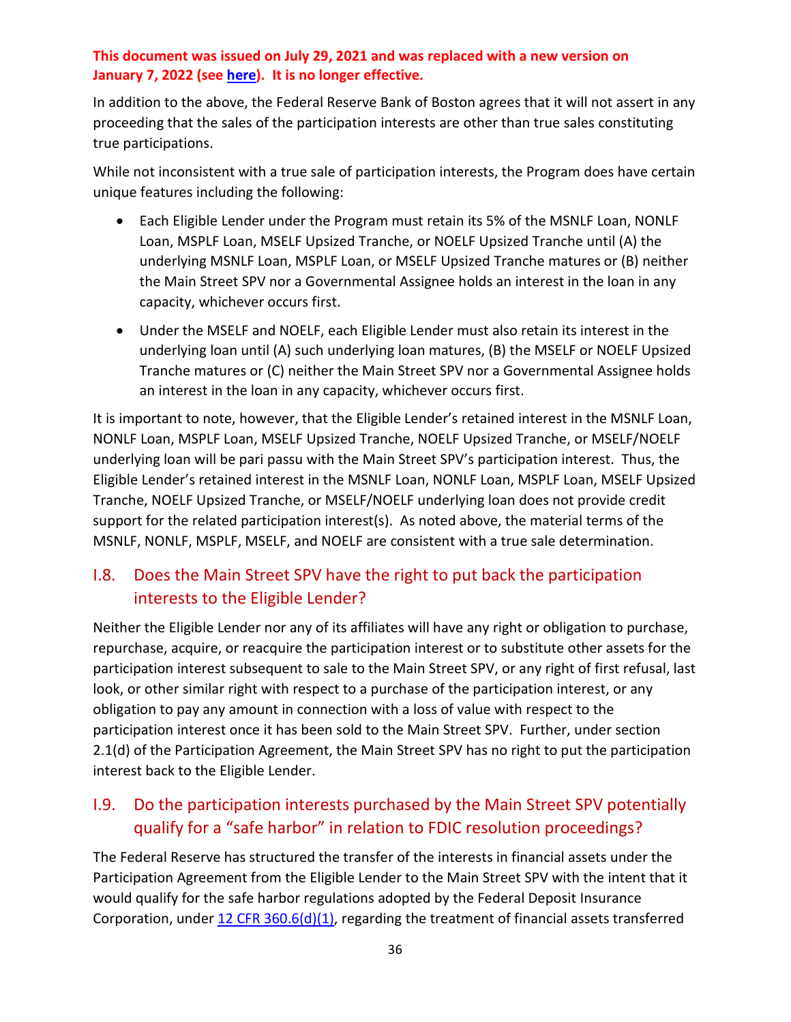In addition to the above, the Federal Reserve Bank of Boston agrees that it will not assert in any proceeding that the sales of the participation interests are other than true sales constituting true participations.

While not inconsistent with a true sale of participation interests, the Program does have certain unique features including the following:

- Each Eligible Lender under the Program must retain its 5% of the MSNLF Loan, NONLF Loan, MSPLF Loan, MSELF Upsized Tranche, or NOELF Upsized Tranche until (A) the underlying MSNLF Loan, MSPLF Loan, or MSELF Upsized Tranche matures or (B) neither the Main Street SPV nor a Governmental Assignee holds an interest in the loan in any capacity, whichever occurs first.
- Under the MSELF and NOELF, each Eligible Lender must also retain its interest in the underlying loan until (A) such underlying loan matures, (B) the MSELF or NOELF Upsized Tranche matures or (C) neither the Main Street SPV nor a Governmental Assignee holds an interest in the loan in any capacity, whichever occurs first.

It is important to note, however, that the Eligible Lender's retained interest in the MSNLF Loan, NONLF Loan, MSPLF Loan, MSELF Upsized Tranche, NOELF Upsized Tranche, or MSELF/NOELF underlying loan will be pari passu with the Main Street SPV's participation interest. Thus, the Eligible Lender's retained interest in the MSNLF Loan, NONLF Loan, MSPLF Loan, MSELF Upsized Tranche, NOELF Upsized Tranche, or MSELF/NOELF underlying loan does not provide credit support for the related participation interest(s). As noted above, the material terms of the MSNLF, NONLF, MSPLF, MSELF, and NOELF are consistent with a true sale determination.

# <span id="page-35-0"></span>I.8. Does the Main Street SPV have the right to put back the participation interests to the Eligible Lender?

Neither the Eligible Lender nor any of its affiliates will have any right or obligation to purchase, repurchase, acquire, or reacquire the participation interest or to substitute other assets for the participation interest subsequent to sale to the Main Street SPV, or any right of first refusal, last look, or other similar right with respect to a purchase of the participation interest, or any obligation to pay any amount in connection with a loss of value with respect to the participation interest once it has been sold to the Main Street SPV. Further, under section 2.1(d) of the Participation Agreement, the Main Street SPV has no right to put the participation interest back to the Eligible Lender.

# <span id="page-35-1"></span>I.9. Do the participation interests purchased by the Main Street SPV potentially qualify for a "safe harbor" in relation to FDIC resolution proceedings?

The Federal Reserve has structured the transfer of the interests in financial assets under the Participation Agreement from the Eligible Lender to the Main Street SPV with the intent that it would qualify for the safe harbor regulations adopted by the Federal Deposit Insurance Corporation, under [12 CFR 360.6\(d\)\(1\),](https://ecfr.io/Title-12/Section-360.6) regarding the treatment of financial assets transferred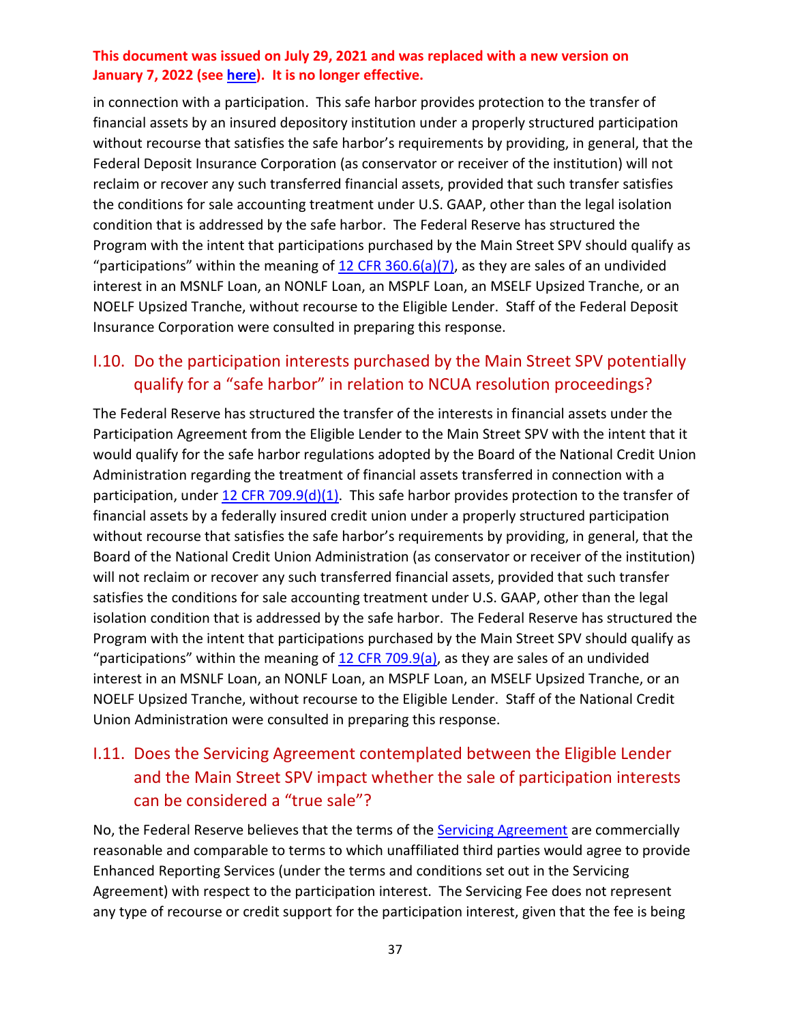in connection with a participation. This safe harbor provides protection to the transfer of financial assets by an insured depository institution under a properly structured participation without recourse that satisfies the safe harbor's requirements by providing, in general, that the Federal Deposit Insurance Corporation (as conservator or receiver of the institution) will not reclaim or recover any such transferred financial assets, provided that such transfer satisfies the conditions for sale accounting treatment under U.S. GAAP, other than the legal isolation condition that is addressed by the safe harbor. The Federal Reserve has structured the Program with the intent that participations purchased by the Main Street SPV should qualify as "participations" within the meaning of  $12$  CFR 360.6(a)(7), as they are sales of an undivided interest in an MSNLF Loan, an NONLF Loan, an MSPLF Loan, an MSELF Upsized Tranche, or an NOELF Upsized Tranche, without recourse to the Eligible Lender. Staff of the Federal Deposit Insurance Corporation were consulted in preparing this response.

### <span id="page-36-0"></span>I.10. Do the participation interests purchased by the Main Street SPV potentially qualify for a "safe harbor" in relation to NCUA resolution proceedings?

The Federal Reserve has structured the transfer of the interests in financial assets under the Participation Agreement from the Eligible Lender to the Main Street SPV with the intent that it would qualify for the safe harbor regulations adopted by the Board of the National Credit Union Administration regarding the treatment of financial assets transferred in connection with a participation, under  $12$  CFR 709.9(d)(1). This safe harbor provides protection to the transfer of financial assets by a federally insured credit union under a properly structured participation without recourse that satisfies the safe harbor's requirements by providing, in general, that the Board of the National Credit Union Administration (as conservator or receiver of the institution) will not reclaim or recover any such transferred financial assets, provided that such transfer satisfies the conditions for sale accounting treatment under U.S. GAAP, other than the legal isolation condition that is addressed by the safe harbor. The Federal Reserve has structured the Program with the intent that participations purchased by the Main Street SPV should qualify as "participations" within the meaning of  $12$  CFR 709.9(a), as they are sales of an undivided interest in an MSNLF Loan, an NONLF Loan, an MSPLF Loan, an MSELF Upsized Tranche, or an NOELF Upsized Tranche, without recourse to the Eligible Lender. Staff of the National Credit Union Administration were consulted in preparing this response.

# <span id="page-36-1"></span>I.11. Does the Servicing Agreement contemplated between the Eligible Lender and the Main Street SPV impact whether the sale of participation interests can be considered a "true sale"?

No, the Federal Reserve believes that the terms of the **Servicing Agreement** are commercially reasonable and comparable to terms to which unaffiliated third parties would agree to provide Enhanced Reporting Services (under the terms and conditions set out in the Servicing Agreement) with respect to the participation interest. The Servicing Fee does not represent any type of recourse or credit support for the participation interest, given that the fee is being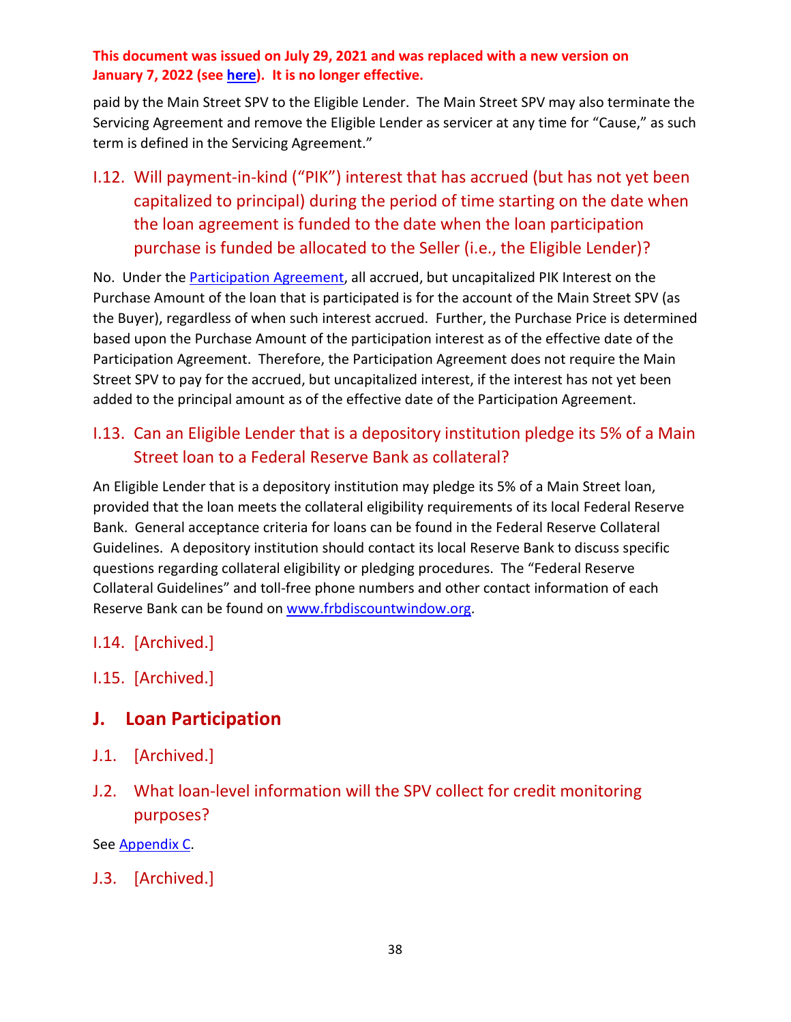paid by the Main Street SPV to the Eligible Lender. The Main Street SPV may also terminate the Servicing Agreement and remove the Eligible Lender as servicer at any time for "Cause," as such term is defined in the Servicing Agreement."

<span id="page-37-0"></span>I.12. Will payment-in-kind ("PIK") interest that has accrued (but has not yet been capitalized to principal) during the period of time starting on the date when the loan agreement is funded to the date when the loan participation purchase is funded be allocated to the Seller (i.e., the Eligible Lender)?

No. Under th[e Participation Agreement,](https://www.bostonfed.org/-/media/Documents/special-lending-facilities/mslp/legal/loan-participation-agreement-standard-terms-and-conditions.pdf?la=en) all accrued, but uncapitalized PIK Interest on the Purchase Amount of the loan that is participated is for the account of the Main Street SPV (as the Buyer), regardless of when such interest accrued. Further, the Purchase Price is determined based upon the Purchase Amount of the participation interest as of the effective date of the Participation Agreement. Therefore, the Participation Agreement does not require the Main Street SPV to pay for the accrued, but uncapitalized interest, if the interest has not yet been added to the principal amount as of the effective date of the Participation Agreement.

# <span id="page-37-1"></span>I.13. Can an Eligible Lender that is a depository institution pledge its 5% of a Main Street loan to a Federal Reserve Bank as collateral?

An Eligible Lender that is a depository institution may pledge its 5% of a Main Street loan, provided that the loan meets the collateral eligibility requirements of its local Federal Reserve Bank. General acceptance criteria for loans can be found in the Federal Reserve Collateral Guidelines. A depository institution should contact its local Reserve Bank to discuss specific questions regarding collateral eligibility or pledging procedures. The "Federal Reserve Collateral Guidelines" and toll-free phone numbers and other contact information of each Reserve Bank can be found on [www.frbdiscountwindow.org.](http://www.frbdiscountwindow.org/)

- I.14. [Archived.]
- I.15. [Archived.]

# <span id="page-37-2"></span>**J. Loan Participation**

- J.1. [Archived.]
- <span id="page-37-3"></span>J.2. What loan-level information will the SPV collect for credit monitoring purposes?

See [Appendix C.](#page-52-0)

J.3. [Archived.]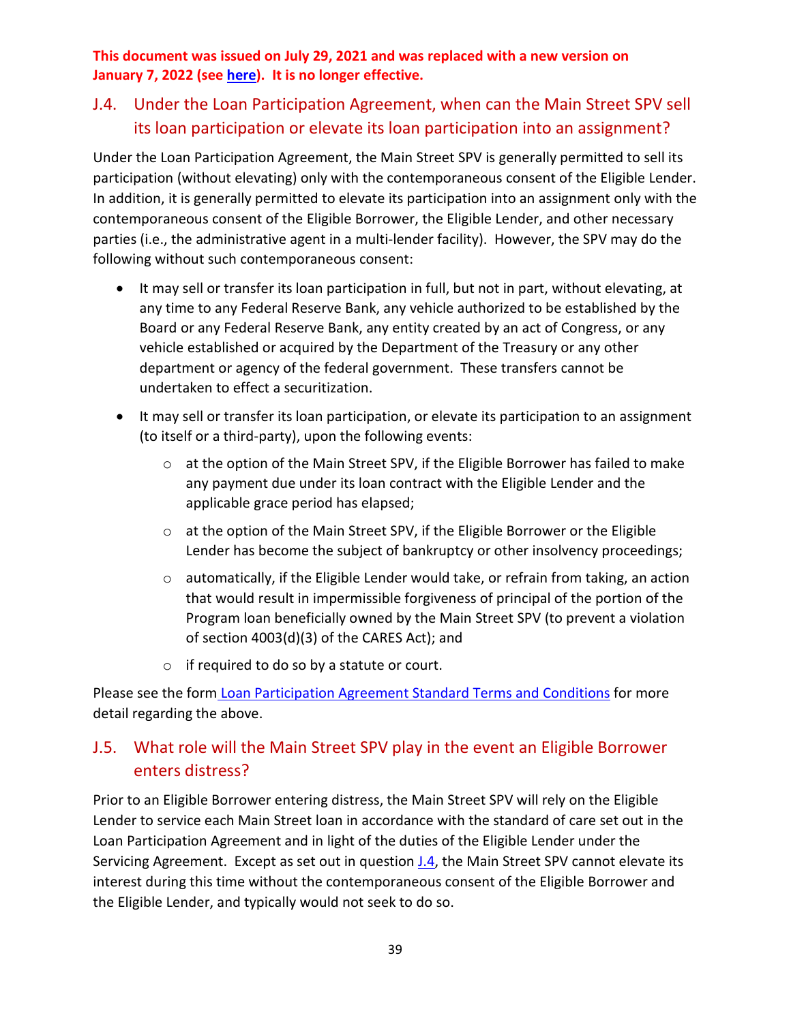### <span id="page-38-0"></span>J.4. Under the Loan Participation Agreement, when can the Main Street SPV sell its loan participation or elevate its loan participation into an assignment?

Under the Loan Participation Agreement, the Main Street SPV is generally permitted to sell its participation (without elevating) only with the contemporaneous consent of the Eligible Lender. In addition, it is generally permitted to elevate its participation into an assignment only with the contemporaneous consent of the Eligible Borrower, the Eligible Lender, and other necessary parties (i.e., the administrative agent in a multi-lender facility). However, the SPV may do the following without such contemporaneous consent:

- It may sell or transfer its loan participation in full, but not in part, without elevating, at any time to any Federal Reserve Bank, any vehicle authorized to be established by the Board or any Federal Reserve Bank, any entity created by an act of Congress, or any vehicle established or acquired by the Department of the Treasury or any other department or agency of the federal government. These transfers cannot be undertaken to effect a securitization.
- It may sell or transfer its loan participation, or elevate its participation to an assignment (to itself or a third-party), upon the following events:
	- $\circ$  at the option of the Main Street SPV, if the Eligible Borrower has failed to make any payment due under its loan contract with the Eligible Lender and the applicable grace period has elapsed;
	- o at the option of the Main Street SPV, if the Eligible Borrower or the Eligible Lender has become the subject of bankruptcy or other insolvency proceedings;
	- $\circ$  automatically, if the Eligible Lender would take, or refrain from taking, an action that would result in impermissible forgiveness of principal of the portion of the Program loan beneficially owned by the Main Street SPV (to prevent a violation of section 4003(d)(3) of the CARES Act); and
	- o if required to do so by a statute or court.

Please see the form [Loan Participation Agreement Standard Terms and Conditions](https://www.bostonfed.org/-/media/Documents/special-lending-facilities/mslp/legal/loan-participation-agreement-standard-terms-and-conditions.pdf) for more detail regarding the above.

### <span id="page-38-1"></span>J.5. What role will the Main Street SPV play in the event an Eligible Borrower enters distress?

Prior to an Eligible Borrower entering distress, the Main Street SPV will rely on the Eligible Lender to service each Main Street loan in accordance with the standard of care set out in the Loan Participation Agreement and in light of the duties of the Eligible Lender under the Servicing Agreement. Except as set out in question *J.4*, the Main Street SPV cannot elevate its interest during this time without the contemporaneous consent of the Eligible Borrower and the Eligible Lender, and typically would not seek to do so.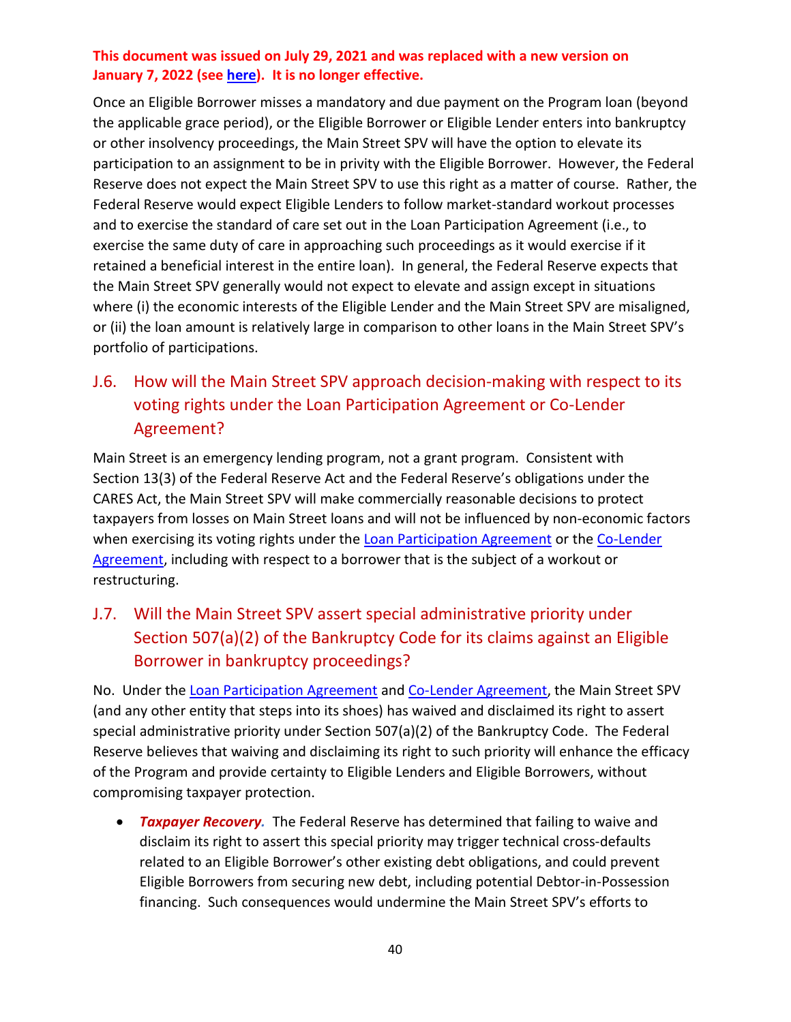Once an Eligible Borrower misses a mandatory and due payment on the Program loan (beyond the applicable grace period), or the Eligible Borrower or Eligible Lender enters into bankruptcy or other insolvency proceedings, the Main Street SPV will have the option to elevate its participation to an assignment to be in privity with the Eligible Borrower. However, the Federal Reserve does not expect the Main Street SPV to use this right as a matter of course. Rather, the Federal Reserve would expect Eligible Lenders to follow market-standard workout processes and to exercise the standard of care set out in the Loan Participation Agreement (i.e., to exercise the same duty of care in approaching such proceedings as it would exercise if it retained a beneficial interest in the entire loan). In general, the Federal Reserve expects that the Main Street SPV generally would not expect to elevate and assign except in situations where (i) the economic interests of the Eligible Lender and the Main Street SPV are misaligned, or (ii) the loan amount is relatively large in comparison to other loans in the Main Street SPV's portfolio of participations.

<span id="page-39-0"></span>J.6. How will the Main Street SPV approach decision-making with respect to its voting rights under the Loan Participation Agreement or Co-Lender Agreement?

Main Street is an emergency lending program, not a grant program. Consistent with Section 13(3) of the Federal Reserve Act and the Federal Reserve's obligations under the CARES Act, the Main Street SPV will make commercially reasonable decisions to protect taxpayers from losses on Main Street loans and will not be influenced by non-economic factors when exercising its voting rights under the [Loan Participation Agreement](https://www.bostonfed.org/-/media/Documents/special-lending-facilities/mslp/legal/loan-participation-agreement-standard-terms-and-conditions.pdf) or the Co-Lender [Agreement,](https://www.bostonfed.org/-/media/Documents/special-lending-facilities/mslp/legal/co-lender-agreement-standard-terms-and-conditions.pdf) including with respect to a borrower that is the subject of a workout or restructuring.

# <span id="page-39-1"></span>J.7. Will the Main Street SPV assert special administrative priority under Section 507(a)(2) of the Bankruptcy Code for its claims against an Eligible Borrower in bankruptcy proceedings?

No. Under th[e Loan Participation Agreement](https://www.bostonfed.org/-/media/Documents/special-lending-facilities/mslp/legal/loan-participation-agreement-standard-terms-and-conditions.pdf) and [Co-Lender Agreement,](https://www.bostonfed.org/-/media/Documents/special-lending-facilities/mslp/legal/co-lender-agreement-standard-terms-and-conditions.pdf) the Main Street SPV (and any other entity that steps into its shoes) has waived and disclaimed its right to assert special administrative priority under Section 507(a)(2) of the Bankruptcy Code. The Federal Reserve believes that waiving and disclaiming its right to such priority will enhance the efficacy of the Program and provide certainty to Eligible Lenders and Eligible Borrowers, without compromising taxpayer protection.

• *Taxpayer Recovery.* The Federal Reserve has determined that failing to waive and disclaim its right to assert this special priority may trigger technical cross-defaults related to an Eligible Borrower's other existing debt obligations, and could prevent Eligible Borrowers from securing new debt, including potential Debtor-in-Possession financing. Such consequences would undermine the Main Street SPV's efforts to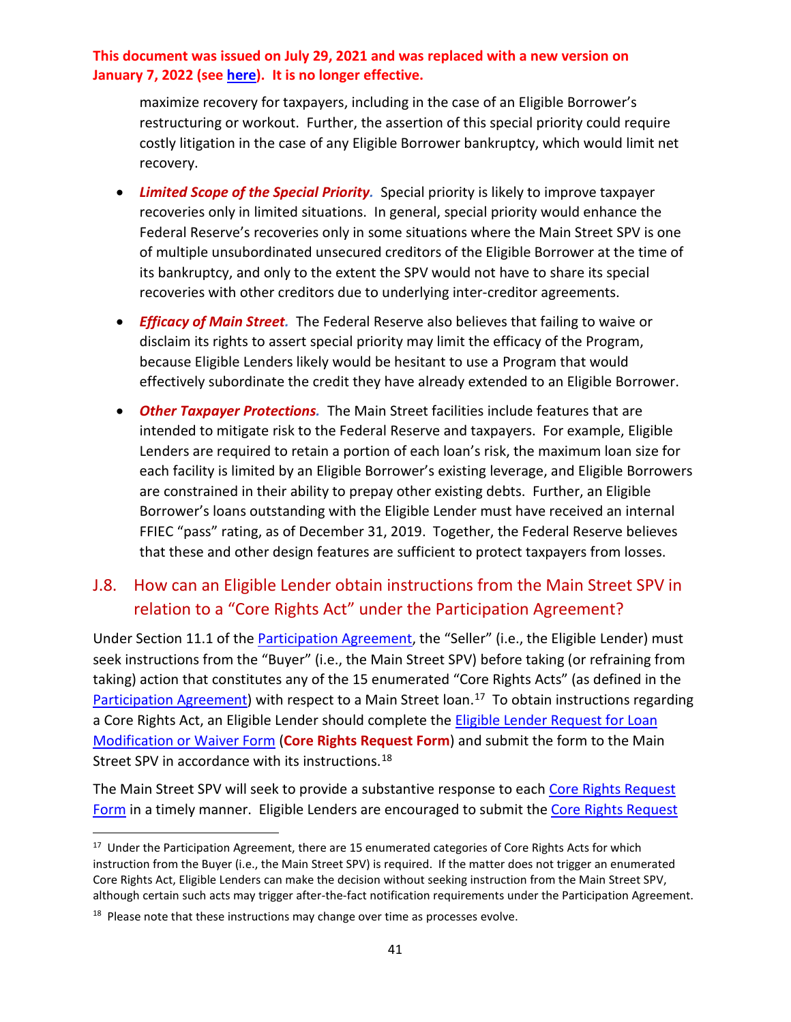maximize recovery for taxpayers, including in the case of an Eligible Borrower's restructuring or workout. Further, the assertion of this special priority could require costly litigation in the case of any Eligible Borrower bankruptcy, which would limit net recovery.

- *Limited Scope of the Special Priority.* Special priority is likely to improve taxpayer recoveries only in limited situations. In general, special priority would enhance the Federal Reserve's recoveries only in some situations where the Main Street SPV is one of multiple unsubordinated unsecured creditors of the Eligible Borrower at the time of its bankruptcy, and only to the extent the SPV would not have to share its special recoveries with other creditors due to underlying inter-creditor agreements.
- *Efficacy of Main Street.* The Federal Reserve also believes that failing to waive or disclaim its rights to assert special priority may limit the efficacy of the Program, because Eligible Lenders likely would be hesitant to use a Program that would effectively subordinate the credit they have already extended to an Eligible Borrower.
- *Other Taxpayer Protections.* The Main Street facilities include features that are intended to mitigate risk to the Federal Reserve and taxpayers. For example, Eligible Lenders are required to retain a portion of each loan's risk, the maximum loan size for each facility is limited by an Eligible Borrower's existing leverage, and Eligible Borrowers are constrained in their ability to prepay other existing debts. Further, an Eligible Borrower's loans outstanding with the Eligible Lender must have received an internal FFIEC "pass" rating, as of December 31, 2019. Together, the Federal Reserve believes that these and other design features are sufficient to protect taxpayers from losses.

### <span id="page-40-0"></span>J.8. How can an Eligible Lender obtain instructions from the Main Street SPV in relation to a "Core Rights Act" under the Participation Agreement?

Under Section 11.1 of the [Participation Agreement,](https://www.bostonfed.org/-/media/Documents/special-lending-facilities/mslp/legal/loan-participation-agreement-standard-terms-and-conditions.pdf?la=en) the "Seller" (i.e., the Eligible Lender) must seek instructions from the "Buyer" (i.e., the Main Street SPV) before taking (or refraining from taking) action that constitutes any of the 15 enumerated "Core Rights Acts" (as defined in the [Participation Agreement\)](https://www.bostonfed.org/-/media/Documents/special-lending-facilities/mslp/legal/loan-participation-agreement-standard-terms-and-conditions.pdf?la=en) with respect to a Main Street loan.<sup>17</sup> To obtain instructions regarding a Core Rights Act, an Eligible Lender should complete the [Eligible Lender Request for Loan](https://www.bostonfed.org/-/media/Documents/special-lending-facilities/mslp/legal/loan-modification-form.docx)  [Modification or Waiver Form](https://www.bostonfed.org/-/media/Documents/special-lending-facilities/mslp/legal/loan-modification-form.docx) (**Core Rights Request Form**) and submit the form to the Main Street SPV in accordance with its instructions.<sup>18</sup>

The Main Street SPV will seek to provide a substantive response to each [Core Rights Request](https://www.bostonfed.org/-/media/Documents/special-lending-facilities/mslp/legal/loan-modification-form.docx)  [Form](https://www.bostonfed.org/-/media/Documents/special-lending-facilities/mslp/legal/loan-modification-form.docx) in a timely manner. Eligible Lenders are encouraged to submit th[e Core Rights Request](https://www.bostonfed.org/-/media/Documents/special-lending-facilities/mslp/legal/loan-modification-form.docx) 

<span id="page-40-1"></span><sup>&</sup>lt;sup>17</sup> Under the Participation Agreement, there are 15 enumerated categories of Core Rights Acts for which instruction from the Buyer (i.e., the Main Street SPV) is required. If the matter does not trigger an enumerated Core Rights Act, Eligible Lenders can make the decision without seeking instruction from the Main Street SPV, although certain such acts may trigger after-the-fact notification requirements under the Participation Agreement.

<span id="page-40-2"></span> $18$  Please note that these instructions may change over time as processes evolve.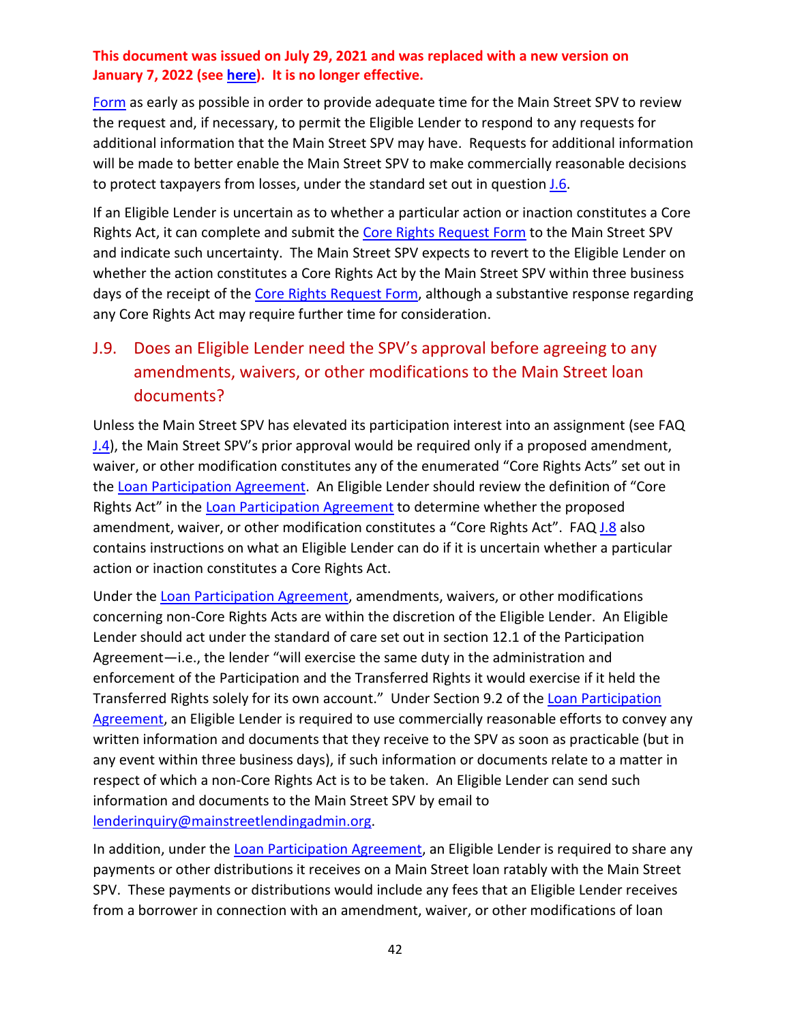[Form](https://www.bostonfed.org/-/media/Documents/special-lending-facilities/mslp/legal/loan-modification-form.docx) as early as possible in order to provide adequate time for the Main Street SPV to review the request and, if necessary, to permit the Eligible Lender to respond to any requests for additional information that the Main Street SPV may have. Requests for additional information will be made to better enable the Main Street SPV to make commercially reasonable decisions to protect taxpayers from losses, under the standard set out in question **J.6**.

If an Eligible Lender is uncertain as to whether a particular action or inaction constitutes a Core Rights Act, it can complete and submit the [Core Rights Request Form](https://www.bostonfed.org/-/media/Documents/special-lending-facilities/mslp/legal/loan-modification-form.docx) to the Main Street SPV and indicate such uncertainty. The Main Street SPV expects to revert to the Eligible Lender on whether the action constitutes a Core Rights Act by the Main Street SPV within three business days of the receipt of the [Core Rights Request Form,](https://www.bostonfed.org/-/media/Documents/special-lending-facilities/mslp/legal/loan-modification-form.docx) although a substantive response regarding any Core Rights Act may require further time for consideration.

# <span id="page-41-0"></span>J.9. Does an Eligible Lender need the SPV's approval before agreeing to any amendments, waivers, or other modifications to the Main Street loan documents?

Unless the Main Street SPV has elevated its participation interest into an assignment (see FAQ **J.4**), the Main Street SPV's prior approval would be required only if a proposed amendment, waiver, or other modification constitutes any of the enumerated "Core Rights Acts" set out in the [Loan Participation Agreement.](https://www.bostonfed.org/-/media/Documents/special-lending-facilities/mslp/legal/loan-participation-agreement-standard-terms-and-conditions.pdf?la=en) An Eligible Lender should review the definition of "Core Rights Act" in the [Loan Participation Agreement](https://www.bostonfed.org/-/media/Documents/special-lending-facilities/mslp/legal/loan-participation-agreement-standard-terms-and-conditions.pdf?la=en) to determine whether the proposed amendment, waiver, or other modification constitutes a "Core Rights Act". FAQ [J.8](#page-40-0) also contains instructions on what an Eligible Lender can do if it is uncertain whether a particular action or inaction constitutes a Core Rights Act.

Under the [Loan Participation Agreement,](https://www.bostonfed.org/-/media/Documents/special-lending-facilities/mslp/legal/loan-participation-agreement-standard-terms-and-conditions.pdf?la=en) amendments, waivers, or other modifications concerning non-Core Rights Acts are within the discretion of the Eligible Lender. An Eligible Lender should act under the standard of care set out in section 12.1 of the Participation Agreement—i.e., the lender "will exercise the same duty in the administration and enforcement of the Participation and the Transferred Rights it would exercise if it held the Transferred Rights solely for its own account." Under Section 9.2 of the Loan Participation [Agreement,](https://www.bostonfed.org/-/media/Documents/special-lending-facilities/mslp/legal/loan-participation-agreement-standard-terms-and-conditions.pdf?la=en) an Eligible Lender is required to use commercially reasonable efforts to convey any written information and documents that they receive to the SPV as soon as practicable (but in any event within three business days), if such information or documents relate to a matter in respect of which a non-Core Rights Act is to be taken. An Eligible Lender can send such information and documents to the Main Street SPV by email to [lenderinquiry@mainstreetlendingadmin.org.](mailto:lenderinquiry@mainstreetlendingadmin.org)

In addition, under the [Loan Participation Agreement,](https://www.bostonfed.org/-/media/Documents/special-lending-facilities/mslp/legal/loan-participation-agreement-standard-terms-and-conditions.pdf?la=en) an Eligible Lender is required to share any payments or other distributions it receives on a Main Street loan ratably with the Main Street SPV. These payments or distributions would include any fees that an Eligible Lender receives from a borrower in connection with an amendment, waiver, or other modifications of loan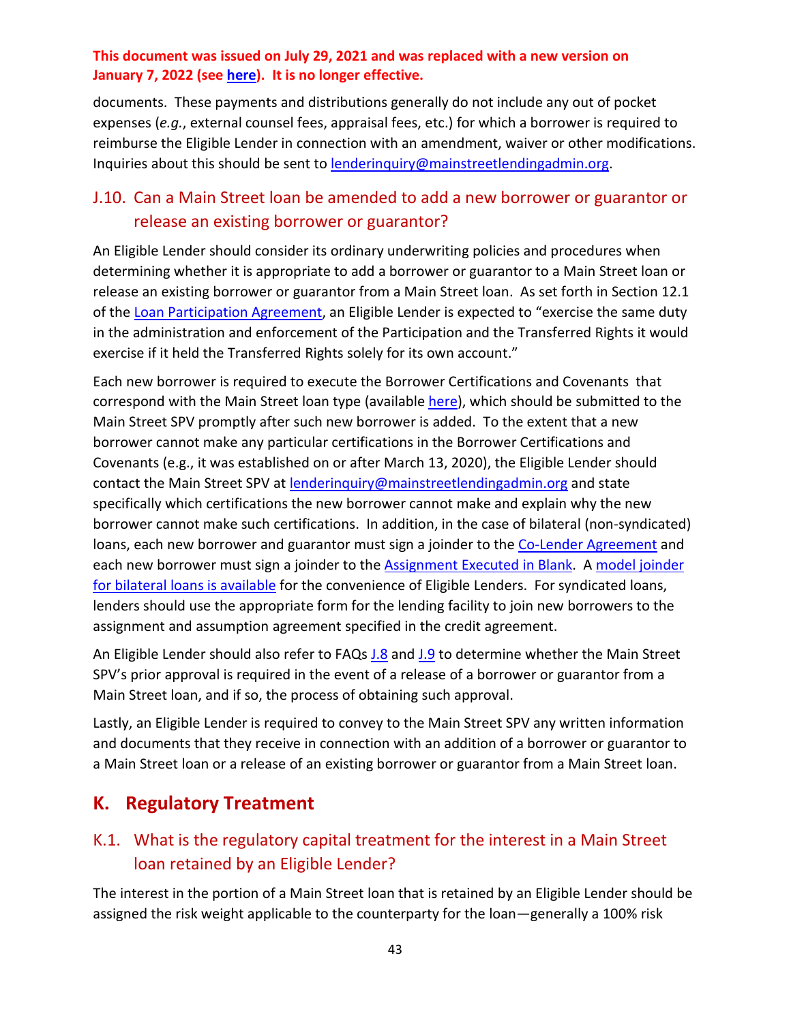documents. These payments and distributions generally do not include any out of pocket expenses (*e.g.*, external counsel fees, appraisal fees, etc.) for which a borrower is required to reimburse the Eligible Lender in connection with an amendment, waiver or other modifications. Inquiries about this should be sent to [lenderinquiry@mainstreetlendingadmin.org.](mailto:lenderinquiry@mainstreetlendingadmin.org)

# <span id="page-42-0"></span>J.10. Can a Main Street loan be amended to add a new borrower or guarantor or release an existing borrower or guarantor?

An Eligible Lender should consider its ordinary underwriting policies and procedures when determining whether it is appropriate to add a borrower or guarantor to a Main Street loan or release an existing borrower or guarantor from a Main Street loan. As set forth in Section 12.1 of th[e Loan Participation Agreement,](https://www.bostonfed.org/-/media/Documents/special-lending-facilities/mslp/legal/loan-participation-agreement-standard-terms-and-conditions.pdf?la=en) an Eligible Lender is expected to "exercise the same duty in the administration and enforcement of the Participation and the Transferred Rights it would exercise if it held the Transferred Rights solely for its own account."

Each new borrower is required to execute the Borrower Certifications and Covenants that correspond with the Main Street loan type (available [here\)](https://www.bostonfed.org/supervision-and-regulation/credit/special-facilities/main-street-lending-program/docs.aspx), which should be submitted to the Main Street SPV promptly after such new borrower is added. To the extent that a new borrower cannot make any particular certifications in the Borrower Certifications and Covenants (e.g., it was established on or after March 13, 2020), the Eligible Lender should contact the Main Street SPV at [lenderinquiry@mainstreetlendingadmin.org](mailto:lenderinquiry@mainstreetlendingadmin.org) and state specifically which certifications the new borrower cannot make and explain why the new borrower cannot make such certifications. In addition, in the case of bilateral (non-syndicated) loans, each new borrower and guarantor must sign a joinder to the [Co-Lender Agreement](https://www.bostonfed.org/-/media/Documents/special-lending-facilities/mslp/legal/co-lender-agreement-standard-terms-and-conditions-historic-July312020.pdf?la=en) and each new borrower must sign a joinder to the **Assignment Executed in Blank.** A model joinder [for bilateral loans is available](https://www.bostonfed.org/-/media/Documents/special-lending-facilities/mslp/legal/Model-Joinder-for-Main-Street-CoLender-and-AIB.docx) for the convenience of Eligible Lenders. For syndicated loans, lenders should use the appropriate form for the lending facility to join new borrowers to the assignment and assumption agreement specified in the credit agreement.

An Eligible Lender should also refer to FAQs [J.8](#page-40-0) and [J.9](#page-41-0) to determine whether the Main Street SPV's prior approval is required in the event of a release of a borrower or guarantor from a Main Street loan, and if so, the process of obtaining such approval.

Lastly, an Eligible Lender is required to convey to the Main Street SPV any written information and documents that they receive in connection with an addition of a borrower or guarantor to a Main Street loan or a release of an existing borrower or guarantor from a Main Street loan.

# <span id="page-42-1"></span>**K. Regulatory Treatment**

# <span id="page-42-2"></span>K.1. What is the regulatory capital treatment for the interest in a Main Street loan retained by an Eligible Lender?

The interest in the portion of a Main Street loan that is retained by an Eligible Lender should be assigned the risk weight applicable to the counterparty for the loan—generally a 100% risk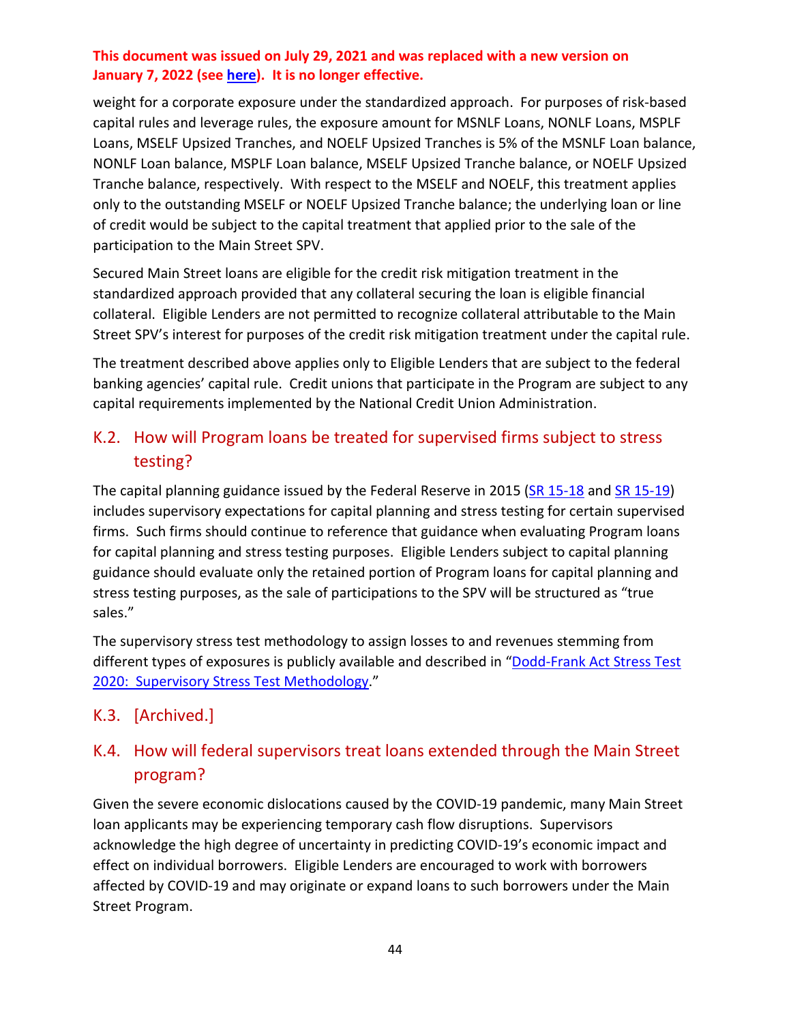weight for a corporate exposure under the standardized approach. For purposes of risk-based capital rules and leverage rules, the exposure amount for MSNLF Loans, NONLF Loans, MSPLF Loans, MSELF Upsized Tranches, and NOELF Upsized Tranches is 5% of the MSNLF Loan balance, NONLF Loan balance, MSPLF Loan balance, MSELF Upsized Tranche balance, or NOELF Upsized Tranche balance, respectively. With respect to the MSELF and NOELF, this treatment applies only to the outstanding MSELF or NOELF Upsized Tranche balance; the underlying loan or line of credit would be subject to the capital treatment that applied prior to the sale of the participation to the Main Street SPV.

Secured Main Street loans are eligible for the credit risk mitigation treatment in the standardized approach provided that any collateral securing the loan is eligible financial collateral. Eligible Lenders are not permitted to recognize collateral attributable to the Main Street SPV's interest for purposes of the credit risk mitigation treatment under the capital rule.

The treatment described above applies only to Eligible Lenders that are subject to the federal banking agencies' capital rule. Credit unions that participate in the Program are subject to any capital requirements implemented by the National Credit Union Administration.

# <span id="page-43-0"></span>K.2. How will Program loans be treated for supervised firms subject to stress testing?

The capital planning guidance issued by the Federal Reserve in 2015 [\(SR 15-18](https://www.federalreserve.gov/supervisionreg/srletters/sr1518a1.pdf) and [SR 15-19\)](https://www.federalreserve.gov/supervisionreg/srletters/sr1519_PW.pdf) includes supervisory expectations for capital planning and stress testing for certain supervised firms. Such firms should continue to reference that guidance when evaluating Program loans for capital planning and stress testing purposes. Eligible Lenders subject to capital planning guidance should evaluate only the retained portion of Program loans for capital planning and stress testing purposes, as the sale of participations to the SPV will be structured as "true sales."

The supervisory stress test methodology to assign losses to and revenues stemming from different types of exposures is publicly available and described in "Dodd-Frank Act Stress Test [2020: Supervisory Stress Test Methodology.](https://www.federalreserve.gov/publications/files/2020-march-supervisory-stress-test-methodology.pdf)"

### K.3. [Archived.]

### <span id="page-43-1"></span>K.4. How will federal supervisors treat loans extended through the Main Street program?

Given the severe economic dislocations caused by the COVID-19 pandemic, many Main Street loan applicants may be experiencing temporary cash flow disruptions. Supervisors acknowledge the high degree of uncertainty in predicting COVID-19's economic impact and effect on individual borrowers. Eligible Lenders are encouraged to work with borrowers affected by COVID-19 and may originate or expand loans to such borrowers under the Main Street Program.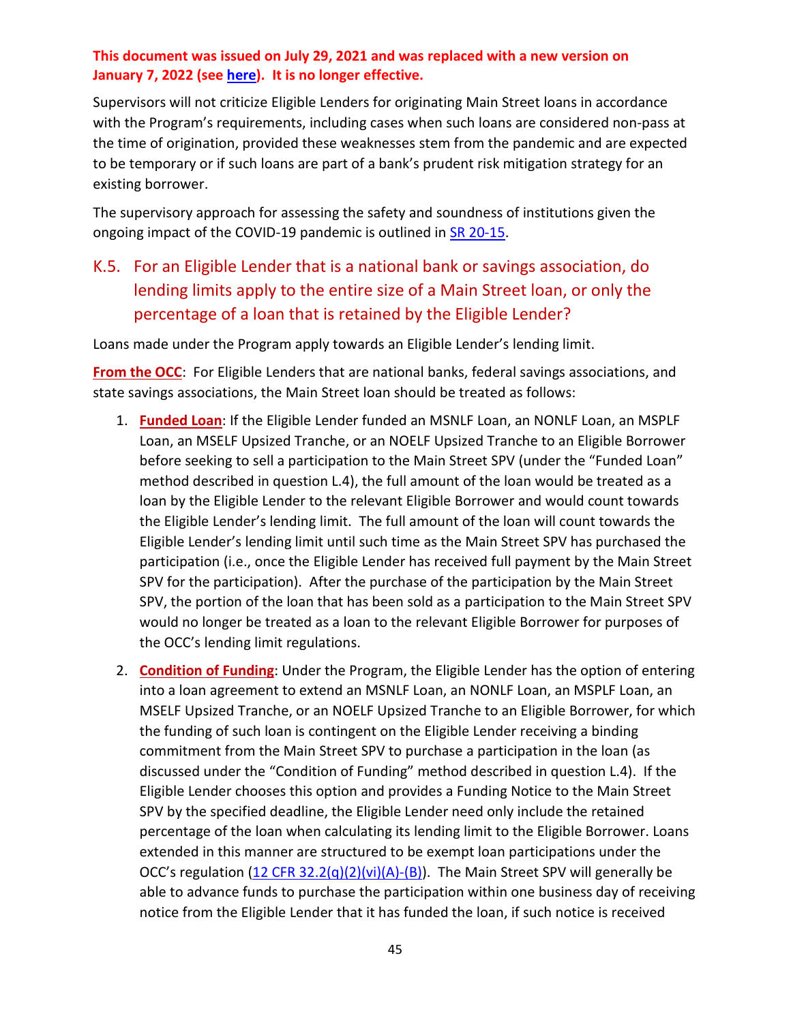Supervisors will not criticize Eligible Lenders for originating Main Street loans in accordance with the Program's requirements, including cases when such loans are considered non-pass at the time of origination, provided these weaknesses stem from the pandemic and are expected to be temporary or if such loans are part of a bank's prudent risk mitigation strategy for an existing borrower.

The supervisory approach for assessing the safety and soundness of institutions given the ongoing impact of the COVID-19 pandemic is outlined in **SR 20-15**.

# <span id="page-44-0"></span>K.5. For an Eligible Lender that is a national bank or savings association, do lending limits apply to the entire size of a Main Street loan, or only the percentage of a loan that is retained by the Eligible Lender?

Loans made under the Program apply towards an Eligible Lender's lending limit.

**From the OCC**: For Eligible Lenders that are national banks, federal savings associations, and state savings associations, the Main Street loan should be treated as follows:

- 1. **Funded Loan**: If the Eligible Lender funded an MSNLF Loan, an NONLF Loan, an MSPLF Loan, an MSELF Upsized Tranche, or an NOELF Upsized Tranche to an Eligible Borrower before seeking to sell a participation to the Main Street SPV (under the "Funded Loan" method described in question L.4), the full amount of the loan would be treated as a loan by the Eligible Lender to the relevant Eligible Borrower and would count towards the Eligible Lender's lending limit. The full amount of the loan will count towards the Eligible Lender's lending limit until such time as the Main Street SPV has purchased the participation (i.e., once the Eligible Lender has received full payment by the Main Street SPV for the participation). After the purchase of the participation by the Main Street SPV, the portion of the loan that has been sold as a participation to the Main Street SPV would no longer be treated as a loan to the relevant Eligible Borrower for purposes of the OCC's lending limit regulations.
- 2. **Condition of Funding**: Under the Program, the Eligible Lender has the option of entering into a loan agreement to extend an MSNLF Loan, an NONLF Loan, an MSPLF Loan, an MSELF Upsized Tranche, or an NOELF Upsized Tranche to an Eligible Borrower, for which the funding of such loan is contingent on the Eligible Lender receiving a binding commitment from the Main Street SPV to purchase a participation in the loan (as discussed under the "Condition of Funding" method described in question L.4). If the Eligible Lender chooses this option and provides a Funding Notice to the Main Street SPV by the specified deadline, the Eligible Lender need only include the retained percentage of the loan when calculating its lending limit to the Eligible Borrower. Loans extended in this manner are structured to be exempt loan participations under the OCC's regulation [\(12 CFR 32.2\(q\)\(2\)\(vi\)\(A\)-\(B\)\)](https://gov.ecfr.io/cgi-bin/text-idx?SID=6aead790ea6b72c81017a1e87c3b5072&mc=true&node=se12.1.32_12&rgn=div8). The Main Street SPV will generally be able to advance funds to purchase the participation within one business day of receiving notice from the Eligible Lender that it has funded the loan, if such notice is received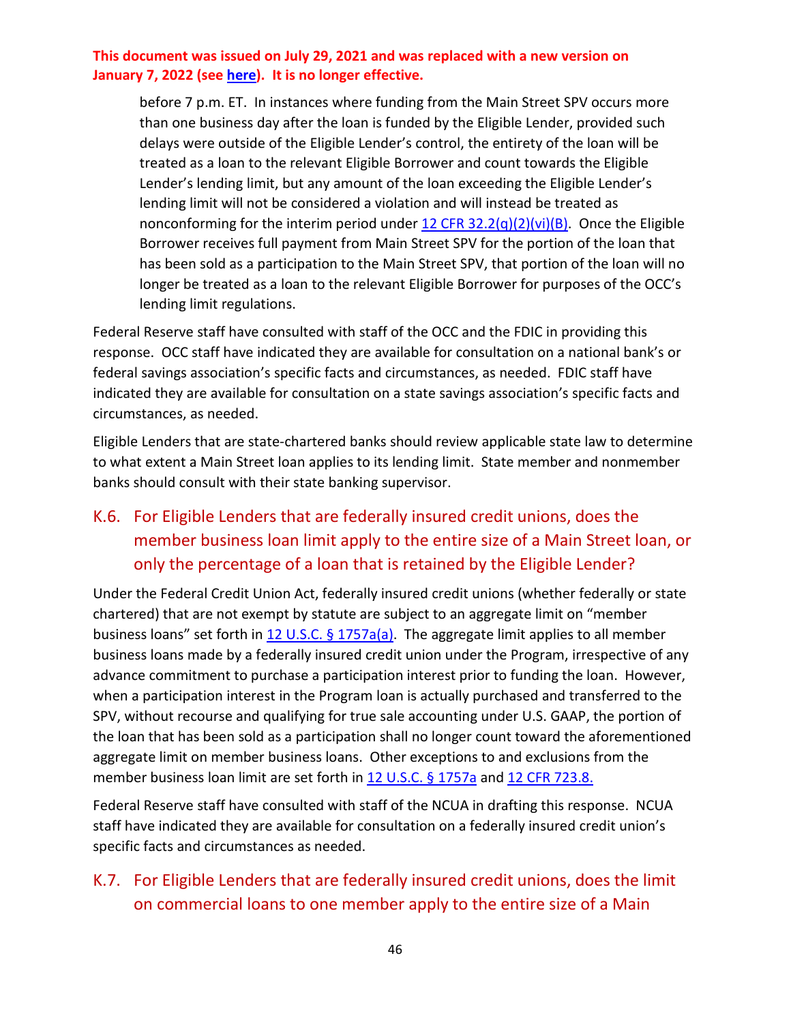before 7 p.m. ET. In instances where funding from the Main Street SPV occurs more than one business day after the loan is funded by the Eligible Lender, provided such delays were outside of the Eligible Lender's control, the entirety of the loan will be treated as a loan to the relevant Eligible Borrower and count towards the Eligible Lender's lending limit, but any amount of the loan exceeding the Eligible Lender's lending limit will not be considered a violation and will instead be treated as nonconforming for the interim period under  $12$  CFR  $32.2(q)(2)(vi)(B)$ . Once the Eligible Borrower receives full payment from Main Street SPV for the portion of the loan that has been sold as a participation to the Main Street SPV, that portion of the loan will no longer be treated as a loan to the relevant Eligible Borrower for purposes of the OCC's lending limit regulations.

Federal Reserve staff have consulted with staff of the OCC and the FDIC in providing this response. OCC staff have indicated they are available for consultation on a national bank's or federal savings association's specific facts and circumstances, as needed. FDIC staff have indicated they are available for consultation on a state savings association's specific facts and circumstances, as needed.

Eligible Lenders that are state-chartered banks should review applicable state law to determine to what extent a Main Street loan applies to its lending limit. State member and nonmember banks should consult with their state banking supervisor.

# <span id="page-45-0"></span>K.6. For Eligible Lenders that are federally insured credit unions, does the member business loan limit apply to the entire size of a Main Street loan, or only the percentage of a loan that is retained by the Eligible Lender?

Under the Federal Credit Union Act, federally insured credit unions (whether federally or state chartered) that are not exempt by statute are subject to an aggregate limit on "member business loans" set forth in 12 [U.S.C. § 1757a\(a\).](https://uscode.house.gov/view.xhtml?req=(title:12%20section:1757a%20edition:prelim)%20OR%20(granuleid:USC-prelim-title12-section1757a)&f=treesort&edition=prelim&num=0&jumpTo=true) The aggregate limit applies to all member business loans made by a federally insured credit union under the Program, irrespective of any advance commitment to purchase a participation interest prior to funding the loan. However, when a participation interest in the Program loan is actually purchased and transferred to the SPV, without recourse and qualifying for true sale accounting under U.S. GAAP, the portion of the loan that has been sold as a participation shall no longer count toward the aforementioned aggregate limit on member business loans. Other exceptions to and exclusions from the member business loan limit are set forth in [12 U.S.C. §](https://uscode.house.gov/view.xhtml?req=(title:12%20section:1757a%20edition:prelim)%20OR%20(granuleid:USC-prelim-title12-section1757a)&f=treesort&edition=prelim&num=0&jumpTo=true) 1757a and [12 CFR 723.8.](https://ecfr.io/Title-12/Section-723.2)

Federal Reserve staff have consulted with staff of the NCUA in drafting this response. NCUA staff have indicated they are available for consultation on a federally insured credit union's specific facts and circumstances as needed.

### <span id="page-45-1"></span>K.7. For Eligible Lenders that are federally insured credit unions, does the limit on commercial loans to one member apply to the entire size of a Main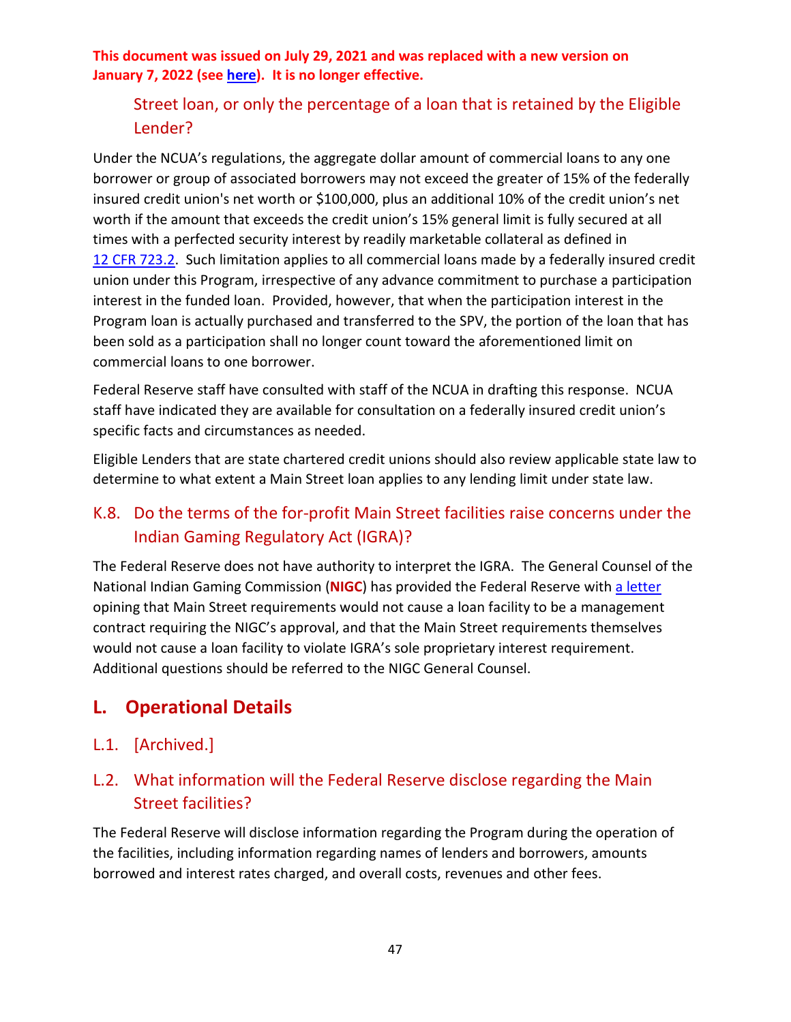# Street loan, or only the percentage of a loan that is retained by the Eligible Lender?

Under the NCUA's regulations, the aggregate dollar amount of commercial loans to any one borrower or group of associated borrowers may not exceed the greater of 15% of the federally insured credit union's net worth or \$100,000, plus an additional 10% of the credit union's net worth if the amount that exceeds the credit union's 15% general limit is fully secured at all times with a perfected security interest by readily marketable collateral as defined in 12 CFR [723.2.](https://ecfr.io/Title-12/Section-723.2) Such limitation applies to all commercial loans made by a federally insured credit union under this Program, irrespective of any advance commitment to purchase a participation interest in the funded loan. Provided, however, that when the participation interest in the Program loan is actually purchased and transferred to the SPV, the portion of the loan that has been sold as a participation shall no longer count toward the aforementioned limit on commercial loans to one borrower.

Federal Reserve staff have consulted with staff of the NCUA in drafting this response. NCUA staff have indicated they are available for consultation on a federally insured credit union's specific facts and circumstances as needed.

Eligible Lenders that are state chartered credit unions should also review applicable state law to determine to what extent a Main Street loan applies to any lending limit under state law.

### <span id="page-46-0"></span>K.8. Do the terms of the for-profit Main Street facilities raise concerns under the Indian Gaming Regulatory Act (IGRA)?

The Federal Reserve does not have authority to interpret the IGRA. The General Counsel of the National Indian Gaming Commission (**NIGC**) has provided the Federal Reserve with [a letter](https://www.bostonfed.org/-/media/Documents/special-lending-facilities/mslp/legal/20201006-NIGC-General-Counsel-Ltr-re-Main-Street-Lending-Program.pdf) opining that Main Street requirements would not cause a loan facility to be a management contract requiring the NIGC's approval, and that the Main Street requirements themselves would not cause a loan facility to violate IGRA's sole proprietary interest requirement. Additional questions should be referred to the NIGC General Counsel.

# <span id="page-46-1"></span>**L. Operational Details**

### L.1. [Archived.]

### <span id="page-46-2"></span>L.2. What information will the Federal Reserve disclose regarding the Main Street facilities?

The Federal Reserve will disclose information regarding the Program during the operation of the facilities, including information regarding names of lenders and borrowers, amounts borrowed and interest rates charged, and overall costs, revenues and other fees.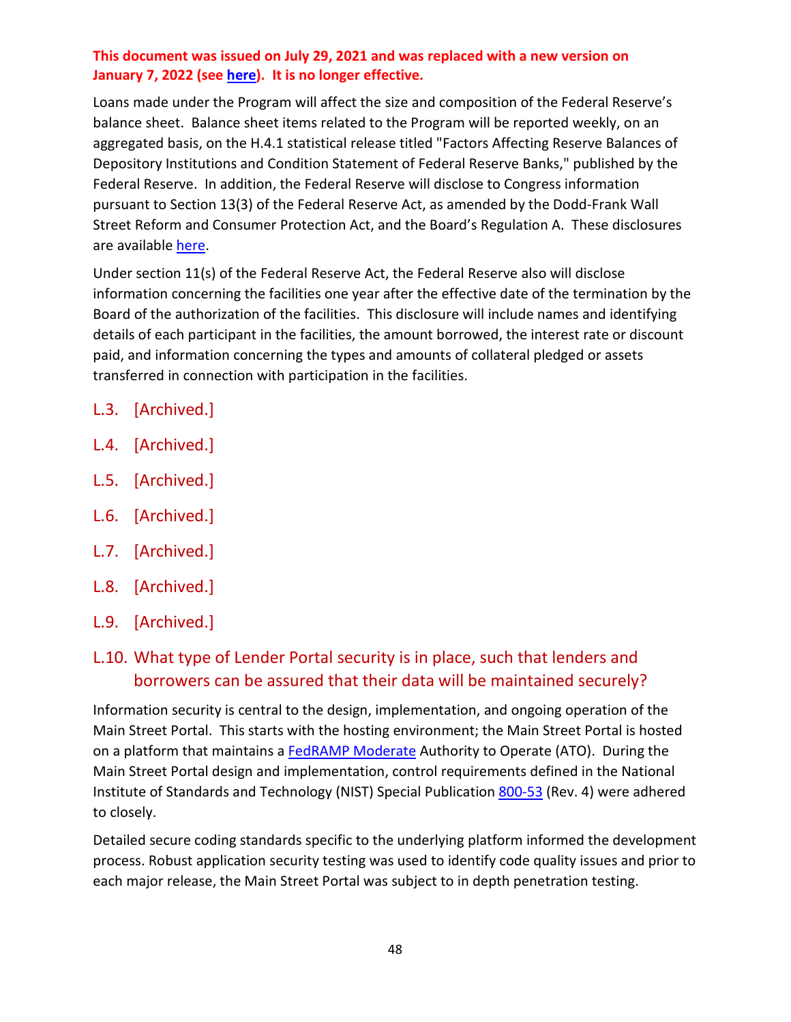Loans made under the Program will affect the size and composition of the Federal Reserve's balance sheet. Balance sheet items related to the Program will be reported weekly, on an aggregated basis, on the H.4.1 statistical release titled "Factors Affecting Reserve Balances of Depository Institutions and Condition Statement of Federal Reserve Banks," published by the Federal Reserve. In addition, the Federal Reserve will disclose to Congress information pursuant to Section 13(3) of the Federal Reserve Act, as amended by the Dodd-Frank Wall Street Reform and Consumer Protection Act, and the Board's Regulation A. These disclosures are available [here.](https://www.federalreserve.gov/monetarypolicy/mainstreetlending.htm)

Under section 11(s) of the Federal Reserve Act, the Federal Reserve also will disclose information concerning the facilities one year after the effective date of the termination by the Board of the authorization of the facilities. This disclosure will include names and identifying details of each participant in the facilities, the amount borrowed, the interest rate or discount paid, and information concerning the types and amounts of collateral pledged or assets transferred in connection with participation in the facilities.

- L.3. [Archived.]
- L.4. [Archived.]
- L.5. [Archived.]
- L.6. [Archived.]
- L.7. [Archived.]
- L.8. [Archived.]
- L.9. [Archived.]

# <span id="page-47-0"></span>L.10. What type of Lender Portal security is in place, such that lenders and borrowers can be assured that their data will be maintained securely?

Information security is central to the design, implementation, and ongoing operation of the Main Street Portal. This starts with the hosting environment; the Main Street Portal is hosted on a platform that maintains a **FedRAMP Moderate Authority to Operate (ATO)**. During the Main Street Portal design and implementation, control requirements defined in the National Institute of Standards and Technology (NIST) Special Publication [800-53](https://csrc.nist.gov/publications/detail/sp/800-53/rev-4/final) (Rev. 4) were adhered to closely.

Detailed secure coding standards specific to the underlying platform informed the development process. Robust application security testing was used to identify code quality issues and prior to each major release, the Main Street Portal was subject to in depth penetration testing.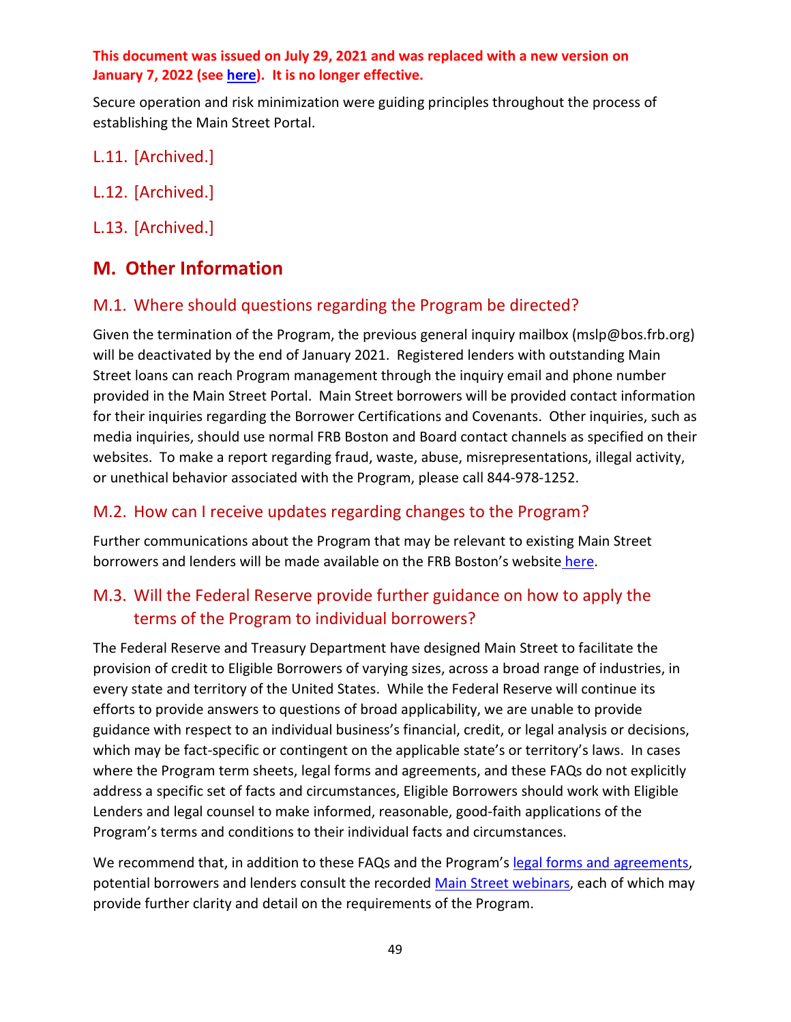Secure operation and risk minimization were guiding principles throughout the process of establishing the Main Street Portal.

- L.11. [Archived.]
- L.12. [Archived.]
- L.13. [Archived.]

# <span id="page-48-0"></span>**M. Other Information**

### <span id="page-48-1"></span>M.1. Where should questions regarding the Program be directed?

Given the termination of the Program, the previous general inquiry mailbox (mslp@bos.frb.org) will be deactivated by the end of January 2021. Registered lenders with outstanding Main Street loans can reach Program management through the inquiry email and phone number provided in the Main Street Portal. Main Street borrowers will be provided contact information for their inquiries regarding the Borrower Certifications and Covenants. Other inquiries, such as media inquiries, should use normal FRB Boston and Board contact channels as specified on their websites. To make a report regarding fraud, waste, abuse, misrepresentations, illegal activity, or unethical behavior associated with the Program, please call 844-978-1252.

#### <span id="page-48-2"></span>M.2. How can I receive updates regarding changes to the Program?

Further communications about the Program that may be relevant to existing Main Street borrowers and lenders will be made available on the FRB Boston's website [here.](https://www.bostonfed.org/supervision-and-regulation/supervision/special-facilities/main-street-lending-program.aspx#ic_signupform)

### <span id="page-48-3"></span>M.3. Will the Federal Reserve provide further guidance on how to apply the terms of the Program to individual borrowers?

The Federal Reserve and Treasury Department have designed Main Street to facilitate the provision of credit to Eligible Borrowers of varying sizes, across a broad range of industries, in every state and territory of the United States. While the Federal Reserve will continue its efforts to provide answers to questions of broad applicability, we are unable to provide guidance with respect to an individual business's financial, credit, or legal analysis or decisions, which may be fact-specific or contingent on the applicable state's or territory's laws. In cases where the Program term sheets, legal forms and agreements, and these FAQs do not explicitly address a specific set of facts and circumstances, Eligible Borrowers should work with Eligible Lenders and legal counsel to make informed, reasonable, good-faith applications of the Program's terms and conditions to their individual facts and circumstances.

We recommend that, in addition to these FAQs and the Program's [legal forms and agreements,](https://www.bostonfed.org/supervision-and-regulation/supervision/special-facilities/main-street-lending-program/information-for-lenders/docs.aspx) potential borrowers and lenders consult the recorded [Main Street webinars,](https://www.bostonfed.org/supervision-and-regulation/supervision/special-facilities/main-street-lending-program.aspx#events) each of which may provide further clarity and detail on the requirements of the Program.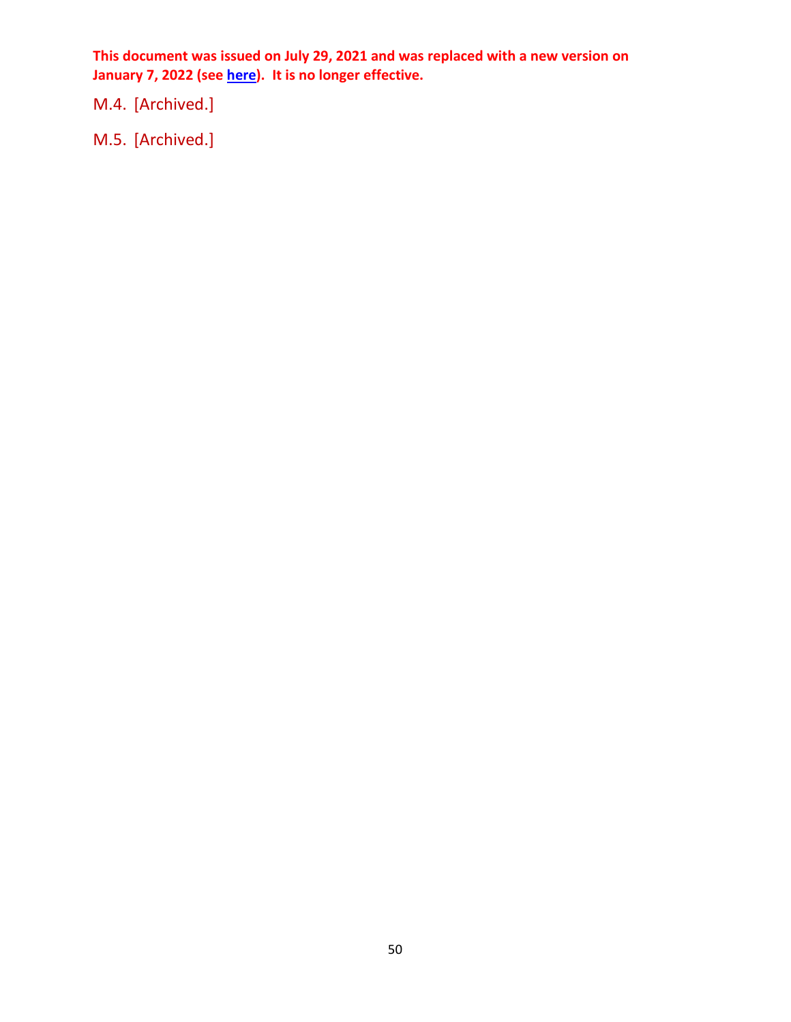M.4. [Archived.]

M.5. [Archived.]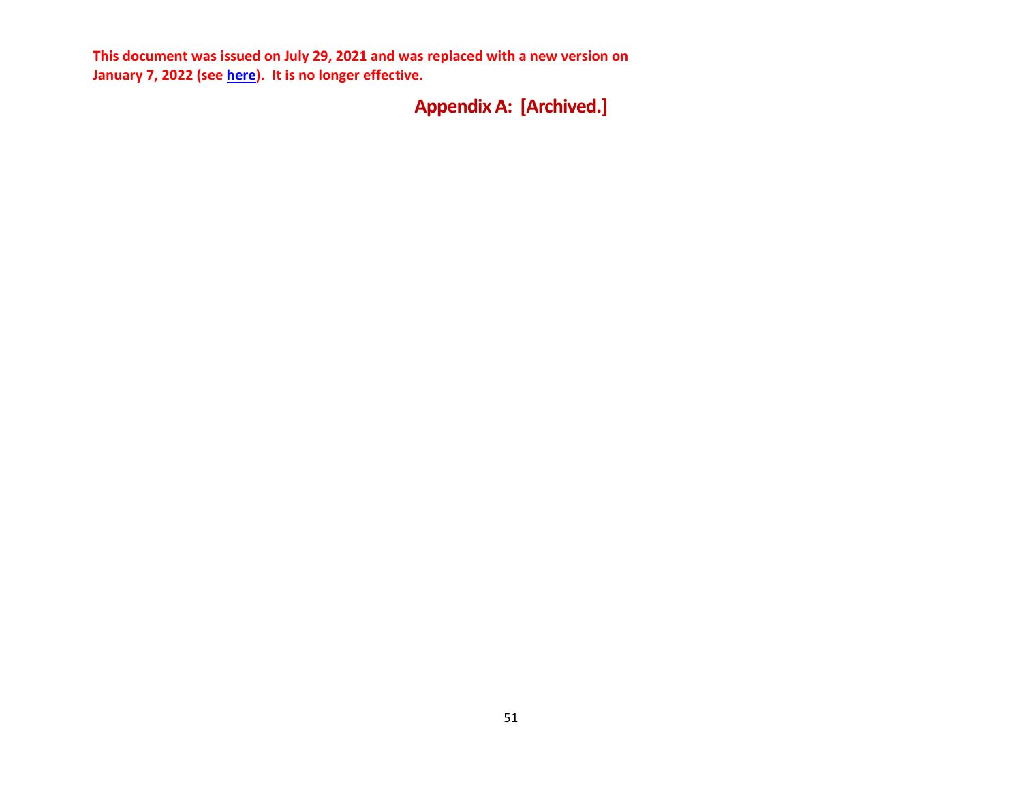# **Appendix A: [Archived.]**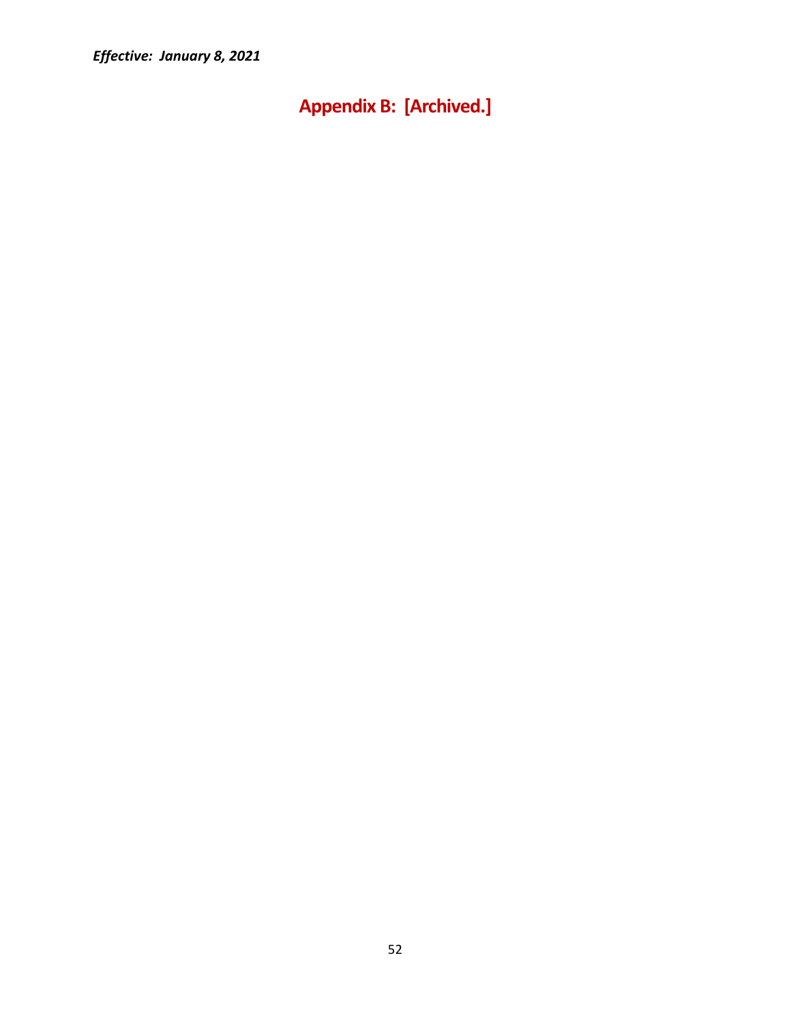<span id="page-51-0"></span>**Appendix B: [Archived.]**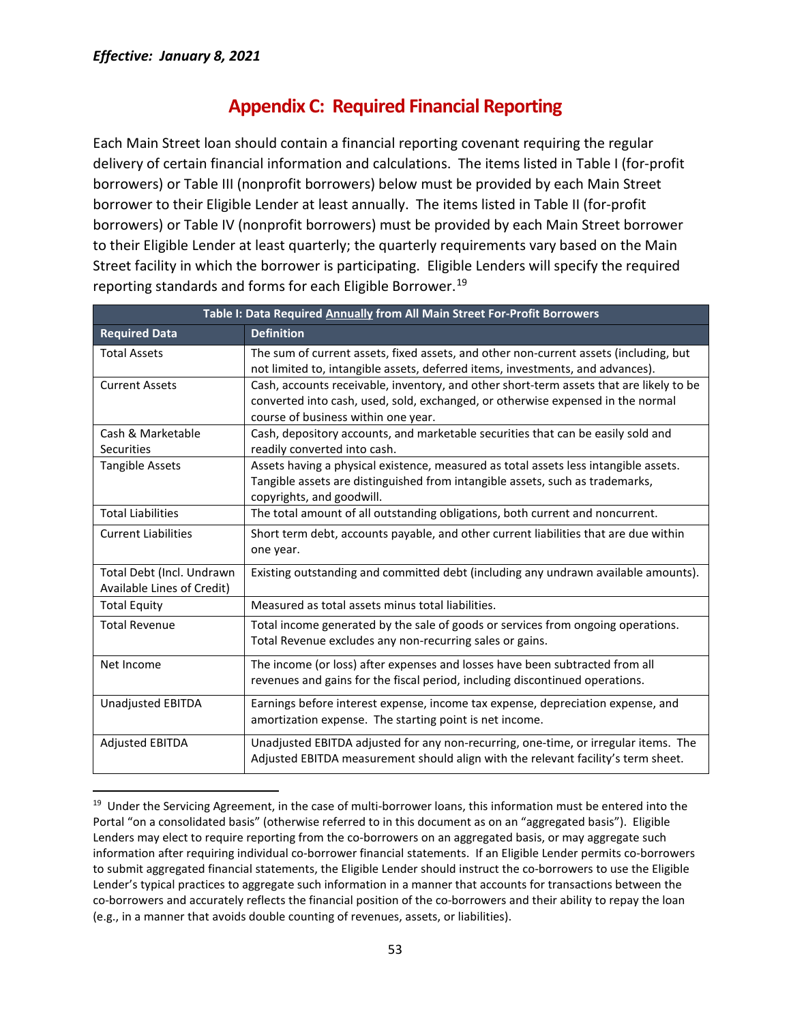# **Appendix C: Required Financial Reporting**

<span id="page-52-0"></span>Each Main Street loan should contain a financial reporting covenant requiring the regular delivery of certain financial information and calculations. The items listed in Table I (for-profit borrowers) or Table III (nonprofit borrowers) below must be provided by each Main Street borrower to their Eligible Lender at least annually. The items listed in Table II (for-profit borrowers) or Table IV (nonprofit borrowers) must be provided by each Main Street borrower to their Eligible Lender at least quarterly; the quarterly requirements vary based on the Main Street facility in which the borrower is participating. Eligible Lenders will specify the required reporting standards and forms for each Eligible Borrower.[19](#page-52-1)

| Table I: Data Required Annually from All Main Street For-Profit Borrowers |                                                                                                                                                                                                                   |  |  |  |  |
|---------------------------------------------------------------------------|-------------------------------------------------------------------------------------------------------------------------------------------------------------------------------------------------------------------|--|--|--|--|
| <b>Required Data</b>                                                      | <b>Definition</b>                                                                                                                                                                                                 |  |  |  |  |
| <b>Total Assets</b>                                                       | The sum of current assets, fixed assets, and other non-current assets (including, but<br>not limited to, intangible assets, deferred items, investments, and advances).                                           |  |  |  |  |
| <b>Current Assets</b>                                                     | Cash, accounts receivable, inventory, and other short-term assets that are likely to be<br>converted into cash, used, sold, exchanged, or otherwise expensed in the normal<br>course of business within one year. |  |  |  |  |
| Cash & Marketable<br>Securities                                           | Cash, depository accounts, and marketable securities that can be easily sold and<br>readily converted into cash.                                                                                                  |  |  |  |  |
| <b>Tangible Assets</b>                                                    | Assets having a physical existence, measured as total assets less intangible assets.<br>Tangible assets are distinguished from intangible assets, such as trademarks,<br>copyrights, and goodwill.                |  |  |  |  |
| <b>Total Liabilities</b>                                                  | The total amount of all outstanding obligations, both current and noncurrent.                                                                                                                                     |  |  |  |  |
| <b>Current Liabilities</b>                                                | Short term debt, accounts payable, and other current liabilities that are due within<br>one year.                                                                                                                 |  |  |  |  |
| Total Debt (Incl. Undrawn<br>Available Lines of Credit)                   | Existing outstanding and committed debt (including any undrawn available amounts).                                                                                                                                |  |  |  |  |
| <b>Total Equity</b>                                                       | Measured as total assets minus total liabilities.                                                                                                                                                                 |  |  |  |  |
| <b>Total Revenue</b>                                                      | Total income generated by the sale of goods or services from ongoing operations.<br>Total Revenue excludes any non-recurring sales or gains.                                                                      |  |  |  |  |
| Net Income                                                                | The income (or loss) after expenses and losses have been subtracted from all<br>revenues and gains for the fiscal period, including discontinued operations.                                                      |  |  |  |  |
| <b>Unadjusted EBITDA</b>                                                  | Earnings before interest expense, income tax expense, depreciation expense, and<br>amortization expense. The starting point is net income.                                                                        |  |  |  |  |
| <b>Adjusted EBITDA</b>                                                    | Unadjusted EBITDA adjusted for any non-recurring, one-time, or irregular items. The<br>Adjusted EBITDA measurement should align with the relevant facility's term sheet.                                          |  |  |  |  |

<span id="page-52-1"></span><sup>&</sup>lt;sup>19</sup> Under the Servicing Agreement, in the case of multi-borrower loans, this information must be entered into the Portal "on a consolidated basis" (otherwise referred to in this document as on an "aggregated basis"). Eligible Lenders may elect to require reporting from the co-borrowers on an aggregated basis, or may aggregate such information after requiring individual co-borrower financial statements. If an Eligible Lender permits co-borrowers to submit aggregated financial statements, the Eligible Lender should instruct the co-borrowers to use the Eligible Lender's typical practices to aggregate such information in a manner that accounts for transactions between the co-borrowers and accurately reflects the financial position of the co-borrowers and their ability to repay the loan (e.g., in a manner that avoids double counting of revenues, assets, or liabilities).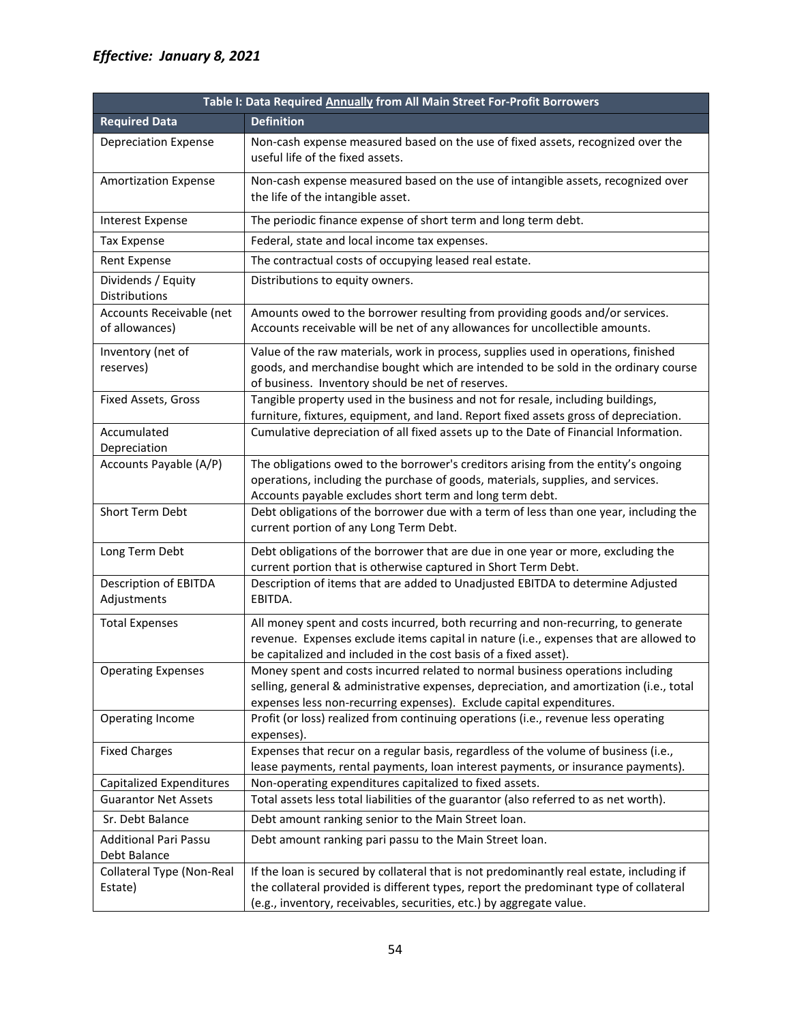| Table I: Data Required Annually from All Main Street For-Profit Borrowers |                                                                                                                                                                                                                                                           |  |  |  |  |  |
|---------------------------------------------------------------------------|-----------------------------------------------------------------------------------------------------------------------------------------------------------------------------------------------------------------------------------------------------------|--|--|--|--|--|
| <b>Required Data</b>                                                      | <b>Definition</b>                                                                                                                                                                                                                                         |  |  |  |  |  |
| <b>Depreciation Expense</b>                                               | Non-cash expense measured based on the use of fixed assets, recognized over the<br>useful life of the fixed assets.                                                                                                                                       |  |  |  |  |  |
| <b>Amortization Expense</b>                                               | Non-cash expense measured based on the use of intangible assets, recognized over<br>the life of the intangible asset.                                                                                                                                     |  |  |  |  |  |
| <b>Interest Expense</b>                                                   | The periodic finance expense of short term and long term debt.                                                                                                                                                                                            |  |  |  |  |  |
| <b>Tax Expense</b>                                                        | Federal, state and local income tax expenses.                                                                                                                                                                                                             |  |  |  |  |  |
| <b>Rent Expense</b>                                                       | The contractual costs of occupying leased real estate.                                                                                                                                                                                                    |  |  |  |  |  |
| Dividends / Equity<br>Distributions                                       | Distributions to equity owners.                                                                                                                                                                                                                           |  |  |  |  |  |
| Accounts Receivable (net<br>of allowances)                                | Amounts owed to the borrower resulting from providing goods and/or services.<br>Accounts receivable will be net of any allowances for uncollectible amounts.                                                                                              |  |  |  |  |  |
| Inventory (net of<br>reserves)                                            | Value of the raw materials, work in process, supplies used in operations, finished<br>goods, and merchandise bought which are intended to be sold in the ordinary course<br>of business. Inventory should be net of reserves.                             |  |  |  |  |  |
| Fixed Assets, Gross                                                       | Tangible property used in the business and not for resale, including buildings,<br>furniture, fixtures, equipment, and land. Report fixed assets gross of depreciation.                                                                                   |  |  |  |  |  |
| Accumulated<br>Depreciation                                               | Cumulative depreciation of all fixed assets up to the Date of Financial Information.                                                                                                                                                                      |  |  |  |  |  |
| Accounts Payable (A/P)                                                    | The obligations owed to the borrower's creditors arising from the entity's ongoing<br>operations, including the purchase of goods, materials, supplies, and services.<br>Accounts payable excludes short term and long term debt.                         |  |  |  |  |  |
| Short Term Debt                                                           | Debt obligations of the borrower due with a term of less than one year, including the<br>current portion of any Long Term Debt.                                                                                                                           |  |  |  |  |  |
| Long Term Debt                                                            | Debt obligations of the borrower that are due in one year or more, excluding the<br>current portion that is otherwise captured in Short Term Debt.                                                                                                        |  |  |  |  |  |
| Description of EBITDA<br>Adjustments                                      | Description of items that are added to Unadjusted EBITDA to determine Adjusted<br>EBITDA.                                                                                                                                                                 |  |  |  |  |  |
| <b>Total Expenses</b>                                                     | All money spent and costs incurred, both recurring and non-recurring, to generate<br>revenue. Expenses exclude items capital in nature (i.e., expenses that are allowed to<br>be capitalized and included in the cost basis of a fixed asset).            |  |  |  |  |  |
| <b>Operating Expenses</b>                                                 | Money spent and costs incurred related to normal business operations including<br>selling, general & administrative expenses, depreciation, and amortization (i.e., total<br>expenses less non-recurring expenses). Exclude capital expenditures.         |  |  |  |  |  |
| Operating Income                                                          | Profit (or loss) realized from continuing operations (i.e., revenue less operating<br>expenses).                                                                                                                                                          |  |  |  |  |  |
| <b>Fixed Charges</b>                                                      | Expenses that recur on a regular basis, regardless of the volume of business (i.e.,<br>lease payments, rental payments, loan interest payments, or insurance payments).                                                                                   |  |  |  |  |  |
| <b>Capitalized Expenditures</b>                                           | Non-operating expenditures capitalized to fixed assets.                                                                                                                                                                                                   |  |  |  |  |  |
| <b>Guarantor Net Assets</b>                                               | Total assets less total liabilities of the guarantor (also referred to as net worth).                                                                                                                                                                     |  |  |  |  |  |
| Sr. Debt Balance                                                          | Debt amount ranking senior to the Main Street loan.                                                                                                                                                                                                       |  |  |  |  |  |
| <b>Additional Pari Passu</b><br>Debt Balance                              | Debt amount ranking pari passu to the Main Street loan.                                                                                                                                                                                                   |  |  |  |  |  |
| Collateral Type (Non-Real<br>Estate)                                      | If the loan is secured by collateral that is not predominantly real estate, including if<br>the collateral provided is different types, report the predominant type of collateral<br>(e.g., inventory, receivables, securities, etc.) by aggregate value. |  |  |  |  |  |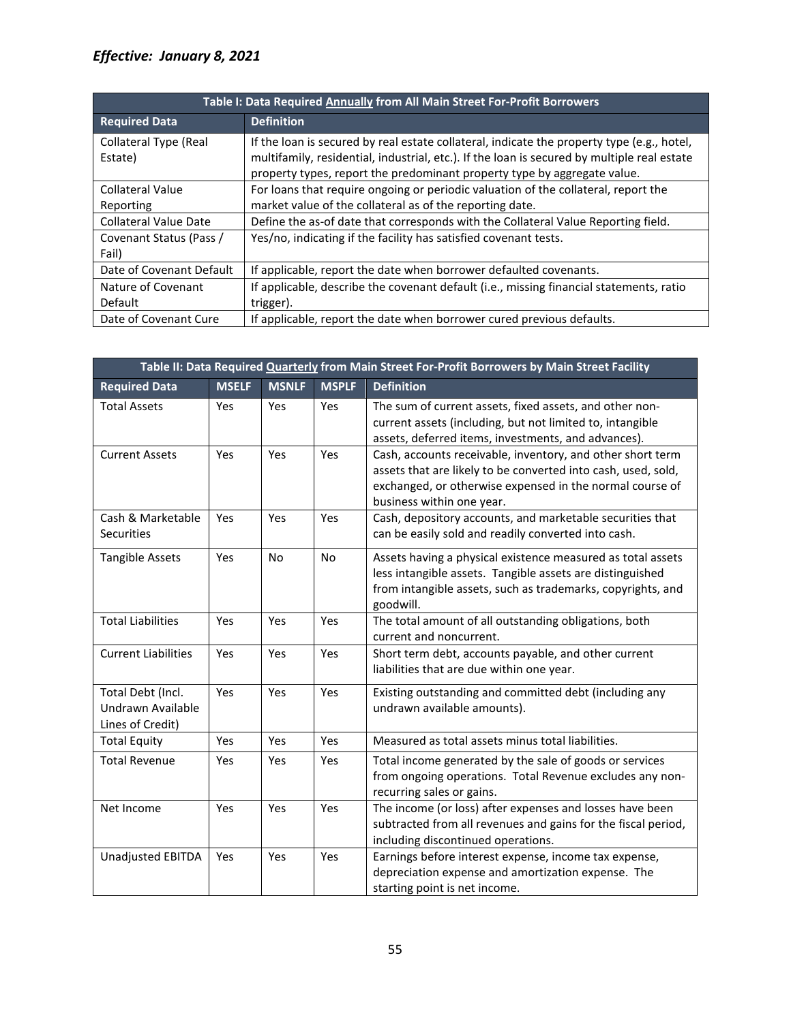| Table I: Data Required Annually from All Main Street For-Profit Borrowers |                                                                                                                                                                                                                                                                       |  |  |  |  |
|---------------------------------------------------------------------------|-----------------------------------------------------------------------------------------------------------------------------------------------------------------------------------------------------------------------------------------------------------------------|--|--|--|--|
| <b>Required Data</b>                                                      | <b>Definition</b>                                                                                                                                                                                                                                                     |  |  |  |  |
| Collateral Type (Real<br>Estate)                                          | If the loan is secured by real estate collateral, indicate the property type (e.g., hotel,<br>multifamily, residential, industrial, etc.). If the loan is secured by multiple real estate<br>property types, report the predominant property type by aggregate value. |  |  |  |  |
| <b>Collateral Value</b><br>Reporting                                      | For loans that require ongoing or periodic valuation of the collateral, report the<br>market value of the collateral as of the reporting date.                                                                                                                        |  |  |  |  |
| <b>Collateral Value Date</b>                                              | Define the as-of date that corresponds with the Collateral Value Reporting field.                                                                                                                                                                                     |  |  |  |  |
| Covenant Status (Pass /<br>Fail)                                          | Yes/no, indicating if the facility has satisfied covenant tests.                                                                                                                                                                                                      |  |  |  |  |
| Date of Covenant Default                                                  | If applicable, report the date when borrower defaulted covenants.                                                                                                                                                                                                     |  |  |  |  |
| Nature of Covenant<br>Default                                             | If applicable, describe the covenant default (i.e., missing financial statements, ratio<br>trigger).                                                                                                                                                                  |  |  |  |  |
| Date of Covenant Cure                                                     | If applicable, report the date when borrower cured previous defaults.                                                                                                                                                                                                 |  |  |  |  |

| Table II: Data Required Quarterly from Main Street For-Profit Borrowers by Main Street Facility |              |              |              |                                                                                                                                                                                                                      |  |
|-------------------------------------------------------------------------------------------------|--------------|--------------|--------------|----------------------------------------------------------------------------------------------------------------------------------------------------------------------------------------------------------------------|--|
| <b>Required Data</b>                                                                            | <b>MSELF</b> | <b>MSNLF</b> | <b>MSPLF</b> | <b>Definition</b>                                                                                                                                                                                                    |  |
| <b>Total Assets</b>                                                                             | Yes          | Yes          | Yes          | The sum of current assets, fixed assets, and other non-<br>current assets (including, but not limited to, intangible<br>assets, deferred items, investments, and advances).                                          |  |
| <b>Current Assets</b>                                                                           | Yes          | Yes          | Yes          | Cash, accounts receivable, inventory, and other short term<br>assets that are likely to be converted into cash, used, sold,<br>exchanged, or otherwise expensed in the normal course of<br>business within one year. |  |
| Cash & Marketable<br><b>Securities</b>                                                          | Yes          | Yes          | Yes          | Cash, depository accounts, and marketable securities that<br>can be easily sold and readily converted into cash.                                                                                                     |  |
| <b>Tangible Assets</b>                                                                          | Yes          | <b>No</b>    | <b>No</b>    | Assets having a physical existence measured as total assets<br>less intangible assets. Tangible assets are distinguished<br>from intangible assets, such as trademarks, copyrights, and<br>goodwill.                 |  |
| <b>Total Liabilities</b>                                                                        | Yes          | Yes          | Yes          | The total amount of all outstanding obligations, both<br>current and noncurrent.                                                                                                                                     |  |
| <b>Current Liabilities</b>                                                                      | Yes          | Yes          | Yes          | Short term debt, accounts payable, and other current<br>liabilities that are due within one year.                                                                                                                    |  |
| Total Debt (Incl.<br>Undrawn Available<br>Lines of Credit)                                      | Yes          | Yes          | Yes          | Existing outstanding and committed debt (including any<br>undrawn available amounts).                                                                                                                                |  |
| <b>Total Equity</b>                                                                             | Yes          | Yes          | Yes          | Measured as total assets minus total liabilities.                                                                                                                                                                    |  |
| <b>Total Revenue</b>                                                                            | Yes          | Yes          | Yes          | Total income generated by the sale of goods or services<br>from ongoing operations. Total Revenue excludes any non-<br>recurring sales or gains.                                                                     |  |
| Net Income                                                                                      | Yes          | Yes          | Yes          | The income (or loss) after expenses and losses have been<br>subtracted from all revenues and gains for the fiscal period,<br>including discontinued operations.                                                      |  |
| Unadjusted EBITDA                                                                               | Yes          | Yes          | Yes          | Earnings before interest expense, income tax expense,<br>depreciation expense and amortization expense. The<br>starting point is net income.                                                                         |  |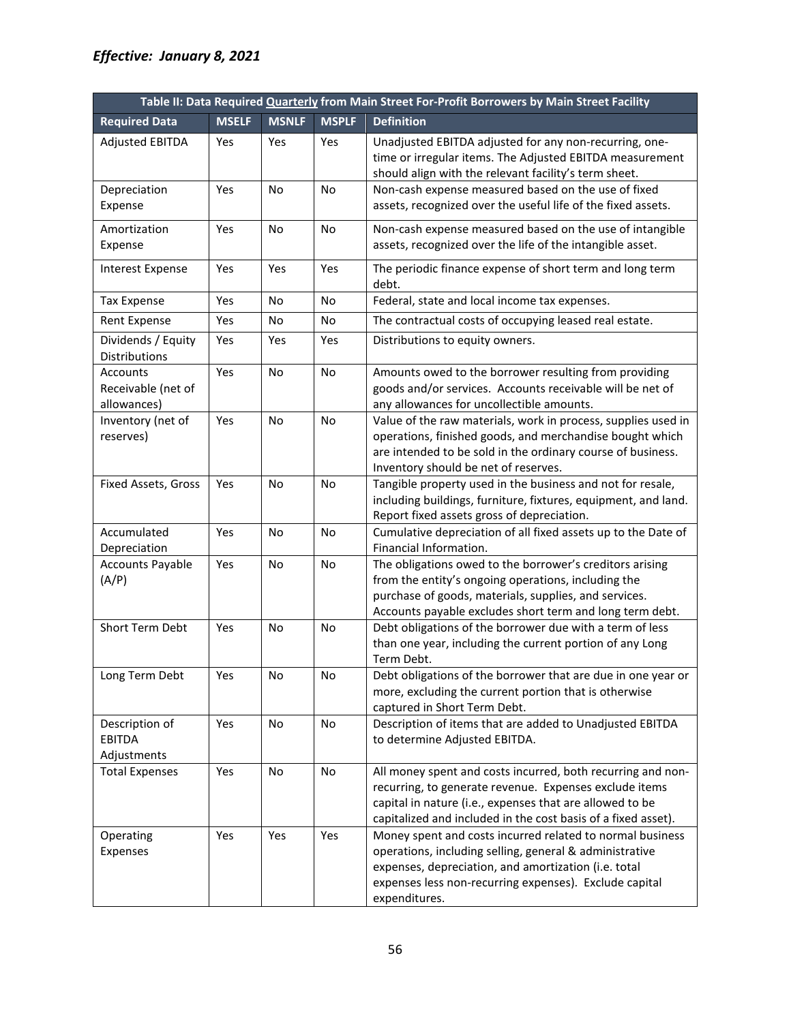| Table II: Data Required Quarterly from Main Street For-Profit Borrowers by Main Street Facility |              |              |              |                                                                                                                                                                                                                                                         |  |
|-------------------------------------------------------------------------------------------------|--------------|--------------|--------------|---------------------------------------------------------------------------------------------------------------------------------------------------------------------------------------------------------------------------------------------------------|--|
| <b>Required Data</b>                                                                            | <b>MSELF</b> | <b>MSNLF</b> | <b>MSPLF</b> | <b>Definition</b>                                                                                                                                                                                                                                       |  |
| <b>Adjusted EBITDA</b>                                                                          | Yes          | Yes          | Yes          | Unadjusted EBITDA adjusted for any non-recurring, one-<br>time or irregular items. The Adjusted EBITDA measurement<br>should align with the relevant facility's term sheet.                                                                             |  |
| Depreciation<br>Expense                                                                         | Yes          | <b>No</b>    | <b>No</b>    | Non-cash expense measured based on the use of fixed<br>assets, recognized over the useful life of the fixed assets.                                                                                                                                     |  |
| Amortization<br>Expense                                                                         | Yes          | No           | <b>No</b>    | Non-cash expense measured based on the use of intangible<br>assets, recognized over the life of the intangible asset.                                                                                                                                   |  |
| <b>Interest Expense</b>                                                                         | Yes          | Yes          | Yes          | The periodic finance expense of short term and long term<br>debt.                                                                                                                                                                                       |  |
| <b>Tax Expense</b>                                                                              | Yes          | No           | No           | Federal, state and local income tax expenses.                                                                                                                                                                                                           |  |
| Rent Expense                                                                                    | Yes          | No           | No           | The contractual costs of occupying leased real estate.                                                                                                                                                                                                  |  |
| Dividends / Equity<br>Distributions                                                             | Yes          | Yes          | Yes          | Distributions to equity owners.                                                                                                                                                                                                                         |  |
| <b>Accounts</b><br>Receivable (net of<br>allowances)                                            | Yes          | No           | No.          | Amounts owed to the borrower resulting from providing<br>goods and/or services. Accounts receivable will be net of<br>any allowances for uncollectible amounts.                                                                                         |  |
| Inventory (net of<br>reserves)                                                                  | Yes          | No           | No           | Value of the raw materials, work in process, supplies used in<br>operations, finished goods, and merchandise bought which<br>are intended to be sold in the ordinary course of business.<br>Inventory should be net of reserves.                        |  |
| Fixed Assets, Gross                                                                             | Yes          | <b>No</b>    | No           | Tangible property used in the business and not for resale,<br>including buildings, furniture, fixtures, equipment, and land.<br>Report fixed assets gross of depreciation.                                                                              |  |
| Accumulated<br>Depreciation                                                                     | Yes          | <b>No</b>    | <b>No</b>    | Cumulative depreciation of all fixed assets up to the Date of<br>Financial Information.                                                                                                                                                                 |  |
| <b>Accounts Payable</b><br>(A/P)                                                                | Yes          | No           | No           | The obligations owed to the borrower's creditors arising<br>from the entity's ongoing operations, including the<br>purchase of goods, materials, supplies, and services.<br>Accounts payable excludes short term and long term debt.                    |  |
| <b>Short Term Debt</b>                                                                          | Yes          | No           | No           | Debt obligations of the borrower due with a term of less<br>than one year, including the current portion of any Long<br>Term Debt.                                                                                                                      |  |
| Long Term Debt                                                                                  | Yes          | No           | No           | Debt obligations of the borrower that are due in one year or<br>more, excluding the current portion that is otherwise<br>captured in Short Term Debt.                                                                                                   |  |
| Description of<br><b>EBITDA</b><br>Adjustments                                                  | Yes          | No           | No           | Description of items that are added to Unadjusted EBITDA<br>to determine Adjusted EBITDA.                                                                                                                                                               |  |
| <b>Total Expenses</b>                                                                           | Yes          | No           | No           | All money spent and costs incurred, both recurring and non-<br>recurring, to generate revenue. Expenses exclude items<br>capital in nature (i.e., expenses that are allowed to be<br>capitalized and included in the cost basis of a fixed asset).      |  |
| Operating<br>Expenses                                                                           | Yes          | Yes          | Yes          | Money spent and costs incurred related to normal business<br>operations, including selling, general & administrative<br>expenses, depreciation, and amortization (i.e. total<br>expenses less non-recurring expenses). Exclude capital<br>expenditures. |  |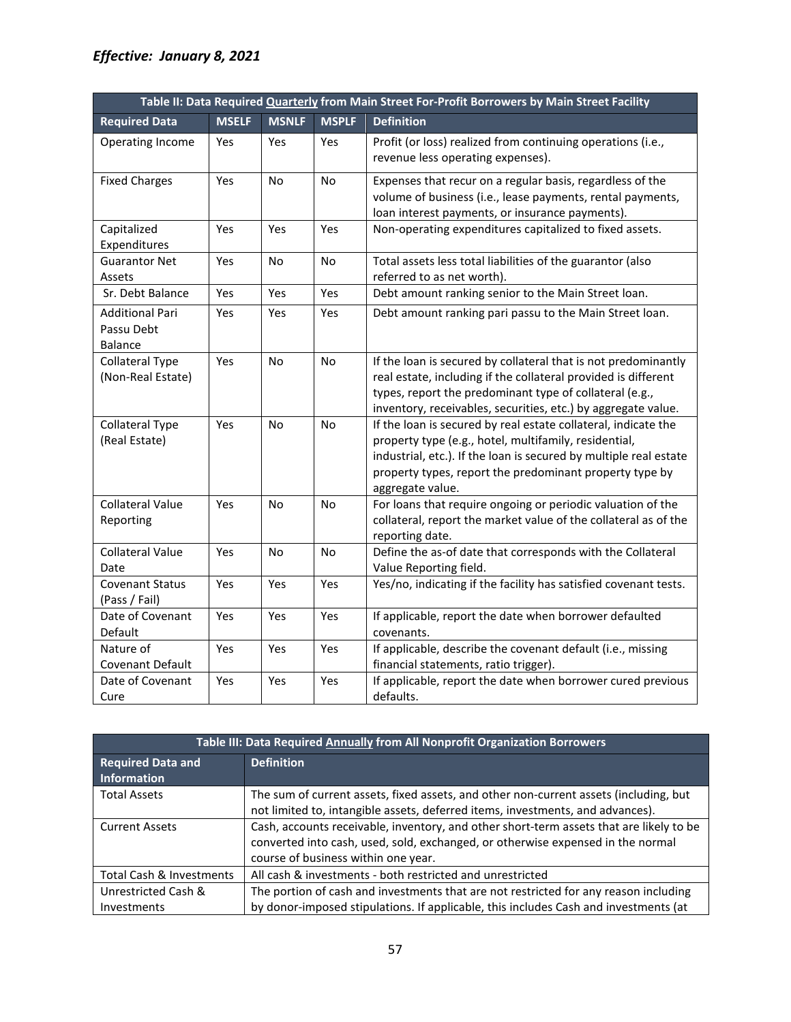| Table II: Data Required Quarterly from Main Street For-Profit Borrowers by Main Street Facility |              |              |              |                                                                                                                                                                                                                                                                             |  |
|-------------------------------------------------------------------------------------------------|--------------|--------------|--------------|-----------------------------------------------------------------------------------------------------------------------------------------------------------------------------------------------------------------------------------------------------------------------------|--|
| <b>Required Data</b>                                                                            | <b>MSELF</b> | <b>MSNLF</b> | <b>MSPLF</b> | <b>Definition</b>                                                                                                                                                                                                                                                           |  |
| Operating Income                                                                                | Yes          | Yes          | Yes          | Profit (or loss) realized from continuing operations (i.e.,<br>revenue less operating expenses).                                                                                                                                                                            |  |
| <b>Fixed Charges</b>                                                                            | Yes          | <b>No</b>    | <b>No</b>    | Expenses that recur on a regular basis, regardless of the<br>volume of business (i.e., lease payments, rental payments,<br>loan interest payments, or insurance payments).                                                                                                  |  |
| Capitalized<br>Expenditures                                                                     | Yes          | Yes          | Yes          | Non-operating expenditures capitalized to fixed assets.                                                                                                                                                                                                                     |  |
| <b>Guarantor Net</b><br>Assets                                                                  | Yes          | No           | No           | Total assets less total liabilities of the guarantor (also<br>referred to as net worth).                                                                                                                                                                                    |  |
| Sr. Debt Balance                                                                                | Yes          | Yes          | Yes          | Debt amount ranking senior to the Main Street loan.                                                                                                                                                                                                                         |  |
| Additional Pari<br>Passu Debt<br><b>Balance</b>                                                 | Yes          | Yes          | Yes          | Debt amount ranking pari passu to the Main Street loan.                                                                                                                                                                                                                     |  |
| <b>Collateral Type</b><br>(Non-Real Estate)                                                     | Yes          | No           | <b>No</b>    | If the loan is secured by collateral that is not predominantly<br>real estate, including if the collateral provided is different<br>types, report the predominant type of collateral (e.g.,<br>inventory, receivables, securities, etc.) by aggregate value.                |  |
| <b>Collateral Type</b><br>(Real Estate)                                                         | Yes          | No.          | No           | If the loan is secured by real estate collateral, indicate the<br>property type (e.g., hotel, multifamily, residential,<br>industrial, etc.). If the loan is secured by multiple real estate<br>property types, report the predominant property type by<br>aggregate value. |  |
| <b>Collateral Value</b><br>Reporting                                                            | Yes          | No.          | No           | For loans that require ongoing or periodic valuation of the<br>collateral, report the market value of the collateral as of the<br>reporting date.                                                                                                                           |  |
| <b>Collateral Value</b><br>Date                                                                 | Yes          | No.          | No           | Define the as-of date that corresponds with the Collateral<br>Value Reporting field.                                                                                                                                                                                        |  |
| <b>Covenant Status</b><br>(Pass / Fail)                                                         | Yes          | Yes          | Yes          | Yes/no, indicating if the facility has satisfied covenant tests.                                                                                                                                                                                                            |  |
| Date of Covenant<br>Default                                                                     | Yes          | Yes          | Yes          | If applicable, report the date when borrower defaulted<br>covenants.                                                                                                                                                                                                        |  |
| Nature of<br>Covenant Default                                                                   | Yes          | Yes          | Yes          | If applicable, describe the covenant default (i.e., missing<br>financial statements, ratio trigger).                                                                                                                                                                        |  |
| Date of Covenant<br>Cure                                                                        | Yes          | Yes          | Yes          | If applicable, report the date when borrower cured previous<br>defaults.                                                                                                                                                                                                    |  |

| Table III: Data Required Annually from All Nonprofit Organization Borrowers |                                                                                         |  |  |  |  |
|-----------------------------------------------------------------------------|-----------------------------------------------------------------------------------------|--|--|--|--|
| <b>Required Data and</b><br>Information                                     | <b>Definition</b>                                                                       |  |  |  |  |
| <b>Total Assets</b>                                                         | The sum of current assets, fixed assets, and other non-current assets (including, but   |  |  |  |  |
|                                                                             | not limited to, intangible assets, deferred items, investments, and advances).          |  |  |  |  |
| <b>Current Assets</b>                                                       | Cash, accounts receivable, inventory, and other short-term assets that are likely to be |  |  |  |  |
|                                                                             | converted into cash, used, sold, exchanged, or otherwise expensed in the normal         |  |  |  |  |
|                                                                             | course of business within one year.                                                     |  |  |  |  |
| Total Cash & Investments                                                    | All cash & investments - both restricted and unrestricted                               |  |  |  |  |
| Unrestricted Cash &                                                         | The portion of cash and investments that are not restricted for any reason including    |  |  |  |  |
| Investments                                                                 | by donor-imposed stipulations. If applicable, this includes Cash and investments (at    |  |  |  |  |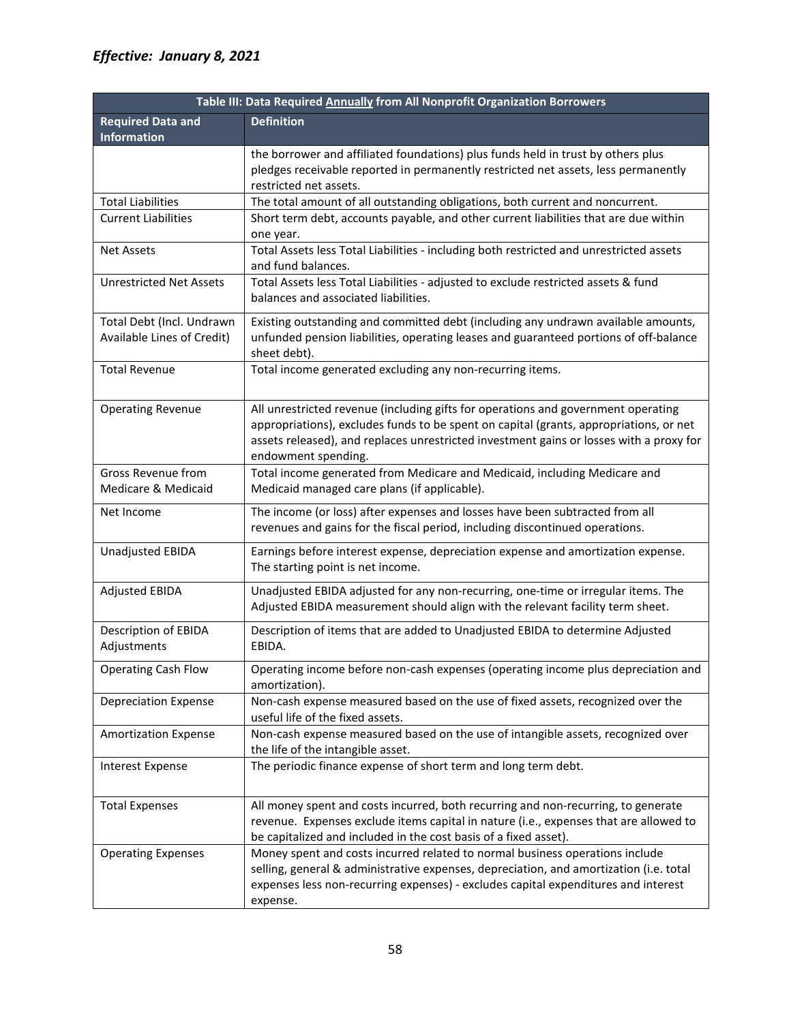| Table III: Data Required Annually from All Nonprofit Organization Borrowers |                                                                                                                                                                                                                                                                                               |  |  |  |
|-----------------------------------------------------------------------------|-----------------------------------------------------------------------------------------------------------------------------------------------------------------------------------------------------------------------------------------------------------------------------------------------|--|--|--|
| <b>Required Data and</b><br><b>Information</b>                              | <b>Definition</b>                                                                                                                                                                                                                                                                             |  |  |  |
|                                                                             | the borrower and affiliated foundations) plus funds held in trust by others plus<br>pledges receivable reported in permanently restricted net assets, less permanently<br>restricted net assets.                                                                                              |  |  |  |
| <b>Total Liabilities</b>                                                    | The total amount of all outstanding obligations, both current and noncurrent.                                                                                                                                                                                                                 |  |  |  |
| <b>Current Liabilities</b>                                                  | Short term debt, accounts payable, and other current liabilities that are due within<br>one year.                                                                                                                                                                                             |  |  |  |
| <b>Net Assets</b>                                                           | Total Assets less Total Liabilities - including both restricted and unrestricted assets<br>and fund balances.                                                                                                                                                                                 |  |  |  |
| <b>Unrestricted Net Assets</b>                                              | Total Assets less Total Liabilities - adjusted to exclude restricted assets & fund<br>balances and associated liabilities.                                                                                                                                                                    |  |  |  |
| Total Debt (Incl. Undrawn<br>Available Lines of Credit)                     | Existing outstanding and committed debt (including any undrawn available amounts,<br>unfunded pension liabilities, operating leases and guaranteed portions of off-balance<br>sheet debt).                                                                                                    |  |  |  |
| <b>Total Revenue</b>                                                        | Total income generated excluding any non-recurring items.                                                                                                                                                                                                                                     |  |  |  |
| <b>Operating Revenue</b>                                                    | All unrestricted revenue (including gifts for operations and government operating<br>appropriations), excludes funds to be spent on capital (grants, appropriations, or net<br>assets released), and replaces unrestricted investment gains or losses with a proxy for<br>endowment spending. |  |  |  |
| Gross Revenue from<br>Medicare & Medicaid                                   | Total income generated from Medicare and Medicaid, including Medicare and<br>Medicaid managed care plans (if applicable).                                                                                                                                                                     |  |  |  |
| Net Income                                                                  | The income (or loss) after expenses and losses have been subtracted from all<br>revenues and gains for the fiscal period, including discontinued operations.                                                                                                                                  |  |  |  |
| Unadjusted EBIDA                                                            | Earnings before interest expense, depreciation expense and amortization expense.<br>The starting point is net income.                                                                                                                                                                         |  |  |  |
| <b>Adjusted EBIDA</b>                                                       | Unadjusted EBIDA adjusted for any non-recurring, one-time or irregular items. The<br>Adjusted EBIDA measurement should align with the relevant facility term sheet.                                                                                                                           |  |  |  |
| Description of EBIDA<br>Adjustments                                         | Description of items that are added to Unadjusted EBIDA to determine Adjusted<br>EBIDA.                                                                                                                                                                                                       |  |  |  |
| <b>Operating Cash Flow</b>                                                  | Operating income before non-cash expenses (operating income plus depreciation and<br>amortization).                                                                                                                                                                                           |  |  |  |
| <b>Depreciation Expense</b>                                                 | Non-cash expense measured based on the use of fixed assets, recognized over the<br>useful life of the fixed assets.                                                                                                                                                                           |  |  |  |
| <b>Amortization Expense</b>                                                 | Non-cash expense measured based on the use of intangible assets, recognized over<br>the life of the intangible asset.                                                                                                                                                                         |  |  |  |
| <b>Interest Expense</b>                                                     | The periodic finance expense of short term and long term debt.                                                                                                                                                                                                                                |  |  |  |
| <b>Total Expenses</b>                                                       | All money spent and costs incurred, both recurring and non-recurring, to generate<br>revenue. Expenses exclude items capital in nature (i.e., expenses that are allowed to<br>be capitalized and included in the cost basis of a fixed asset).                                                |  |  |  |
| <b>Operating Expenses</b>                                                   | Money spent and costs incurred related to normal business operations include<br>selling, general & administrative expenses, depreciation, and amortization (i.e. total<br>expenses less non-recurring expenses) - excludes capital expenditures and interest<br>expense.                      |  |  |  |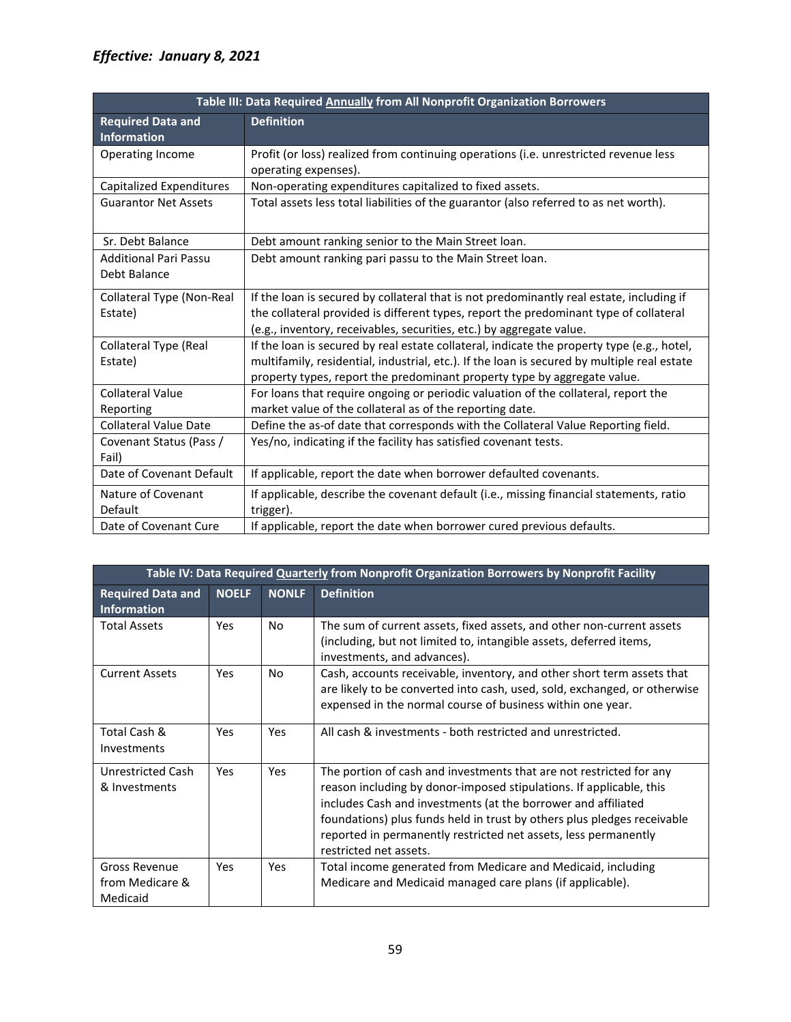| Table III: Data Required Annually from All Nonprofit Organization Borrowers |                                                                                                                                                                                                                                                                       |  |  |
|-----------------------------------------------------------------------------|-----------------------------------------------------------------------------------------------------------------------------------------------------------------------------------------------------------------------------------------------------------------------|--|--|
| <b>Required Data and</b><br><b>Information</b>                              | <b>Definition</b>                                                                                                                                                                                                                                                     |  |  |
| Operating Income                                                            | Profit (or loss) realized from continuing operations (i.e. unrestricted revenue less<br>operating expenses).                                                                                                                                                          |  |  |
| <b>Capitalized Expenditures</b>                                             | Non-operating expenditures capitalized to fixed assets.                                                                                                                                                                                                               |  |  |
| <b>Guarantor Net Assets</b>                                                 | Total assets less total liabilities of the guarantor (also referred to as net worth).                                                                                                                                                                                 |  |  |
| Sr. Debt Balance                                                            | Debt amount ranking senior to the Main Street loan.                                                                                                                                                                                                                   |  |  |
| <b>Additional Pari Passu</b><br>Debt Balance                                | Debt amount ranking pari passu to the Main Street loan.                                                                                                                                                                                                               |  |  |
| Collateral Type (Non-Real<br>Estate)                                        | If the loan is secured by collateral that is not predominantly real estate, including if<br>the collateral provided is different types, report the predominant type of collateral<br>(e.g., inventory, receivables, securities, etc.) by aggregate value.             |  |  |
| <b>Collateral Type (Real</b><br>Estate)                                     | If the loan is secured by real estate collateral, indicate the property type (e.g., hotel,<br>multifamily, residential, industrial, etc.). If the loan is secured by multiple real estate<br>property types, report the predominant property type by aggregate value. |  |  |
| <b>Collateral Value</b>                                                     | For loans that require ongoing or periodic valuation of the collateral, report the                                                                                                                                                                                    |  |  |
| Reporting                                                                   | market value of the collateral as of the reporting date.                                                                                                                                                                                                              |  |  |
| <b>Collateral Value Date</b>                                                | Define the as-of date that corresponds with the Collateral Value Reporting field.                                                                                                                                                                                     |  |  |
| Covenant Status (Pass /<br>Fail)                                            | Yes/no, indicating if the facility has satisfied covenant tests.                                                                                                                                                                                                      |  |  |
| Date of Covenant Default                                                    | If applicable, report the date when borrower defaulted covenants.                                                                                                                                                                                                     |  |  |
| Nature of Covenant                                                          | If applicable, describe the covenant default (i.e., missing financial statements, ratio                                                                                                                                                                               |  |  |
| Default                                                                     | trigger).                                                                                                                                                                                                                                                             |  |  |
| Date of Covenant Cure                                                       | If applicable, report the date when borrower cured previous defaults.                                                                                                                                                                                                 |  |  |

| Table IV: Data Required Quarterly from Nonprofit Organization Borrowers by Nonprofit Facility |              |              |                                                                                                                                                                                                                                                                                                                                                                                     |  |
|-----------------------------------------------------------------------------------------------|--------------|--------------|-------------------------------------------------------------------------------------------------------------------------------------------------------------------------------------------------------------------------------------------------------------------------------------------------------------------------------------------------------------------------------------|--|
| <b>Required Data and</b><br><b>Information</b>                                                | <b>NOELF</b> | <b>NONLF</b> | <b>Definition</b>                                                                                                                                                                                                                                                                                                                                                                   |  |
| <b>Total Assets</b>                                                                           | <b>Yes</b>   | No           | The sum of current assets, fixed assets, and other non-current assets<br>(including, but not limited to, intangible assets, deferred items,<br>investments, and advances).                                                                                                                                                                                                          |  |
| <b>Current Assets</b>                                                                         | <b>Yes</b>   | No           | Cash, accounts receivable, inventory, and other short term assets that<br>are likely to be converted into cash, used, sold, exchanged, or otherwise<br>expensed in the normal course of business within one year.                                                                                                                                                                   |  |
| Total Cash &<br>Investments                                                                   | Yes          | Yes          | All cash & investments - both restricted and unrestricted.                                                                                                                                                                                                                                                                                                                          |  |
| Unrestricted Cash<br>& Investments                                                            | Yes          | <b>Yes</b>   | The portion of cash and investments that are not restricted for any<br>reason including by donor-imposed stipulations. If applicable, this<br>includes Cash and investments (at the borrower and affiliated<br>foundations) plus funds held in trust by others plus pledges receivable<br>reported in permanently restricted net assets, less permanently<br>restricted net assets. |  |
| <b>Gross Revenue</b><br>from Medicare &<br>Medicaid                                           | Yes          | <b>Yes</b>   | Total income generated from Medicare and Medicaid, including<br>Medicare and Medicaid managed care plans (if applicable).                                                                                                                                                                                                                                                           |  |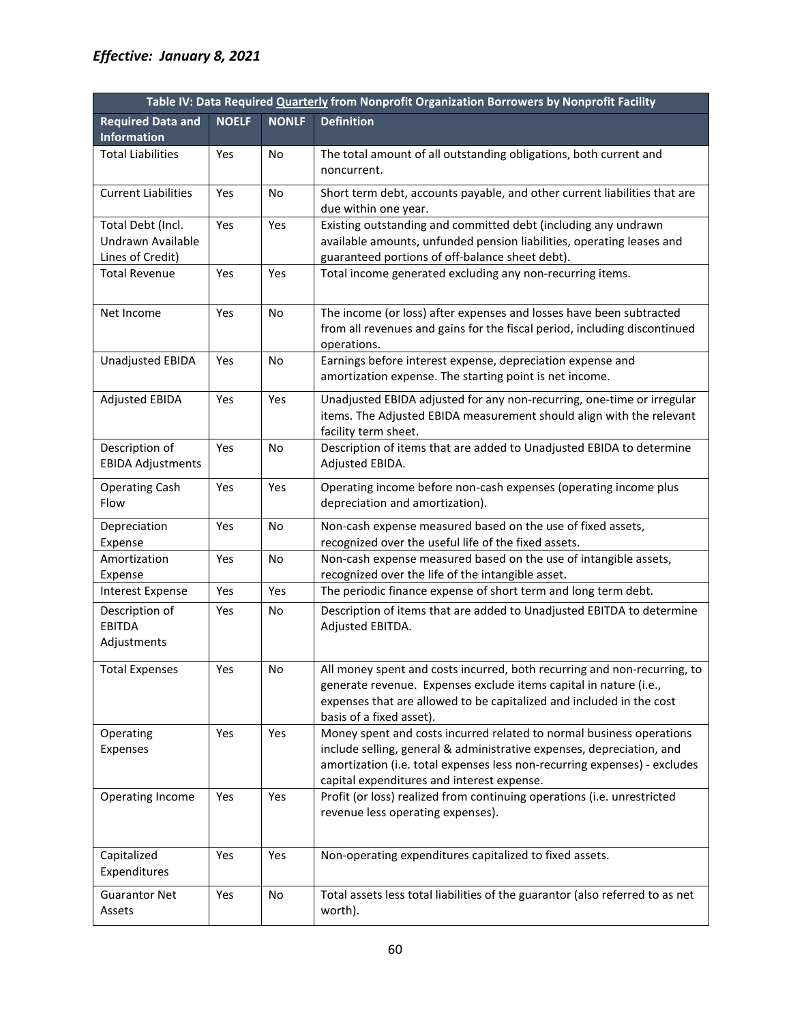| Table IV: Data Required Quarterly from Nonprofit Organization Borrowers by Nonprofit Facility |              |              |                                                                                                                                                                                                                                                                          |  |  |
|-----------------------------------------------------------------------------------------------|--------------|--------------|--------------------------------------------------------------------------------------------------------------------------------------------------------------------------------------------------------------------------------------------------------------------------|--|--|
| <b>Required Data and</b>                                                                      | <b>NOELF</b> | <b>NONLF</b> | <b>Definition</b>                                                                                                                                                                                                                                                        |  |  |
| <b>Information</b>                                                                            |              |              |                                                                                                                                                                                                                                                                          |  |  |
| <b>Total Liabilities</b>                                                                      | Yes          | No           | The total amount of all outstanding obligations, both current and<br>noncurrent.                                                                                                                                                                                         |  |  |
| <b>Current Liabilities</b>                                                                    | Yes          | No           | Short term debt, accounts payable, and other current liabilities that are<br>due within one year.                                                                                                                                                                        |  |  |
| Total Debt (Incl.<br>Undrawn Available<br>Lines of Credit)                                    | Yes          | Yes          | Existing outstanding and committed debt (including any undrawn<br>available amounts, unfunded pension liabilities, operating leases and<br>guaranteed portions of off-balance sheet debt).                                                                               |  |  |
| <b>Total Revenue</b>                                                                          | Yes          | Yes          | Total income generated excluding any non-recurring items.                                                                                                                                                                                                                |  |  |
| Net Income                                                                                    | Yes          | No           | The income (or loss) after expenses and losses have been subtracted<br>from all revenues and gains for the fiscal period, including discontinued<br>operations.                                                                                                          |  |  |
| <b>Unadjusted EBIDA</b>                                                                       | Yes          | No           | Earnings before interest expense, depreciation expense and<br>amortization expense. The starting point is net income.                                                                                                                                                    |  |  |
| Adjusted EBIDA                                                                                | Yes          | Yes          | Unadjusted EBIDA adjusted for any non-recurring, one-time or irregular<br>items. The Adjusted EBIDA measurement should align with the relevant<br>facility term sheet.                                                                                                   |  |  |
| Description of<br><b>EBIDA Adjustments</b>                                                    | Yes          | No           | Description of items that are added to Unadjusted EBIDA to determine<br>Adjusted EBIDA.                                                                                                                                                                                  |  |  |
| <b>Operating Cash</b><br>Flow                                                                 | Yes          | Yes          | Operating income before non-cash expenses (operating income plus<br>depreciation and amortization).                                                                                                                                                                      |  |  |
| Depreciation<br>Expense                                                                       | Yes          | No           | Non-cash expense measured based on the use of fixed assets,<br>recognized over the useful life of the fixed assets.                                                                                                                                                      |  |  |
| Amortization<br>Expense                                                                       | Yes          | No           | Non-cash expense measured based on the use of intangible assets,<br>recognized over the life of the intangible asset.                                                                                                                                                    |  |  |
| <b>Interest Expense</b>                                                                       | Yes          | Yes          | The periodic finance expense of short term and long term debt.                                                                                                                                                                                                           |  |  |
| Description of<br><b>EBITDA</b><br>Adjustments                                                | Yes          | No           | Description of items that are added to Unadjusted EBITDA to determine<br>Adjusted EBITDA.                                                                                                                                                                                |  |  |
| <b>Total Expenses</b>                                                                         | Yes          | No           | All money spent and costs incurred, both recurring and non-recurring, to<br>generate revenue. Expenses exclude items capital in nature (i.e.,<br>expenses that are allowed to be capitalized and included in the cost<br>basis of a fixed asset).                        |  |  |
| Operating<br>Expenses                                                                         | Yes          | Yes          | Money spent and costs incurred related to normal business operations<br>include selling, general & administrative expenses, depreciation, and<br>amortization (i.e. total expenses less non-recurring expenses) - excludes<br>capital expenditures and interest expense. |  |  |
| Operating Income                                                                              | Yes          | Yes          | Profit (or loss) realized from continuing operations (i.e. unrestricted<br>revenue less operating expenses).                                                                                                                                                             |  |  |
| Capitalized<br>Expenditures                                                                   | Yes          | Yes          | Non-operating expenditures capitalized to fixed assets.                                                                                                                                                                                                                  |  |  |
| <b>Guarantor Net</b><br>Assets                                                                | Yes          | No           | Total assets less total liabilities of the guarantor (also referred to as net<br>worth).                                                                                                                                                                                 |  |  |